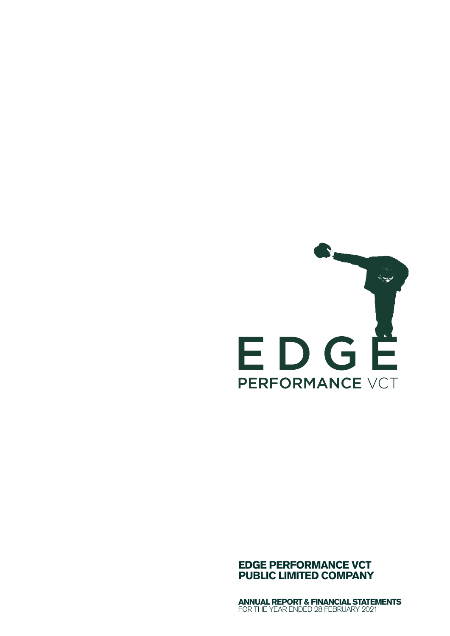

### EDGE PERFORMANCE VCT PUBLIC LIMITED COMPANY

ANNUAL REPORT & FINANCIAL STATEMENTS FOR THE YEAR ENDED 28 FEBRUARY 2021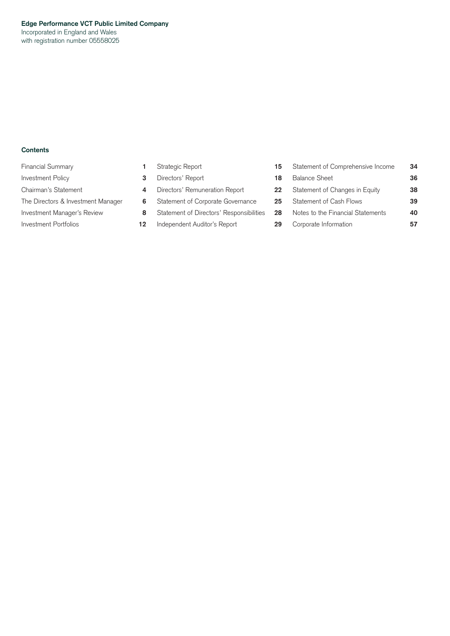#### **Edge Performance VCT Public Limited Company**

Incorporated in England and Wales with registration number 05558025

#### **Contents**

- Financial Summary **1** Investment Policy **3**
- Chairman's Statement **4**
- The Directors & Investment Manager **6**
- Investment Manager's Review **8**
- Investment Portfolios **12**
- Strategic Report **15**
- Directors' Report **18**
- Directors' Remuneration Report **22**
- Statement of Corporate Governance **25**
- Statement of Directors' Responsibilities **28**
	- Independent Auditor's Report **29**
- Statement of Comprehensive Income **34** Balance Sheet **36** Statement of Changes in Equity **38** Statement of Cash Flows **39** Notes to the Financial Statements **40** Corporate Information **57**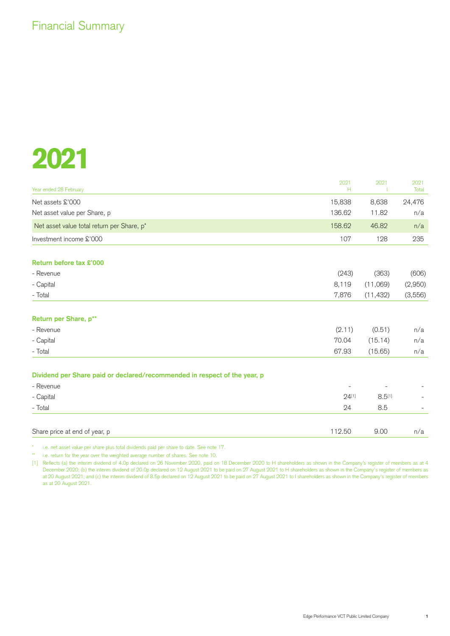

| Year ended 28 February                                                    | 2021<br>н  | 2021        | 2021<br>Total |
|---------------------------------------------------------------------------|------------|-------------|---------------|
| Net assets £'000                                                          | 15,838     | 8,638       | 24,476        |
| Net asset value per Share, p                                              | 136.62     | 11.82       | n/a           |
| Net asset value total return per Share, p*                                | 158.62     | 46.82       | n/a           |
| Investment income £'000                                                   | 107        | 128         | 235           |
| Return before tax £'000                                                   |            |             |               |
| - Revenue                                                                 | (243)      | (363)       | (606)         |
| - Capital                                                                 | 8,119      | (11,069)    | (2,950)       |
| - Total                                                                   | 7,876      | (11, 432)   | (3,556)       |
| Return per Share, p**                                                     |            |             |               |
| - Revenue                                                                 | (2.11)     | (0.51)      | n/a           |
| - Capital                                                                 | 70.04      | (15.14)     | n/a           |
| - Total                                                                   | 67.93      | (15.65)     | n/a           |
| Dividend per Share paid or declared/recommended in respect of the year, p |            |             |               |
| - Revenue                                                                 |            |             |               |
| - Capital                                                                 | $24^{[1]}$ | $8.5^{[1]}$ |               |
| - Total                                                                   | 24         | 8.5         |               |
| Share price at end of year, p                                             | 112.50     | 9.00        | n/a           |

\* i.e. net asset value per share plus total dividends paid per share to date. See note 17.

i.e. return for the year over the weighted average number of shares. See note 10.

[1] Reflects (a) the interim dividend of 4.0p declared on 26 November 2020, paid on 18 December 2020 to H shareholders as shown in the Company's register of members as at 4 December 2020; (b) the interim dividend of 20.0p declared on 12 August 2021 to be paid on 27 August 2021 to H shareholders as shown in the Company's register of members as at 20 August 2021; and (c) the interim dividend of 8.5p declared on 12 August 2021 to be paid on 27 August 2021 to I shareholders as shown in the Company's register of members as at 20 August 2021.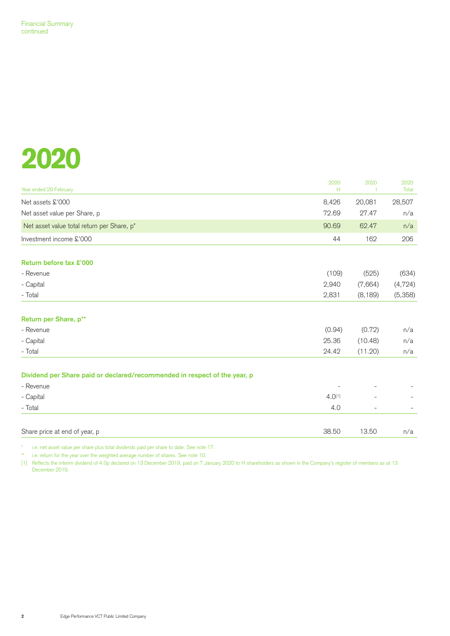# 2020

| Year ended 29 February                                                    | 2020<br>н   | 2020                     | 2020<br>Total |
|---------------------------------------------------------------------------|-------------|--------------------------|---------------|
| Net assets £'000                                                          | 8,426       | 20,081                   | 28,507        |
| Net asset value per Share, p                                              | 72.69       | 27.47                    | n/a           |
| Net asset value total return per Share, p*                                | 90.69       | 62.47                    | n/a           |
| Investment income £'000                                                   | 44          | 162                      | 206           |
| Return before tax £'000                                                   |             |                          |               |
| - Revenue                                                                 | (109)       | (525)                    | (634)         |
| - Capital                                                                 | 2,940       | (7,664)                  | (4, 724)      |
| - Total                                                                   | 2,831       | (8, 189)                 | (5,358)       |
| Return per Share, p**                                                     |             |                          |               |
| - Revenue                                                                 | (0.94)      | (0.72)                   | n/a           |
| - Capital                                                                 | 25.36       | (10.48)                  | n/a           |
| - Total                                                                   | 24.42       | (11.20)                  | n/a           |
| Dividend per Share paid or declared/recommended in respect of the year, p |             |                          |               |
| - Revenue                                                                 |             |                          |               |
| - Capital                                                                 | $4.0^{[1]}$ | $\overline{\phantom{a}}$ |               |
| - Total                                                                   | 4.0         |                          |               |
| Share price at end of year, p                                             | 38.50       | 13.50                    | n/a           |

\* i.e. net asset value per share plus total dividends paid per share to date. See note 17.<br>\*\* i.e. return for the veer over the weighted average number of shares. See note 10.

i.e. return for the year over the weighted average number of shares. See note 10.

[1] Reflects the interim dividend of 4.0p declared on 13 December 2019, paid on 7 January 2020 to H shareholders as shown in the Company's register of members as at 13 December 2019.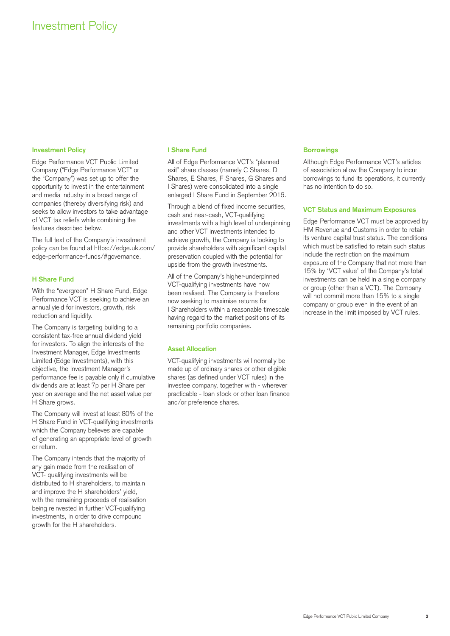#### **Investment Policy**

Edge Performance VCT Public Limited Company ("Edge Performance VCT" or the "Company") was set up to offer the opportunity to invest in the entertainment and media industry in a broad range of companies (thereby diversifying risk) and seeks to allow investors to take advantage of VCT tax reliefs while combining the features described below.

The full text of the Company's investment policy can be found at https://edge.uk.com/ edge-performance-funds/#governance.

#### **H Share Fund**

With the "evergreen" H Share Fund, Edge Performance VCT is seeking to achieve an annual yield for investors, growth, risk reduction and liquidity.

The Company is targeting building to a consistent tax-free annual dividend yield for investors. To align the interests of the Investment Manager, Edge Investments Limited (Edge Investments), with this objective, the Investment Manager's performance fee is payable only if cumulative dividends are at least 7p per H Share per year on average and the net asset value per H Share grows.

The Company will invest at least 80% of the H Share Fund in VCT-qualifying investments which the Company believes are capable of generating an appropriate level of growth or return.

The Company intends that the majority of any gain made from the realisation of VCT- qualifying investments will be distributed to H shareholders, to maintain and improve the H shareholders' yield, with the remaining proceeds of realisation being reinvested in further VCT-qualifying investments, in order to drive compound growth for the H shareholders.

#### **I Share Fund**

All of Edge Performance VCT's "planned exit" share classes (namely C Shares, D Shares, E Shares, F Shares, G Shares and I Shares) were consolidated into a single enlarged I Share Fund in September 2016.

Through a blend of fixed income securities, cash and near-cash, VCT-qualifying investments with a high level of underpinning and other VCT investments intended to achieve growth, the Company is looking to provide shareholders with significant capital preservation coupled with the potential for upside from the growth investments.

All of the Company's higher-underpinned VCT-qualifying investments have now been realised. The Company is therefore now seeking to maximise returns for I Shareholders within a reasonable timescale having regard to the market positions of its remaining portfolio companies.

#### **Asset Allocation**

VCT-qualifying investments will normally be made up of ordinary shares or other eligible shares (as defined under VCT rules) in the investee company, together with - wherever practicable - loan stock or other loan finance and/or preference shares.

#### **Borrowings**

Although Edge Performance VCT's articles of association allow the Company to incur borrowings to fund its operations, it currently has no intention to do so.

#### **VCT Status and Maximum Exposures**

Edge Performance VCT must be approved by HM Revenue and Customs in order to retain its venture capital trust status. The conditions which must be satisfied to retain such status include the restriction on the maximum exposure of the Company that not more than 15% by 'VCT value' of the Company's total investments can be held in a single company or group (other than a VCT). The Company will not commit more than 15% to a single company or group even in the event of an increase in the limit imposed by VCT rules.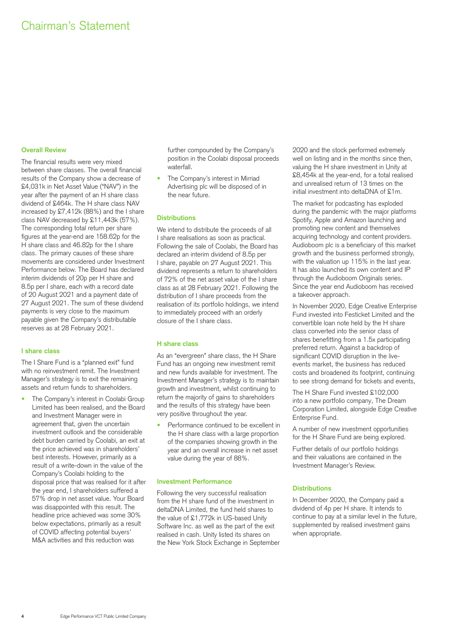#### **Overall Review**

The financial results were very mixed between share classes. The overall financial results of the Company show a decrease of £4,031k in Net Asset Value ("NAV") in the year after the payment of an H share class dividend of £464k. The H share class NAV increased by £7,412k (88%) and the I share class NAV decreased by £11,443k (57%). The corresponding total return per share figures at the year-end are 158.62p for the H share class and 46.82p for the I share class. The primary causes of these share movements are considered under Investment Performance below. The Board has declared interim dividends of 20p per H share and 8.5p per I share, each with a record date of 20 August 2021 and a payment date of 27 August 2021. The sum of these dividend payments is very close to the maximum payable given the Company's distributable reserves as at 28 February 2021.

#### **I share class**

The I Share Fund is a "planned exit" fund with no reinvestment remit. The Investment Manager's strategy is to exit the remaining assets and return funds to shareholders.

The Company's interest in Coolabi Group Limited has been realised, and the Board and Investment Manager were in agreement that, given the uncertain investment outlook and the considerable debt burden carried by Coolabi, an exit at the price achieved was in shareholders' best interests. However, primarily as a result of a write-down in the value of the Company's Coolabi holding to the disposal price that was realised for it after the year end, I shareholders suffered a 57% drop in net asset value. Your Board was disappointed with this result. The headline price achieved was some 30% below expectations, primarily as a result of COVID affecting potential buyers' M&A activities and this reduction was

further compounded by the Company's position in the Coolabi disposal proceeds waterfall.

The Company's interest in Mirriad Advertising plc will be disposed of in the near future.

#### **Distributions**

We intend to distribute the proceeds of all I share realisations as soon as practical. Following the sale of Coolabi, the Board has declared an interim dividend of 8.5p per I share, payable on 27 August 2021. This dividend represents a return to shareholders of 72% of the net asset value of the I share class as at 28 February 2021. Following the distribution of I share proceeds from the realisation of its portfolio holdings, we intend to immediately proceed with an orderly closure of the I share class.

#### **H share class**

As an "evergreen" share class, the H Share Fund has an ongoing new investment remit and new funds available for investment. The Investment Manager's strategy is to maintain growth and investment, whilst continuing to return the majority of gains to shareholders and the results of this strategy have been very positive throughout the year.

• Performance continued to be excellent in the H share class with a large proportion of the companies showing growth in the year and an overall increase in net asset value during the year of 88%.

#### **Investment Performance**

Following the very successful realisation from the H share fund of the investment in deltaDNA Limited, the fund held shares to the value of £1,772k in US-based Unity Software Inc. as well as the part of the exit realised in cash. Unity listed its shares on the New York Stock Exchange in September 2020 and the stock performed extremely well on listing and in the months since then, valuing the H share investment in Unity at £8,454k at the year-end, for a total realised and unrealised return of 13 times on the initial investment into deltaDNA of £1m.

The market for podcasting has exploded during the pandemic with the major platforms Spotify, Apple and Amazon launching and promoting new content and themselves acquiring technology and content providers. Audioboom plc is a beneficiary of this market growth and the business performed strongly, with the valuation up 115% in the last year. It has also launched its own content and IP through the Audioboom Originals series. Since the year end Audioboom has received a takeover approach.

In November 2020, Edge Creative Enterprise Fund invested into Festicket Limited and the convertible loan note held by the H share class converted into the senior class of shares benefitting from a 1.5x participating preferred return. Against a backdrop of significant COVID disruption in the liveevents market, the business has reduced costs and broadened its footprint, continuing to see strong demand for tickets and events,

The H Share Fund invested £102,000 into a new portfolio company, The Dream Corporation Limited, alongside Edge Creative Enterprise Fund.

A number of new investment opportunities for the H Share Fund are being explored.

Further details of our portfolio holdings and their valuations are contained in the Investment Manager's Review.

#### **Distributions**

In December 2020, the Company paid a dividend of 4p per H share. It intends to continue to pay at a similar level in the future, supplemented by realised investment gains when appropriate.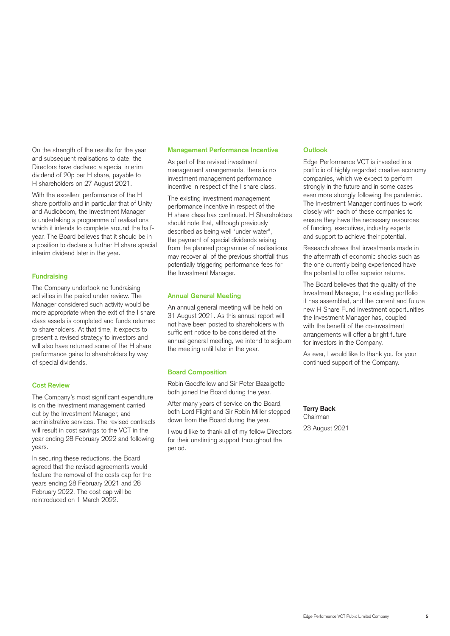On the strength of the results for the year and subsequent realisations to date, the Directors have declared a special interim dividend of 20p per H share, payable to H shareholders on 27 August 2021.

With the excellent performance of the H share portfolio and in particular that of Unity and Audioboom, the Investment Manager is undertaking a programme of realisations which it intends to complete around the halfyear. The Board believes that it should be in a position to declare a further H share special interim dividend later in the year.

#### **Fundraising**

The Company undertook no fundraising activities in the period under review. The Manager considered such activity would be more appropriate when the exit of the I share class assets is completed and funds returned to shareholders. At that time, it expects to present a revised strategy to investors and will also have returned some of the H share performance gains to shareholders by way of special dividends.

#### **Cost Review**

The Company's most significant expenditure is on the investment management carried out by the Investment Manager, and administrative services. The revised contracts will result in cost savings to the VCT in the year ending 28 February 2022 and following years.

In securing these reductions, the Board agreed that the revised agreements would feature the removal of the costs cap for the years ending 28 February 2021 and 28 February 2022. The cost cap will be reintroduced on 1 March 2022.

#### **Management Performance Incentive**

As part of the revised investment management arrangements, there is no investment management performance incentive in respect of the I share class.

The existing investment management performance incentive in respect of the H share class has continued. H Shareholders should note that, although previously described as being well "under water", the payment of special dividends arising from the planned programme of realisations may recover all of the previous shortfall thus potentially triggering performance fees for the Investment Manager.

#### **Annual General Meeting**

An annual general meeting will be held on 31 August 2021. As this annual report will not have been posted to shareholders with sufficient notice to be considered at the annual general meeting, we intend to adjourn the meeting until later in the year.

#### **Board Composition**

Robin Goodfellow and Sir Peter Bazalgette both joined the Board during the year.

After many years of service on the Board, both Lord Flight and Sir Robin Miller stepped down from the Board during the year.

I would like to thank all of my fellow Directors for their unstinting support throughout the period.

#### **Outlook**

Edge Performance VCT is invested in a portfolio of highly regarded creative economy companies, which we expect to perform strongly in the future and in some cases even more strongly following the pandemic. The Investment Manager continues to work closely with each of these companies to ensure they have the necessary resources of funding, executives, industry experts and support to achieve their potential.

Research shows that investments made in the aftermath of economic shocks such as the one currently being experienced have the potential to offer superior returns.

The Board believes that the quality of the Investment Manager, the existing portfolio it has assembled, and the current and future new H Share Fund investment opportunities the Investment Manager has, coupled with the benefit of the co-investment arrangements will offer a bright future for investors in the Company.

As ever, I would like to thank you for your continued support of the Company.

**Terry Back**  Chairman 23 August 2021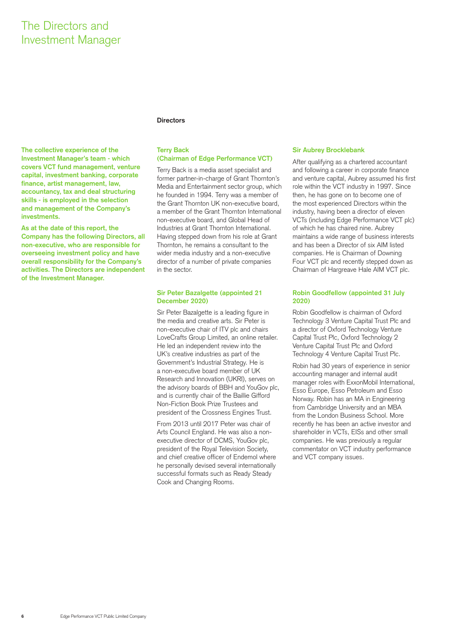### The Directors and Investment Manager

**The collective experience of the Investment Manager's team - which covers VCT fund management, venture capital, investment banking, corporate finance, artist management, law, accountancy, tax and deal structuring skills - is employed in the selection and management of the Company's investments.** 

**As at the date of this report, the Company has the following Directors, all non-executive, who are responsible for overseeing investment policy and have overall responsibility for the Company's activities. The Directors are independent of the Investment Manager.** 

#### **Directors**

#### **Terry Back (Chairman of Edge Performance VCT)**

Terry Back is a media asset specialist and former partner-in-charge of Grant Thornton's Media and Entertainment sector group, which he founded in 1994. Terry was a member of the Grant Thornton UK non-executive board, a member of the Grant Thornton International non-executive board, and Global Head of Industries at Grant Thornton International. Having stepped down from his role at Grant Thornton, he remains a consultant to the wider media industry and a non-executive director of a number of private companies in the sector.

#### **Sir Peter Bazalgette (appointed 21 December 2020)**

Sir Peter Bazalgette is a leading figure in the media and creative arts. Sir Peter is non-executive chair of ITV plc and chairs LoveCrafts Group Limited, an online retailer. He led an independent review into the UK's creative industries as part of the Government's Industrial Strategy. He is a non-executive board member of UK Research and Innovation (UKRI), serves on the advisory boards of BBH and YouGov plc, and is currently chair of the Baillie Gifford Non-Fiction Book Prize Trustees and president of the Crossness Engines Trust.

From 2013 until 2017 Peter was chair of Arts Council England. He was also a nonexecutive director of DCMS, YouGov plc, president of the Royal Television Society, and chief creative officer of Endemol where he personally devised several internationally successful formats such as Ready Steady Cook and Changing Rooms.

#### **Sir Aubrey Brocklebank**

After qualifying as a chartered accountant and following a career in corporate finance and venture capital, Aubrey assumed his first role within the VCT industry in 1997. Since then, he has gone on to become one of the most experienced Directors within the industry, having been a director of eleven VCTs (including Edge Performance VCT plc) of which he has chaired nine. Aubrey maintains a wide range of business interests and has been a Director of six AIM listed companies. He is Chairman of Downing Four VCT plc and recently stepped down as Chairman of Hargreave Hale AIM VCT plc.

#### **Robin Goodfellow (appointed 31 July 2020)**

Robin Goodfellow is chairman of Oxford Technology 3 Venture Capital Trust Plc and a director of Oxford Technology Venture Capital Trust Plc, Oxford Technology 2 Venture Capital Trust Plc and Oxford Technology 4 Venture Capital Trust Plc.

Robin had 30 years of experience in senior accounting manager and internal audit manager roles with ExxonMobil International, Esso Europe, Esso Petroleum and Esso Norway. Robin has an MA in Engineering from Cambridge University and an MBA from the London Business School. More recently he has been an active investor and shareholder in VCTs, EISs and other small companies. He was previously a regular commentator on VCT industry performance and VCT company issues.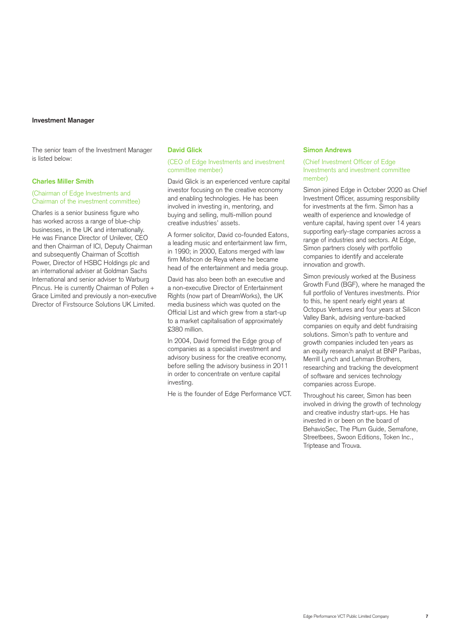#### **Investment Manager**

The senior team of the Investment Manager is listed below:

#### **Charles Miller Smith**

#### (Chairman of Edge Investments and Chairman of the investment committee)

Charles is a senior business figure who has worked across a range of blue-chip businesses, in the UK and internationally. He was Finance Director of Unilever, CEO and then Chairman of ICI, Deputy Chairman and subsequently Chairman of Scottish Power, Director of HSBC Holdings plc and an international adviser at Goldman Sachs International and senior adviser to Warburg Pincus. He is currently Chairman of Pollen + Grace Limited and previously a non-executive Director of Firstsource Solutions UK Limited.

#### **David Glick**

#### (CEO of Edge Investments and investment committee member)

David Glick is an experienced venture capital investor focusing on the creative economy and enabling technologies. He has been involved in investing in, mentoring, and buying and selling, multi-million pound creative industries' assets.

A former solicitor, David co-founded Eatons, a leading music and entertainment law firm, in 1990; in 2000, Eatons merged with law firm Mishcon de Reya where he became head of the entertainment and media group.

David has also been both an executive and a non-executive Director of Entertainment Rights (now part of DreamWorks), the UK media business which was quoted on the Official List and which grew from a start-up to a market capitalisation of approximately £380 million.

In 2004, David formed the Edge group of companies as a specialist investment and advisory business for the creative economy, before selling the advisory business in 2011 in order to concentrate on venture capital investing.

He is the founder of Edge Performance VCT.

#### **Simon Andrews**

#### (Chief Investment Officer of Edge Investments and investment committee member)

Simon joined Edge in October 2020 as Chief Investment Officer, assuming responsibility for investments at the firm. Simon has a wealth of experience and knowledge of venture capital, having spent over 14 years supporting early-stage companies across a range of industries and sectors. At Edge, Simon partners closely with portfolio companies to identify and accelerate innovation and growth.

Simon previously worked at the Business Growth Fund (BGF), where he managed the full portfolio of Ventures investments. Prior to this, he spent nearly eight years at Octopus Ventures and four years at Silicon Valley Bank, advising venture-backed companies on equity and debt fundraising solutions. Simon's path to venture and growth companies included ten years as an equity research analyst at BNP Paribas, Merrill Lynch and Lehman Brothers, researching and tracking the development of software and services technology companies across Europe.

Throughout his career, Simon has been involved in driving the growth of technology and creative industry start-ups. He has invested in or been on the board of BehavioSec, The Plum Guide, Semafone, Streetbees, Swoon Editions, Token Inc., Triptease and Trouva.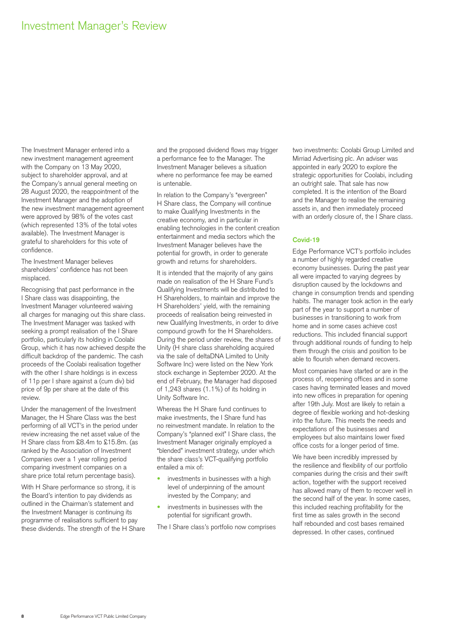The Investment Manager entered into a new investment management agreement with the Company on 13 May 2020, subject to shareholder approval, and at the Company's annual general meeting on 28 August 2020, the reappointment of the Investment Manager and the adoption of the new investment management agreement were approved by 98% of the votes cast (which represented 13% of the total votes available). The Investment Manager is grateful to shareholders for this vote of confidence.

The Investment Manager believes shareholders' confidence has not been misplaced.

Recognising that past performance in the I Share class was disappointing, the Investment Manager volunteered waiving all charges for managing out this share class. The Investment Manager was tasked with seeking a prompt realisation of the I Share portfolio, particularly its holding in Coolabi Group, which it has now achieved despite the difficult backdrop of the pandemic. The cash proceeds of the Coolabi realisation together with the other I share holdings is in excess of 11p per I share against a (cum div) bid price of 9p per share at the date of this review

Under the management of the Investment Manager, the H Share Class was the best performing of all VCT's in the period under review increasing the net asset value of the H Share class from £8.4m to £15.8m. (as ranked by the Association of Investment Companies over a 1 year rolling period comparing investment companies on a share price total return percentage basis).

With H Share performance so strong, it is the Board's intention to pay dividends as outlined in the Chairman's statement and the Investment Manager is continuing its programme of realisations sufficient to pay these dividends. The strength of the H Share and the proposed dividend flows may trigger a performance fee to the Manager. The Investment Manager believes a situation where no performance fee may be earned is untenable.

In relation to the Company's "evergreen" H Share class, the Company will continue to make Qualifying Investments in the creative economy, and in particular in enabling technologies in the content creation entertainment and media sectors which the Investment Manager believes have the potential for growth, in order to generate growth and returns for shareholders.

It is intended that the majority of any gains made on realisation of the H Share Fund's Qualifying Investments will be distributed to H Shareholders, to maintain and improve the H Shareholders' yield, with the remaining proceeds of realisation being reinvested in new Qualifying Investments, in order to drive compound growth for the H Shareholders. During the period under review, the shares of Unity (H share class shareholding acquired via the sale of deltaDNA Limited to Unity Software Inc) were listed on the New York stock exchange in September 2020. At the end of February, the Manager had disposed of 1,243 shares (1.1%) of its holding in Unity Software Inc.

Whereas the H Share fund continues to make investments, the I Share fund has no reinvestment mandate. In relation to the Company's "planned exit" I Share class, the Investment Manager originally employed a "blended" investment strategy, under which the share class's VCT-qualifying portfolio entailed a mix of:

- investments in businesses with a high level of underpinning of the amount invested by the Company; and
- investments in businesses with the potential for significant growth.

The I Share class's portfolio now comprises

two investments: Coolabi Group Limited and Mirriad Advertising plc. An adviser was appointed in early 2020 to explore the strategic opportunities for Coolabi, including an outright sale. That sale has now completed. It is the intention of the Board and the Manager to realise the remaining assets in, and then immediately proceed with an orderly closure of, the I Share class.

#### **Covid-19**

Edge Performance VCT's portfolio includes a number of highly regarded creative economy businesses. During the past year all were impacted to varying degrees by disruption caused by the lockdowns and change in consumption trends and spending habits. The manager took action in the early part of the year to support a number of businesses in transitioning to work from home and in some cases achieve cost reductions. This included financial support through additional rounds of funding to help them through the crisis and position to be able to flourish when demand recovers.

Most companies have started or are in the process of, reopening offices and in some cases having terminated leases and moved into new offices in preparation for opening after 19th July. Most are likely to retain a degree of flexible working and hot-desking into the future. This meets the needs and expectations of the businesses and employees but also maintains lower fixed office costs for a longer period of time.

We have been incredibly impressed by the resilience and flexibility of our portfolio companies during the crisis and their swift action, together with the support received has allowed many of them to recover well in the second half of the year. In some cases, this included reaching profitability for the first time as sales growth in the second half rebounded and cost bases remained depressed. In other cases, continued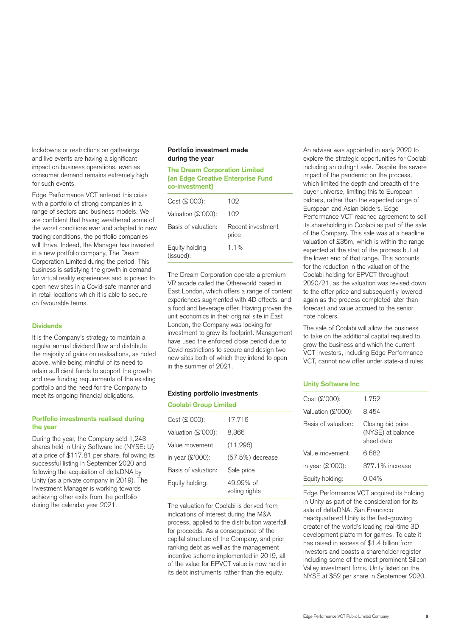lockdowns or restrictions on gatherings and live events are having a significant impact on business operations, even as consumer demand remains extremely high for such events.

Edge Performance VCT entered this crisis with a portfolio of strong companies in a range of sectors and business models. We are confident that having weathered some of the worst conditions ever and adapted to new trading conditions, the portfolio companies will thrive. Indeed, the Manager has invested in a new portfolio company, The Dream Corporation Limited during the period. This business is satisfying the growth in demand for virtual reality experiences and is poised to open new sites in a Covid-safe manner and in retail locations which it is able to secure on favourable terms.

#### **Dividends**

It is the Company's strategy to maintain a regular annual dividend flow and distribute the majority of gains on realisations, as noted above, while being mindful of its need to retain sufficient funds to support the growth and new funding requirements of the existing portfolio and the need for the Company to meet its ongoing financial obligations.

#### **Portfolio investments realised during the year**

During the year, the Company sold 1,243 shares held in Unity Software Inc (NYSE: U) at a price of \$117.81 per share. following its successful listing in September 2020 and following the acquisition of deltaDNA by Unity (as a private company in 2019). The Investment Manager is working towards achieving other exits from the portfolio during the calendar year 2021.

#### **Portfolio investment made during the year**

**The Dream Corporation Limited [an Edge Creative Enterprise Fund co-investment]** 

| Cost (£'000):               | 102                        |
|-----------------------------|----------------------------|
| Valuation (£'000):          | 102                        |
| Basis of valuation:         | Recent investment<br>price |
| Equity holding<br>(issued): | $1.1\%$                    |

The Dream Corporation operate a premium VR arcade called the Otherworld based in East London, which offers a range of content experiences augmented with 4D effects, and a food and beverage offer. Having proven the unit economics in their original site in East London, the Company was looking for investment to grow its footprint. Management have used the enforced close period due to Covid restrictions to secure and design two new sites both of which they intend to open in the summer of 2021.

#### **Existing portfolio investments**

#### **Coolabi Group Limited**

| Cost (£'000):                         | 17,716                     |
|---------------------------------------|----------------------------|
| Valuation (£'000):                    | 8,366                      |
| Value movement                        | (11, 296)                  |
| in year $(\mathcal{E}^{\prime}000)$ : | $(57.5%)$ decrease         |
| Basis of valuation:                   | Sale price                 |
| Equity holding:                       | 49.99% of<br>voting rights |

The valuation for Coolabi is derived from indications of interest during the M&A process, applied to the distribution waterfall for proceeds. As a consequence of the capital structure of the Company, and prior ranking debt as well as the management incentive scheme implemented in 2019, all of the value for EPVCT value is now held in its debt instruments rather than the equity.

An adviser was appointed in early 2020 to explore the strategic opportunities for Coolabi including an outright sale. Despite the severe impact of the pandemic on the process, which limited the depth and breadth of the buyer universe, limiting this to European bidders, rather than the expected range of European and Asian bidders, Edge Performance VCT reached agreement to sell its shareholding in Coolabi as part of the sale of the Company. This sale was at a headline valuation of £35m, which is within the range expected at the start of the process but at the lower end of that range. This accounts for the reduction in the valuation of the Coolabi holding for EPVCT throughout 2020/21, as the valuation was revised down to the offer price and subsequently lowered again as the process completed later than forecast and value accrued to the senior note holders.

The sale of Coolabi will allow the business to take on the additional capital required to grow the business and which the current VCT investors, including Edge Performance VCT, cannot now offer under state-aid rules.

#### **Unity Software Inc**

| 1,752                                                |
|------------------------------------------------------|
| 8,454                                                |
| Closing bid price<br>(NYSE) at balance<br>sheet date |
| 6,682                                                |
| 377.1% increase                                      |
| $0.04\%$                                             |
|                                                      |

Edge Performance VCT acquired its holding in Unity as part of the consideration for its sale of deltaDNA. San Francisco headquartered Unity is the fast-growing creator of the world's leading real-time 3D development platform for games. To date it has raised in excess of \$1.4 billion from investors and boasts a shareholder register including some of the most prominent Silicon Valley investment firms. Unity listed on the NYSE at \$52 per share in September 2020.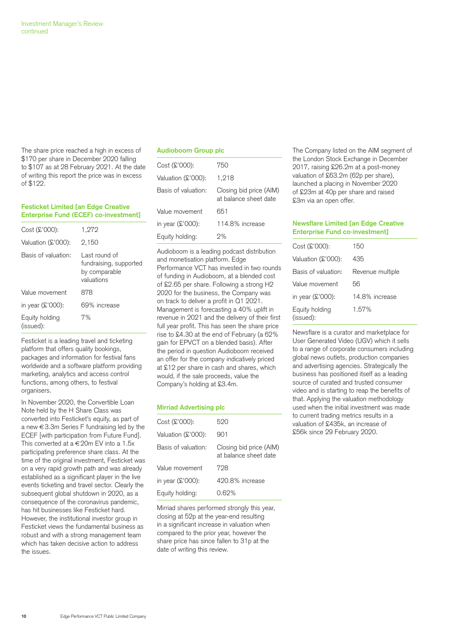The share price reached a high in excess of \$170 per share in December 2020 falling to \$107 as at 28 February 2021. At the date of writing this report the price was in excess of \$122.

#### **Festicket Limited [an Edge Creative Enterprise Fund (ECEF) co-investment]**

| $Cost(S'000)$ :             | 1,272                                                                  |
|-----------------------------|------------------------------------------------------------------------|
| Valuation (£'000):          | 2,150                                                                  |
| Basis of valuation:         | Last round of<br>fundraising, supported<br>by comparable<br>valuations |
| Value movement              | 878                                                                    |
| in year $(E'000)$ :         | 69% increase                                                           |
| Equity holding<br>(issued): | 7%                                                                     |

Festicket is a leading travel and ticketing platform that offers quality bookings, packages and information for festival fans worldwide and a software platform providing marketing, analytics and access control functions, among others, to festival organisers.

In November 2020, the Convertible Loan Note held by the H Share Class was converted into Festicket's equity, as part of a new €3.3m Series F fundraising led by the ECEF [with participation from Future Fund]. This converted at a  $\in$  20m FV into a 1.5x participating preference share class. At the time of the original investment. Festicket was on a very rapid growth path and was already established as a significant player in the live events ticketing and travel sector. Clearly the subsequent global shutdown in 2020, as a consequence of the coronavirus pandemic, has hit businesses like Festicket hard. However, the institutional investor group in Festicket views the fundamental business as robust and with a strong management team which has taken decisive action to address the issues.

#### **Audioboom Group plc**

| Cost (£'000):       | 750                                              |
|---------------------|--------------------------------------------------|
| Valuation (£'000):  | 1,218                                            |
| Basis of valuation: | Closing bid price (AIM)<br>at halance sheet date |
| Value movement      | 651                                              |
| in year (£'000):    | 114.8% increase                                  |
| Equity holding:     | ク%                                               |

Audioboom is a leading podcast distribution and monetisation platform. Edge Performance VCT has invested in two rounds of funding in Audioboom, at a blended cost of £2.65 per share. Following a strong H2 2020 for the business, the Company was on track to deliver a profit in Q1 2021. Management is forecasting a 40% uplift in revenue in 2021 and the delivery of their first full year profit. This has seen the share price rise to £4.30 at the end of February (a 62% gain for EPVCT on a blended basis). After the period in question Audioboom received an offer for the company indicatively priced at £12 per share in cash and shares, which would, if the sale proceeds, value the Company's holding at £3.4m.

#### **Mirriad Advertising plc**

| Cost (£'000):       | 520                                              |
|---------------------|--------------------------------------------------|
| Valuation (£'000):  | 901                                              |
| Basis of valuation: | Closing bid price (AIM)<br>at balance sheet date |
| Value movement      | 798                                              |
| in year (£'000):    | 420.8% increase                                  |
| Equity holding:     | $0.62\%$                                         |
|                     |                                                  |

Mirriad shares performed strongly this year, closing at 52p at the year-end resulting in a significant increase in valuation when compared to the prior year, however the share price has since fallen to 31p at the date of writing this review.

The Company listed on the AIM segment of the London Stock Exchange in December 2017, raising £26.2m at a post-money valuation of £63.2m (62p per share), launched a placing in November 2020 of £23m at 40p per share and raised £3m via an open offer.

#### **Newsflare Limited [an Edge Creative Enterprise Fund co-investment]**

| Cost (£'000):               | 150              |
|-----------------------------|------------------|
| Valuation (£'000):          | 435              |
| Basis of valuation:         | Revenue multiple |
| Value movement              | 56               |
| in year (£'000):            | 14.8% increase   |
| Equity holding<br>(issued): | 1.57%            |

Newsflare is a curator and marketplace for User Generated Video (UGV) which it sells to a range of corporate consumers including global news outlets, production companies and advertising agencies. Strategically the business has positioned itself as a leading source of curated and trusted consumer video and is starting to reap the benefits of that. Applying the valuation methodology used when the initial investment was made to current trading metrics results in a valuation of £435k, an increase of £56k since 29 February 2020.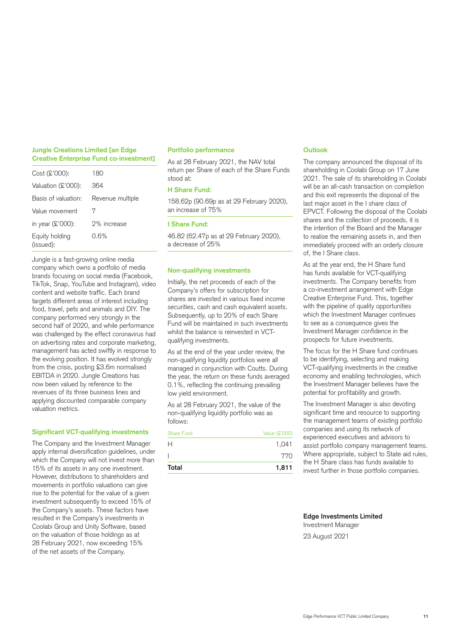#### **Jungle Creations Limited [an Edge Creative Enterprise Fund co-investment]**

| Cost (£'000):                         | 180              |
|---------------------------------------|------------------|
| Valuation (£'000):                    | 364              |
| Basis of valuation:                   | Revenue multiple |
| Value movement                        | 7                |
| in year $(\mathcal{E}^{\prime}000)$ : | 2% increase      |
| Equity holding<br>(issued):           | 0.6%             |

Jungle is a fast-growing online media company which owns a portfolio of media brands focusing on social media (Facebook, TikTok, Snap, YouTube and Instagram), video content and website traffic. Each brand targets different areas of interest including food, travel, pets and animals and DIY. The company performed very strongly in the second half of 2020, and while performance was challenged by the effect coronavirus had on advertising rates and corporate marketing, management has acted swiftly in response to the evolving position. It has evolved strongly from the crisis, posting £3.6m normalised EBITDA in 2020. Jungle Creations has now been valued by reference to the revenues of its three business lines and applying discounted comparable company valuation metrics.

#### **Significant VCT-qualifying investments**

The Company and the Investment Manager apply internal diversification guidelines, under which the Company will not invest more than 15% of its assets in any one investment. However, distributions to shareholders and movements in portfolio valuations can give rise to the potential for the value of a given investment subsequently to exceed 15% of the Company's assets. These factors have resulted in the Company's investments in Coolabi Group and Unity Software, based on the valuation of those holdings as at 28 February 2021, now exceeding 15% of the net assets of the Company.

#### **Portfolio performance**

As at 28 February 2021, the NAV total return per Share of each of the Share Funds stood at:

#### **H Share Fund:**

158.62p (90.69p as at 29 February 2020), an increase of 75%

#### **I Share Fund:**

46.82 (62.47p as at 29 February 2020), a decrease of 25%

#### **Non-qualifying investments**

Initially, the net proceeds of each of the Company's offers for subscription for shares are invested in various fixed income securities, cash and cash equivalent assets. Subsequently, up to 20% of each Share Fund will be maintained in such investments whilst the balance is reinvested in VCTqualifying investments.

As at the end of the year under review, the non-qualifying liquidity portfolios were all managed in conjunction with Coutts. During the year, the return on these funds averaged 0.1%, reflecting the continuing prevailing low yield environment.

As at 28 February 2021, the value of the non-qualifying liquidity portfolio was as follows:

| Total             | 1,811         |
|-------------------|---------------|
|                   | 770           |
| H                 | 1,041         |
| <b>Share Fund</b> | Value (£'000) |

#### **Outlook**

The company announced the disposal of its shareholding in Coolabi Group on 17 June 2021. The sale of its shareholding in Coolabi will be an all-cash transaction on completion and this exit represents the disposal of the last major asset in the I share class of EPVCT. Following the disposal of the Coolabi shares and the collection of proceeds, it is the intention of the Board and the Manager to realise the remaining assets in, and then immediately proceed with an orderly closure of, the I Share class.

As at the year end, the H Share fund has funds available for VCT-qualifying investments. The Company benefits from a co-investment arrangement with Edge Creative Enterprise Fund. This, together with the pipeline of quality opportunities which the Investment Manager continues to see as a consequence gives the Investment Manager confidence in the prospects for future investments.

The focus for the H Share fund continues to be identifying, selecting and making VCT-qualifying investments in the creative economy and enabling technologies, which the Investment Manager believes have the potential for profitability and growth.

The Investment Manager is also devoting significant time and resource to supporting the management teams of existing portfolio companies and using its network of experienced executives and advisors to assist portfolio company management teams. Where appropriate, subject to State aid rules, the H Share class has funds available to invest further in those portfolio companies.

**Edge Investments Limited**  Investment Manager 23 August 2021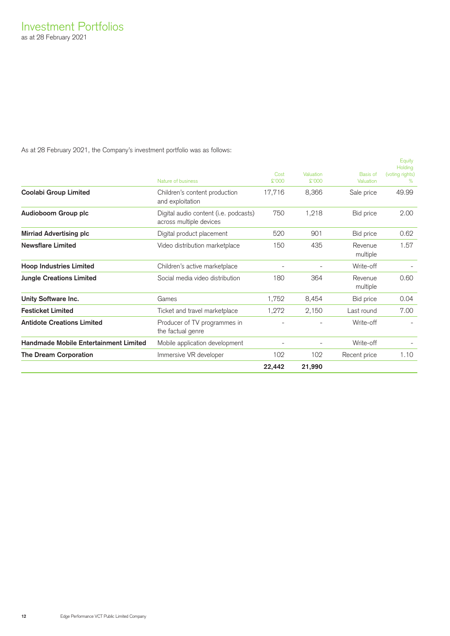As at 28 February 2021, the Company's investment portfolio was as follows:

|                                       |                                                                  |                |                     |                              | Equity<br>Holding    |
|---------------------------------------|------------------------------------------------------------------|----------------|---------------------|------------------------------|----------------------|
|                                       | Nature of business                                               | Cost<br>\$'000 | Valuation<br>\$'000 | <b>Basis</b> of<br>Valuation | (voting rights)<br>% |
| <b>Coolabi Group Limited</b>          | Children's content production<br>and exploitation                | 17,716         | 8,366               | Sale price                   | 49.99                |
| Audioboom Group plc                   | Digital audio content (i.e. podcasts)<br>across multiple devices | 750            | 1,218               | Bid price                    | 2.00                 |
| <b>Mirriad Advertising plc</b>        | Digital product placement                                        | 520            | 901                 | Bid price                    | 0.62                 |
| <b>Newsflare Limited</b>              | Video distribution marketplace                                   | 150            | 435                 | Revenue<br>multiple          | 1.57                 |
| <b>Hoop Industries Limited</b>        | Children's active marketplace                                    |                |                     | Write-off                    |                      |
| <b>Jungle Creations Limited</b>       | Social media video distribution                                  | 180            | 364                 | Revenue<br>multiple          | 0.60                 |
| Unity Software Inc.                   | Games                                                            | 1,752          | 8,454               | Bid price                    | 0.04                 |
| <b>Festicket Limited</b>              | Ticket and travel marketplace                                    | 1,272          | 2,150               | Last round                   | 7.00                 |
| <b>Antidote Creations Limited</b>     | Producer of TV programmes in<br>the factual genre                |                |                     | Write-off                    |                      |
| Handmade Mobile Entertainment Limited | Mobile application development                                   |                |                     | Write-off                    |                      |
| <b>The Dream Corporation</b>          | Immersive VR developer                                           | 102            | 102                 | Recent price                 | 1.10                 |
|                                       |                                                                  | 22,442         | 21,990              |                              |                      |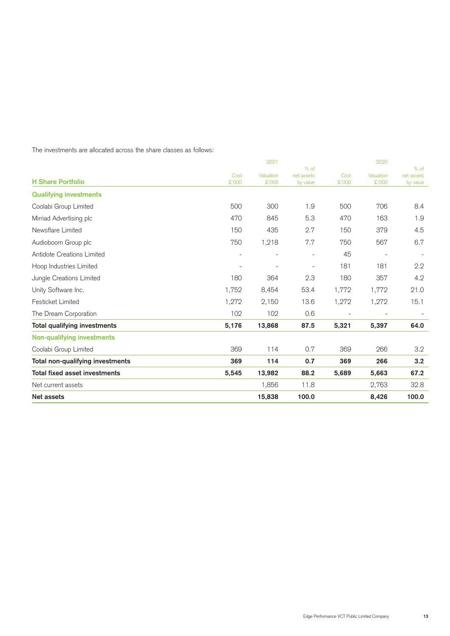The investments are allocated across the share classes as follows:

|                                      |                          | 2021                |                          |                | 2020                |                        |
|--------------------------------------|--------------------------|---------------------|--------------------------|----------------|---------------------|------------------------|
|                                      |                          |                     | $%$ of                   |                |                     | $%$ of                 |
| <b>H Share Portfolio</b>             | Cost<br>\$'000           | Valuation<br>\$'000 | net assets<br>by value   | Cost<br>\$'000 | Valuation<br>\$'000 | net assets<br>by value |
| <b>Qualifying investments</b>        |                          |                     |                          |                |                     |                        |
| Coolabi Group Limited                | 500                      | 300                 | 1.9                      | 500            | 706                 | 8.4                    |
| Mirriad Advertising plc              | 470                      | 845                 | 5.3                      | 470            | 163                 | 1.9                    |
| Newsflare Limited                    | 150                      | 435                 | 2.7                      | 150            | 379                 | 4.5                    |
| Audioboom Group plc                  | 750                      | 1,218               | 7.7                      | 750            | 567                 | 6.7                    |
| Antidote Creations Limited           | $\overline{\phantom{0}}$ |                     |                          | 45             |                     |                        |
| Hoop Industries Limited              |                          |                     | $\overline{\phantom{a}}$ | 181            | 181                 | 2.2                    |
| Jungle Creations Limited             | 180                      | 364                 | 2.3                      | 180            | 357                 | 4.2                    |
| Unity Software Inc.                  | 1,752                    | 8,454               | 53.4                     | 1,772          | 1,772               | 21.0                   |
| <b>Festicket Limited</b>             | 1,272                    | 2,150               | 13.6                     | 1,272          | 1,272               | 15.1                   |
| The Dream Corporation                | 102                      | 102                 | 0.6                      |                |                     |                        |
| <b>Total qualifying investments</b>  | 5,176                    | 13,868              | 87.5                     | 5,321          | 5,397               | 64.0                   |
| Non-qualifying investments           |                          |                     |                          |                |                     |                        |
| Coolabi Group Limited                | 369                      | 114                 | 0.7                      | 369            | 266                 | 3.2                    |
| Total non-qualifying investments     | 369                      | 114                 | 0.7                      | 369            | 266                 | 3.2                    |
| <b>Total fixed asset investments</b> | 5,545                    | 13,982              | 88.2                     | 5,689          | 5,663               | 67.2                   |
| Net current assets                   |                          | 1,856               | 11.8                     |                | 2,763               | 32.8                   |
| Net assets                           |                          | 15,838              | 100.0                    |                | 8,426               | 100.0                  |
|                                      |                          |                     |                          |                |                     |                        |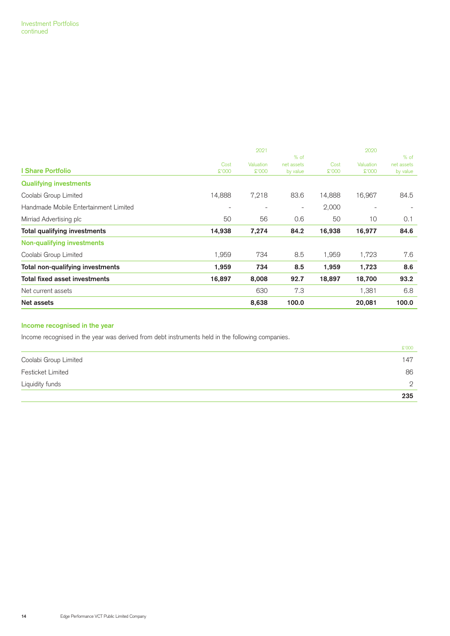|        | 2021      |            |        | 2020      |            |
|--------|-----------|------------|--------|-----------|------------|
|        |           | % of       |        |           | $%$ of     |
| Cost   | Valuation | net assets | Cost   | Valuation | net assets |
| £'000  | \$'000    | by value   | \$'000 | \$'000    | by value   |
|        |           |            |        |           |            |
| 14,888 | 7,218     | 83.6       | 14,888 | 16,967    | 84.5       |
|        |           | ٠          | 2,000  |           |            |
| 50     | 56        | 0.6        | 50     | 10        | 0.1        |
| 14,938 | 7,274     | 84.2       | 16,938 | 16,977    | 84.6       |
|        |           |            |        |           |            |
| 1,959  | 734       | 8.5        | 1,959  | 1,723     | 7.6        |
| 1,959  | 734       | 8.5        | 1,959  | 1,723     | 8.6        |
| 16,897 | 8,008     | 92.7       | 18,897 | 18,700    | 93.2       |
|        | 630       | 7.3        |        | 1,381     | 6.8        |
|        | 8,638     | 100.0      |        | 20,081    | 100.0      |
|        |           |            |        |           |            |

#### **Income recognised in the year**

Income recognised in the year was derived from debt instruments held in the following companies.

|                       | £'000 |
|-----------------------|-------|
| Coolabi Group Limited | 147   |
| Festicket Limited     | 86    |
| Liquidity funds       |       |
|                       | 235   |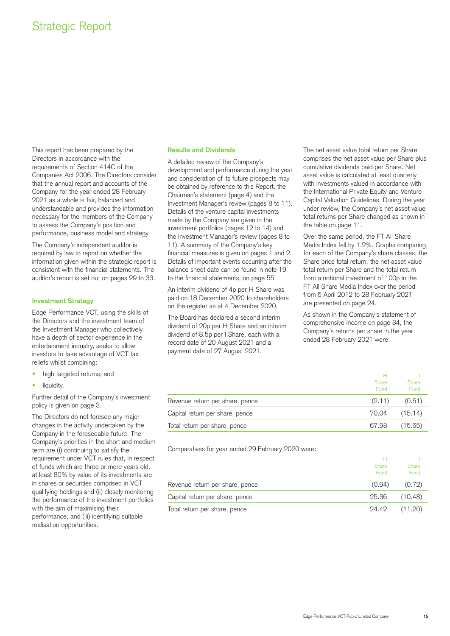This report has been prepared by the Directors in accordance with the requirements of Section 414C of the Companies Act 2006. The Directors consider that the annual report and accounts of the Company for the year ended 28 February 2021 as a whole is fair, balanced and understandable and provides the information necessary for the members of the Company to assess the Company's position and performance, business model and strategy.

The Company's independent auditor is required by law to report on whether the information given within the strategic report is consistent with the financial statements. The auditor's report is set out on pages 29 to 33.

#### **Investment Strategy**

Edge Performance VCT, using the skills of the Directors and the investment team of the Investment Manager who collectively have a depth of sector experience in the entertainment industry, seeks to allow investors to take advantage of VCT tax reliefs whilst combining:

- high targeted returns; and
- liquidity.

Further detail of the Company's investment policy is given on page 3.

The Directors do not foresee any major changes in the activity undertaken by the Company in the foreseeable future. The Company's priorities in the short and medium term are (i) continuing to satisfy the requirement under VCT rules that, in respect of funds which are three or more years old, at least 80% by value of its investments are in shares or securities comprised in VCT qualifying holdings and (ii) closely monitoring the performance of the investment portfolios with the aim of maximising their performance, and (iii) identifying suitable realisation opportunities.

#### **Results and Dividends**

A detailed review of the Company's development and performance during the year and consideration of its future prospects may be obtained by reference to this Report, the Chairman's statement (page 4) and the Investment Manager's review (pages 8 to 11). Details of the venture capital investments made by the Company are given in the investment portfolios (pages 12 to 14) and the Investment Manager's review (pages 8 to 11). A summary of the Company's key financial measures is given on pages 1 and 2. Details of important events occurring after the balance sheet date can be found in note 19 to the financial statements, on page 55.

An interim dividend of 4p per H Share was paid on 18 December 2020 to shareholders on the register as at 4 December 2020.

The Board has declared a second interim dividend of 20p per H Share and an interim dividend of 8.5p per I Share, each with a record date of 20 August 2021 and a payment date of 27 August 2021.

The net asset value total return per Share comprises the net asset value per Share plus cumulative dividends paid per Share. Net asset value is calculated at least quarterly with investments valued in accordance with the International Private Equity and Venture Capital Valuation Guidelines. During the year under review, the Company's net asset value total returns per Share changed as shown in the table on page 11.

Over the same period, the FT All Share Media Index fell by 1.2%. Graphs comparing, for each of the Company's share classes, the Share price total return, the net asset value total return per Share and the total return from a notional investment of 100p in the FT All Share Media Index over the period from 5 April 2012 to 28 February 2021 are presented on page 24.

As shown in the Company's statement of comprehensive income on page 34, the Company's returns per share in the year ended 28 February 2021 were:

|                                 | <b>Share</b><br><b>Fund</b> | Share<br>Fund |
|---------------------------------|-----------------------------|---------------|
| Revenue return per share, pence | (2.11)                      | (0.51)        |
| Capital return per share, pence | 70.04                       | (15.14)       |
| Total return per share, pence   | 67.93                       | (15.65)       |

Comparatives for year ended 29 February 2020 were:

|                                 | Share       | Share   |
|---------------------------------|-------------|---------|
|                                 | <b>Fund</b> | Fund    |
| Revenue return per share, pence | (0.94)      | (0.72)  |
| Capital return per share, pence | 25.36       | (10.48) |
| Total return per share, pence   | 24.42       | (11.20) |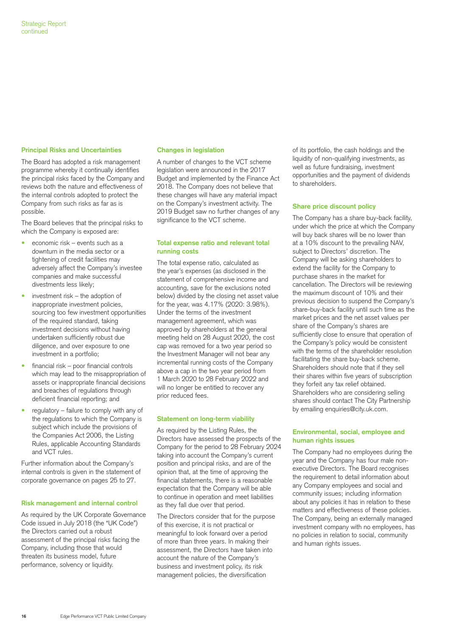#### **Principal Risks and Uncertainties**

The Board has adopted a risk management programme whereby it continually identifies the principal risks faced by the Company and reviews both the nature and effectiveness of the internal controls adopted to protect the Company from such risks as far as is possible.

The Board believes that the principal risks to which the Company is exposed are:

- economic risk events such as a downturn in the media sector or a tightening of credit facilities may adversely affect the Company's investee companies and make successful divestments less likely;
- investment risk the adoption of inappropriate investment policies, sourcing too few investment opportunities of the required standard, taking investment decisions without having undertaken sufficiently robust due diligence, and over exposure to one investment in a portfolio;
- financial risk poor financial controls which may lead to the misappropriation of assets or inappropriate financial decisions and breaches of regulations through deficient financial reporting; and
- regulatory failure to comply with any of the regulations to which the Company is subject which include the provisions of the Companies Act 2006, the Listing Rules, applicable Accounting Standards and VCT rules.

Further information about the Company's internal controls is given in the statement of corporate governance on pages 25 to 27.

#### **Risk management and internal control**

As required by the UK Corporate Governance Code issued in July 2018 (the "UK Code") the Directors carried out a robust assessment of the principal risks facing the Company, including those that would threaten its business model, future performance, solvency or liquidity.

#### **Changes in legislation**

A number of changes to the VCT scheme legislation were announced in the 2017 Budget and implemented by the Finance Act 2018. The Company does not believe that these changes will have any material impact on the Company's investment activity. The 2019 Budget saw no further changes of any significance to the VCT scheme.

#### **Total expense ratio and relevant total running costs**

The total expense ratio, calculated as the year's expenses (as disclosed in the statement of comprehensive income and accounting, save for the exclusions noted below) divided by the closing net asset value for the year, was 4.17% (2020: 3.98%). Under the terms of the investment management agreement, which was approved by shareholders at the general meeting held on 28 August 2020, the cost cap was removed for a two year period so the Investment Manager will not bear any incremental running costs of the Company above a cap in the two year period from 1 March 2020 to 28 February 2022 and will no longer be entitled to recover any prior reduced fees.

#### **Statement on long-term viability**

As required by the Listing Rules, the Directors have assessed the prospects of the Company for the period to 28 February 2024 taking into account the Company's current position and principal risks, and are of the opinion that, at the time of approving the financial statements, there is a reasonable expectation that the Company will be able to continue in operation and meet liabilities as they fall due over that period.

The Directors consider that for the purpose of this exercise, it is not practical or meaningful to look forward over a period of more than three years. In making their assessment, the Directors have taken into account the nature of the Company's business and investment policy, its risk management policies, the diversification

of its portfolio, the cash holdings and the liquidity of non-qualifying investments, as well as future fundraising, investment opportunities and the payment of dividends to shareholders.

#### **Share price discount policy**

The Company has a share buy-back facility, under which the price at which the Company will buy back shares will be no lower than at a 10% discount to the prevailing NAV, subject to Directors' discretion. The Company will be asking shareholders to extend the facility for the Company to purchase shares in the market for cancellation. The Directors will be reviewing the maximum discount of 10% and their previous decision to suspend the Company's share-buy-back facility until such time as the market prices and the net asset values per share of the Company's shares are sufficiently close to ensure that operation of the Company's policy would be consistent with the terms of the shareholder resolution facilitating the share buy-back scheme. Shareholders should note that if they sell their shares within five years of subscription they forfeit any tax relief obtained. Shareholders who are considering selling shares should contact The City Partnership by emailing enquiries@city.uk.com.

#### **Environmental, social, employee and human rights issues**

The Company had no employees during the year and the Company has four male nonexecutive Directors. The Board recognises the requirement to detail information about any Company employees and social and community issues; including information about any policies it has in relation to these matters and effectiveness of these policies. The Company, being an externally managed investment company with no employees, has no policies in relation to social, community and human rights issues.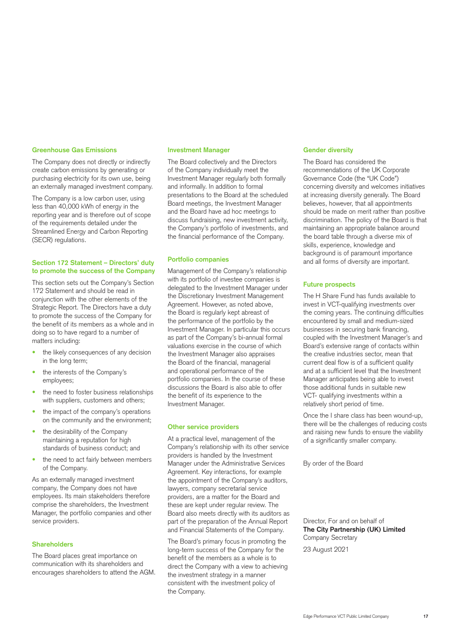#### **Greenhouse Gas Emissions**

The Company does not directly or indirectly create carbon emissions by generating or purchasing electricity for its own use, being an externally managed investment company.

The Company is a low carbon user, using less than 40,000 kWh of energy in the reporting year and is therefore out of scope of the requirements detailed under the Streamlined Energy and Carbon Reporting (SECR) regulations.

#### **Section 172 Statement – Directors' duty to promote the success of the Company**

This section sets out the Company's Section 172 Statement and should be read in conjunction with the other elements of the Strategic Report. The Directors have a duty to promote the success of the Company for the benefit of its members as a whole and in doing so to have regard to a number of matters including:

- the likely consequences of any decision in the long term;
- the interests of the Company's employees;
- the need to foster business relationships with suppliers, customers and others;
- the impact of the company's operations on the community and the environment;
- the desirability of the Company maintaining a reputation for high standards of business conduct; and
- the need to act fairly between members of the Company.

As an externally managed investment company, the Company does not have employees. Its main stakeholders therefore comprise the shareholders, the Investment Manager, the portfolio companies and other service providers.

#### **Shareholders**

The Board places great importance on communication with its shareholders and encourages shareholders to attend the AGM.

#### **Investment Manager**

The Board collectively and the Directors of the Company individually meet the Investment Manager regularly both formally and informally. In addition to formal presentations to the Board at the scheduled Board meetings, the Investment Manager and the Board have ad hoc meetings to discuss fundraising, new investment activity, the Company's portfolio of investments, and the financial performance of the Company.

#### **Portfolio companies**

Management of the Company's relationship with its portfolio of investee companies is delegated to the Investment Manager under the Discretionary Investment Management Agreement. However, as noted above, the Board is regularly kept abreast of the performance of the portfolio by the Investment Manager. In particular this occurs as part of the Company's bi-annual formal valuations exercise in the course of which the Investment Manager also appraises the Board of the financial, managerial and operational performance of the portfolio companies. In the course of these discussions the Board is also able to offer the benefit of its experience to the Investment Manager.

#### **Other service providers**

At a practical level, management of the Company's relationship with its other service providers is handled by the Investment Manager under the Administrative Services Agreement. Key interactions, for example the appointment of the Company's auditors, lawyers, company secretarial service providers, are a matter for the Board and these are kept under regular review. The Board also meets directly with its auditors as part of the preparation of the Annual Report and Financial Statements of the Company.

The Board's primary focus in promoting the long-term success of the Company for the benefit of the members as a whole is to direct the Company with a view to achieving the investment strategy in a manner consistent with the investment policy of the Company.

#### **Gender diversity**

The Board has considered the recommendations of the UK Corporate Governance Code (the "UK Code") concerning diversity and welcomes initiatives at increasing diversity generally. The Board believes, however, that all appointments should be made on merit rather than positive discrimination. The policy of the Board is that maintaining an appropriate balance around the board table through a diverse mix of skills, experience, knowledge and background is of paramount importance and all forms of diversity are important.

#### **Future prospects**

The H Share Fund has funds available to invest in VCT-qualifying investments over the coming years. The continuing difficulties encountered by small and medium-sized businesses in securing bank financing, coupled with the Investment Manager's and Board's extensive range of contacts within the creative industries sector, mean that current deal flow is of a sufficient quality and at a sufficient level that the Investment Manager anticipates being able to invest those additional funds in suitable new VCT- qualifying investments within a relatively short period of time.

Once the I share class has been wound-up, there will be the challenges of reducing costs and raising new funds to ensure the viability of a significantly smaller company.

By order of the Board

Director, For and on behalf of **The City Partnership (UK) Limited**  Company Secretary 23 August 2021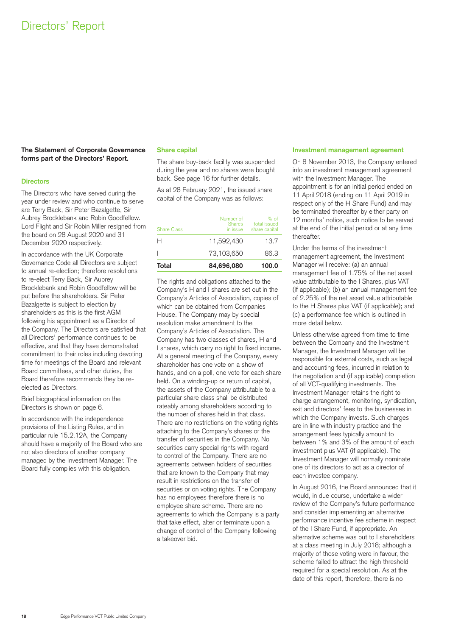### Directors' Report

**The Statement of Corporate Governance forms part of the Directors' Report.** 

#### **Directors**

The Directors who have served during the year under review and who continue to serve are Terry Back, Sir Peter Bazalgette, Sir Aubrey Brocklebank and Robin Goodfellow. Lord Flight and Sir Robin Miller resigned from the board on 28 August 2020 and 31 December 2020 respectively.

In accordance with the UK Corporate Governance Code all Directors are subject to annual re-election; therefore resolutions to re-elect Terry Back, Sir Aubrey Brocklebank and Robin Goodfellow will be put before the shareholders. Sir Peter Bazalgette is subject to election by shareholders as this is the first AGM following his appointment as a Director of the Company. The Directors are satisfied that all Directors' performance continues to be effective, and that they have demonstrated commitment to their roles including devoting time for meetings of the Board and relevant Board committees, and other duties, the Board therefore recommends they be reelected as Directors.

Brief biographical information on the Directors is shown on page 6.

In accordance with the independence provisions of the Listing Rules, and in particular rule 15.2.12A, the Company should have a majority of the Board who are not also directors of another company managed by the Investment Manager. The Board fully complies with this obligation.

#### **Share capital**

The share buy-back facility was suspended during the year and no shares were bought back. See page 16 for further details.

As at 28 February 2021, the issued share capital of the Company was as follows:

| <b>Share Class</b> | Number of<br><b>Shares</b><br>in issue | $%$ of<br>total issued<br>share capital |
|--------------------|----------------------------------------|-----------------------------------------|
| н                  | 11,592,430                             | 13.7                                    |
|                    | 73.103.650                             | 86.3                                    |
| Total              | 84.696.080                             | 100.0                                   |

The rights and obligations attached to the Company's H and I shares are set out in the Company's Articles of Association, copies of which can be obtained from Companies House. The Company may by special resolution make amendment to the Company's Articles of Association. The Company has two classes of shares, H and I shares, which carry no right to fixed income. At a general meeting of the Company, every shareholder has one vote on a show of hands, and on a poll, one vote for each share held. On a winding-up or return of capital, the assets of the Company attributable to a particular share class shall be distributed rateably among shareholders according to the number of shares held in that class. There are no restrictions on the voting rights attaching to the Company's shares or the transfer of securities in the Company. No securities carry special rights with regard to control of the Company. There are no agreements between holders of securities that are known to the Company that may result in restrictions on the transfer of securities or on voting rights. The Company has no employees therefore there is no employee share scheme. There are no agreements to which the Company is a party that take effect, alter or terminate upon a change of control of the Company following a takeover bid.

#### **Investment management agreement**

On 8 November 2013, the Company entered into an investment management agreement with the Investment Manager. The appointment is for an initial period ended on 11 April 2018 (ending on 11 April 2019 in respect only of the H Share Fund) and may be terminated thereafter by either party on 12 months' notice, such notice to be served at the end of the initial period or at any time thereafter.

Under the terms of the investment management agreement, the Investment Manager will receive: (a) an annual management fee of 1.75% of the net asset value attributable to the I Shares, plus VAT (if applicable); (b) an annual management fee of 2.25% of the net asset value attributable to the H Shares plus VAT (if applicable); and (c) a performance fee which is outlined in more detail below.

Unless otherwise agreed from time to time between the Company and the Investment Manager, the Investment Manager will be responsible for external costs, such as legal and accounting fees, incurred in relation to the negotiation and (if applicable) completion of all VCT-qualifying investments. The Investment Manager retains the right to charge arrangement, monitoring, syndication, exit and directors' fees to the businesses in which the Company invests. Such charges are in line with industry practice and the arrangement fees typically amount to between 1% and 3% of the amount of each investment plus VAT (if applicable). The Investment Manager will normally nominate one of its directors to act as a director of each investee company.

In August 2016, the Board announced that it would, in due course, undertake a wider review of the Company's future performance and consider implementing an alternative performance incentive fee scheme in respect of the I Share Fund, if appropriate. An alternative scheme was put to I shareholders at a class meeting in July 2018; although a majority of those voting were in favour, the scheme failed to attract the high threshold required for a special resolution. As at the date of this report, therefore, there is no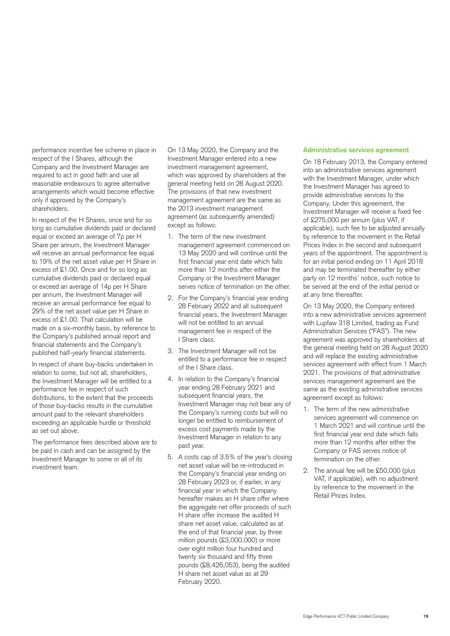performance incentive fee scheme in place in respect of the I Shares, although the Company and the Investment Manager are required to act in good faith and use all reasonable endeavours to agree alternative arrangements which would become effective only if approved by the Company's shareholders.

In respect of the H Shares, once and for so long as cumulative dividends paid or declared equal or exceed an average of 7p per H Share per annum, the Investment Manager will receive an annual performance fee equal to 19% of the net asset value per H Share in excess of £1.00. Once and for so long as cumulative dividends paid or declared equal or exceed an average of 14p per H Share per annum, the Investment Manager will receive an annual performance fee equal to 29% of the net asset value per H Share in excess of £1.00. That calculation will be made on a six-monthly basis, by reference to the Company's published annual report and financial statements and the Company's published half-yearly financial statements.

In respect of share buy-backs undertaken in relation to some, but not all, shareholders, the Investment Manager will be entitled to a performance fee in respect of such distributions, to the extent that the proceeds of those buy-backs results in the cumulative amount paid to the relevant shareholders exceeding an applicable hurdle or threshold as set out above.

The performance fees described above are to be paid in cash and can be assigned by the Investment Manager to some or all of its investment team.

On 13 May 2020, the Company and the Investment Manager entered into a new investment management agreement, which was approved by shareholders at the general meeting held on 28 August 2020. The provisions of that new investment management agreement are the same as the 2013 investment management agreement (as subsequently amended) except as follows:

- 1. The term of the new investment management agreement commenced on 13 May 2020 and will continue until the first financial year end date which falls more than 12 months after either the Company or the Investment Manager serves notice of termination on the other.
- 2. For the Company's financial year ending 28 February 2022 and all subsequent financial years, the Investment Manager will not be entitled to an annual management fee in respect of the I Share class.
- 3. The Investment Manager will not be entitled to a performance fee in respect of the I Share class.
- 4. In relation to the Company's financial year ending 28 February 2021 and subsequent financial years, the Investment Manager may not bear any of the Company's running costs but will no longer be entitled to reimbursement of excess cost payments made by the Investment Manager in relation to any past year.
- 5. A costs cap of 3.5% of the year's closing net asset value will be re-introduced in the Company's financial year ending on 28 February 2023 or, if earlier, in any financial year in which the Company hereafter makes an H share offer where the aggregate net offer proceeds of such H share offer increase the audited H share net asset value, calculated as at the end of that financial year, by three million pounds (£3,000,000) or more over eight million four hundred and twenty six thousand and fifty three pounds (£8,426,053), being the audited H share net asset value as at 29 February 2020.

#### **Administrative services agreement**

On 18 February 2013, the Company entered into an administrative services agreement with the Investment Manager, under which the Investment Manager has agreed to provide administrative services to the Company. Under this agreement, the Investment Manager will receive a fixed fee of £275,000 per annum (plus VAT, if applicable), such fee to be adjusted annually by reference to the movement in the Retail Prices Index in the second and subsequent years of the appointment. The appointment is for an initial period ending on 11 April 2018 and may be terminated thereafter by either party on 12 months' notice, such notice to be served at the end of the initial period or at any time thereafter.

On 13 May 2020, the Company entered into a new administrative services agreement with Lupfaw 318 Limited, trading as Fund Administration Services ("FAS"). The new agreement was approved by shareholders at the general meeting held on 28 August 2020 and will replace the existing administrative services agreement with effect from 1 March 2021. The provisions of that administrative services management agreement are the same as the existing administrative services agreement except as follows:

- 1. The term of the new administrative services agreement will commence on 1 March 2021 and will continue until the first financial year end date which falls more than 12 months after either the Company or FAS serves notice of termination on the other.
- 2. The annual fee will be £50,000 (plus VAT, if applicable), with no adjustment by reference to the movement in the Retail Prices Index.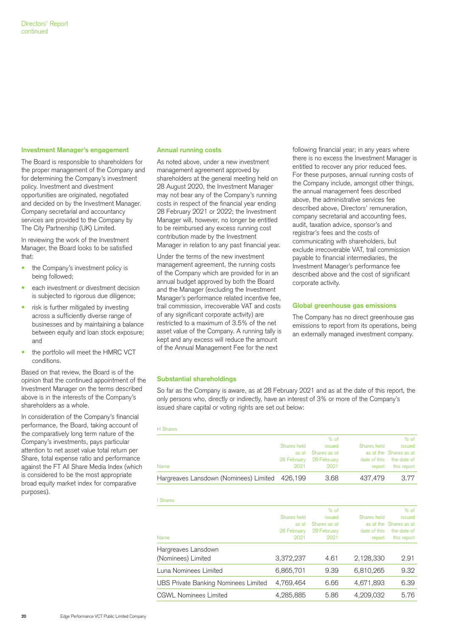#### **Investment Manager's engagement**

The Board is responsible to shareholders for the proper management of the Company and for determining the Company's investment policy. Investment and divestment opportunities are originated, negotiated and decided on by the Investment Manager. Company secretarial and accountancy services are provided to the Company by The City Partnership (UK) Limited.

In reviewing the work of the Investment Manager, the Board looks to be satisfied that:

- the Company's investment policy is being followed;
- each investment or divestment decision is subjected to rigorous due diligence;
- risk is further mitigated by investing across a sufficiently diverse range of businesses and by maintaining a balance between equity and loan stock exposure; and
- the portfolio will meet the HMRC VCT conditions.

Based on that review, the Board is of the opinion that the continued appointment of the Investment Manager on the terms described above is in the interests of the Company's shareholders as a whole.

In consideration of the Company's financial performance, the Board, taking account of the comparatively long term nature of the Company's investments, pays particular attention to net asset value total return per Share, total expense ratio and performance against the FT All Share Media Index (which is considered to be the most appropriate broad equity market index for comparative purposes).

#### **Annual running costs**

As noted above, under a new investment management agreement approved by shareholders at the general meeting held on 28 August 2020, the Investment Manager may not bear any of the Company's running costs in respect of the financial year ending 28 February 2021 or 2022; the Investment Manager will, however, no longer be entitled to be reimbursed any excess running cost contribution made by the Investment Manager in relation to any past financial year.

Under the terms of the new investment management agreement, the running costs of the Company which are provided for in an annual budget approved by both the Board and the Manager (excluding the Investment Manager's performance related incentive fee, trail commission, irrecoverable VAT and costs of any significant corporate activity) are restricted to a maximum of 3.5% of the net asset value of the Company. A running tally is kept and any excess will reduce the amount of the Annual Management Fee for the next

following financial year; in any years where there is no excess the Investment Manager is entitled to recover any prior reduced fees. For these purposes, annual running costs of the Company include, amongst other things, the annual management fees described above, the administrative services fee described above, Directors' remuneration, company secretarial and accounting fees, audit, taxation advice, sponsor's and registrar's fees and the costs of communicating with shareholders, but exclude irrecoverable VAT, trail commission payable to financial intermediaries, the Investment Manager's performance fee described above and the cost of significant corporate activity.

#### **Global greenhouse gas emissions**

The Company has no direct greenhouse gas emissions to report from its operations, being an externally managed investment company.

#### **Substantial shareholdings**

So far as the Company is aware, as at 28 February 2021 and as at the date of this report, the only persons who, directly or indirectly, have an interest of 3% or more of the Company's issued share capital or voting rights are set out below:

| H Shares                                       |             |                         |             |                          |
|------------------------------------------------|-------------|-------------------------|-------------|--------------------------|
|                                                |             | $%$ of                  |             | $%$ of                   |
|                                                | Shares held | issued                  | Shares held | issued                   |
|                                                |             | as at Shares as at      |             | as at the Shares as at   |
|                                                |             | 28 February 28 February |             | date of this the date of |
| <b>Name</b>                                    | 2021        | 2021                    |             | report this report       |
| Hargreaves Lansdown (Nominees) Limited 426,199 |             | 3.68                    | 437.479     | 3.77                     |

| _____ |  |
|-------|--|

|                                             |             | % of               |              | $%$ of                 |
|---------------------------------------------|-------------|--------------------|--------------|------------------------|
|                                             | Shares held | issued             | Shares held  | issued                 |
|                                             |             | as at Shares as at |              | as at the Shares as at |
|                                             | 28 February | 28 February        | date of this | the date of            |
| Name                                        | 2021        | 2021               | report       | this report            |
| Hargreaves Lansdown                         |             |                    |              |                        |
| (Nominees) Limited                          | 3,372,237   | 4.61               | 2,128,330    | 2.91                   |
| Luna Nominees Limited                       | 6,865,701   | 9.39               | 6,810,265    | 9.32                   |
| <b>UBS Private Banking Nominees Limited</b> | 4,769,464   | 6.66               | 4,671,893    | 6.39                   |
| <b>CGWL Nominees Limited</b>                | 4,285,885   | 5.86               | 4,209,032    | 5.76                   |
|                                             |             |                    |              |                        |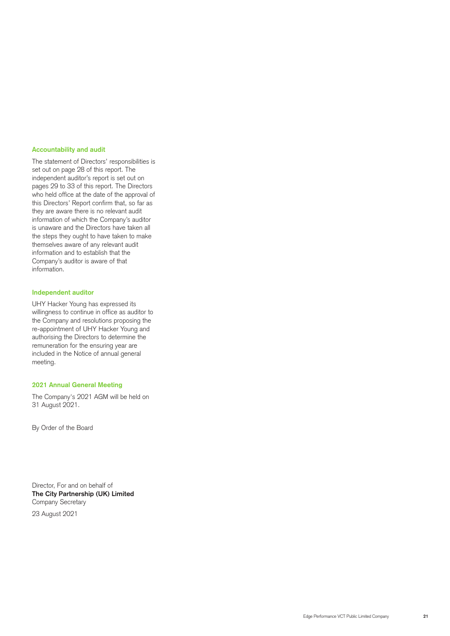#### **Accountability and audit**

The statement of Directors' responsibilities is set out on page 28 of this report. The independent auditor's report is set out on pages 29 to 33 of this report. The Directors who held office at the date of the approval of this Directors' Report confirm that, so far as they are aware there is no relevant audit information of which the Company's auditor is unaware and the Directors have taken all the steps they ought to have taken to make themselves aware of any relevant audit information and to establish that the Company's auditor is aware of that information.

#### **Independent auditor**

UHY Hacker Young has expressed its willingness to continue in office as auditor to the Company and resolutions proposing the re-appointment of UHY Hacker Young and authorising the Directors to determine the remuneration for the ensuring year are included in the Notice of annual general meeting.

#### **2021 Annual General Meeting**

The Company's 2021 AGM will be held on 31 August 2021.

By Order of the Board

Director, For and on behalf of **The City Partnership (UK) Limited**  Company Secretary 23 August 2021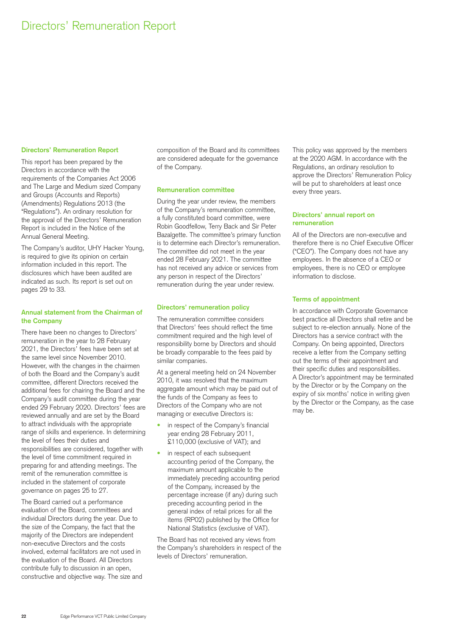#### **Directors' Remuneration Report**

This report has been prepared by the Directors in accordance with the requirements of the Companies Act 2006 and The Large and Medium sized Company and Groups (Accounts and Reports) (Amendments) Regulations 2013 (the "Regulations"). An ordinary resolution for the approval of the Directors' Remuneration Report is included in the Notice of the Annual General Meeting.

The Company's auditor, UHY Hacker Young, is required to give its opinion on certain information included in this report. The disclosures which have been audited are indicated as such. Its report is set out on pages 29 to 33.

#### **Annual statement from the Chairman of the Company**

There have been no changes to Directors' remuneration in the year to 28 February 2021, the Directors' fees have been set at the same level since November 2010. However, with the changes in the chairmen of both the Board and the Company's audit committee, different Directors received the additional fees for chairing the Board and the Company's audit committee during the year ended 29 February 2020. Directors' fees are reviewed annually and are set by the Board to attract individuals with the appropriate range of skills and experience. In determining the level of fees their duties and responsibilities are considered, together with the level of time commitment required in preparing for and attending meetings. The remit of the remuneration committee is included in the statement of corporate governance on pages 25 to 27.

The Board carried out a performance evaluation of the Board, committees and individual Directors during the year. Due to the size of the Company, the fact that the majority of the Directors are independent non-executive Directors and the costs involved, external facilitators are not used in the evaluation of the Board. All Directors contribute fully to discussion in an open, constructive and objective way. The size and composition of the Board and its committees are considered adequate for the governance of the Company.

#### **Remuneration committee**

During the year under review, the members of the Company's remuneration committee, a fully constituted board committee, were Robin Goodfellow, Terry Back and Sir Peter Bazalgette. The committee's primary function is to determine each Director's remuneration. The committee did not meet in the year ended 28 February 2021. The committee has not received any advice or services from any person in respect of the Directors' remuneration during the year under review.

#### **Directors' remuneration policy**

The remuneration committee considers that Directors' fees should reflect the time commitment required and the high level of responsibility borne by Directors and should be broadly comparable to the fees paid by similar companies.

At a general meeting held on 24 November 2010, it was resolved that the maximum aggregate amount which may be paid out of the funds of the Company as fees to Directors of the Company who are not managing or executive Directors is:

- in respect of the Company's financial year ending 28 February 2011, £110,000 (exclusive of VAT); and
- in respect of each subsequent accounting period of the Company, the maximum amount applicable to the immediately preceding accounting period of the Company, increased by the percentage increase (if any) during such preceding accounting period in the general index of retail prices for all the items (RP02) published by the Office for National Statistics (exclusive of VAT).

The Board has not received any views from the Company's shareholders in respect of the levels of Directors' remuneration.

This policy was approved by the members at the 2020 AGM. In accordance with the Regulations, an ordinary resolution to approve the Directors' Remuneration Policy will be put to shareholders at least once every three years.

#### **Directors' annual report on remuneration**

All of the Directors are non-executive and therefore there is no Chief Executive Officer ("CEO"). The Company does not have any employees. In the absence of a CEO or employees, there is no CEO or employee information to disclose.

#### **Terms of appointment**

In accordance with Corporate Governance best practice all Directors shall retire and be subject to re-election annually. None of the Directors has a service contract with the Company. On being appointed, Directors receive a letter from the Company setting out the terms of their appointment and their specific duties and responsibilities. A Director's appointment may be terminated by the Director or by the Company on the expiry of six months' notice in writing given by the Director or the Company, as the case may be.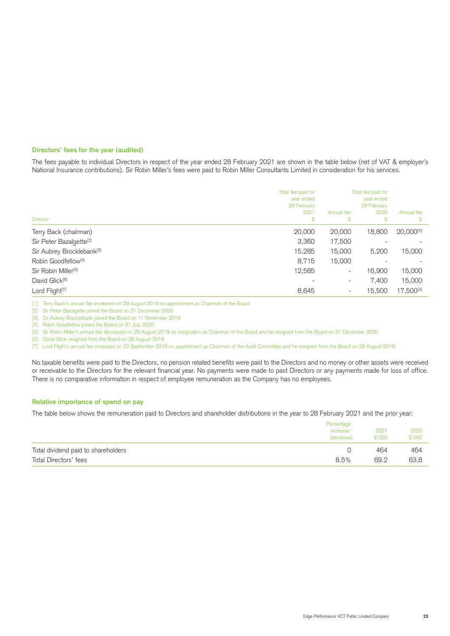#### **Directors' fees for the year (audited)**

The fees payable to individual Directors in respect of the year ended 28 February 2021 are shown in the table below (net of VAT & employer's National Insurance contributions). Sir Robin Miller's fees were paid to Robin Miller Consultants Limited in consideration for his services.

| <b>Director</b>                     | Total fee paid for<br>year ended<br>28 February<br>2021<br>£ | Annual fee<br>£          | Total fee paid for<br>year ended<br>29 February<br>2020<br>£ | Annual fee<br>£ |
|-------------------------------------|--------------------------------------------------------------|--------------------------|--------------------------------------------------------------|-----------------|
| Terry Back (chairman)               | 20,000                                                       | 20,000                   | 18,800                                                       | 20,000[1]       |
| Sir Peter Bazalgette <sup>[2]</sup> | 3,360                                                        | 17,500                   |                                                              |                 |
| Sir Aubrey Brocklebank[3]           | 15,285                                                       | 15,000                   | 5,200                                                        | 15,000          |
| Robin Goodfellow <sup>[4]</sup>     | 8,715                                                        | 15,000                   |                                                              |                 |
| Sir Robin Miller <sup>[5]</sup>     | 12,585                                                       | -                        | 16,900                                                       | 15,000          |
| David Glick <sup>[6]</sup>          |                                                              | $\overline{\phantom{a}}$ | 7.400                                                        | 15,000          |
| Lord Flight <sup>[7]</sup>          | 8,645                                                        | $\overline{\phantom{a}}$ | 15,500                                                       | 17,500[3]       |

[1] Terry Back's annual fee increased on 29 August 2019 on appointment as Chairman of the Board

[2] Sir Peter Bazalgette joined the Board on 21 December 2020

[3] Sir Aubrey Brocklebank joined the Board on 11 November 2019

[4] Robin Goodfellow joined the Board on 31 July 2020

[5] Sir Robin Miller's annual fee decreased on 29 August 2019 on resignation as Chairman of the Board and he resigned from the Board on 31 December 2020

[6] David Glick resigned from the Board on 28 August 2019

[7] Lord Flight's annual fee increased on 23 September 2019 on appointment as Chairman of the Audit Committee and he resigned from the Board on 28 August 2019.

No taxable benefits were paid to the Directors, no pension related benefits were paid to the Directors and no money or other assets were received or receivable to the Directors for the relevant financial year. No payments were made to past Directors or any payments made for loss of office. There is no comparative information in respect of employee remuneration as the Company has no employees.

#### **Relative importance of spend on pay**

The table below shows the remuneration paid to Directors and shareholder distributions in the year to 28 February 2021 and the prior year:

|                                     | Percentage |        |        |
|-------------------------------------|------------|--------|--------|
|                                     | increase/  | 2021   | 2020   |
|                                     | (decrease) | \$'000 | \$'000 |
| Total dividend paid to shareholders |            | 464    | 464    |
| Total Directors' fees               | 8.5%       | 69.2   | 63.8   |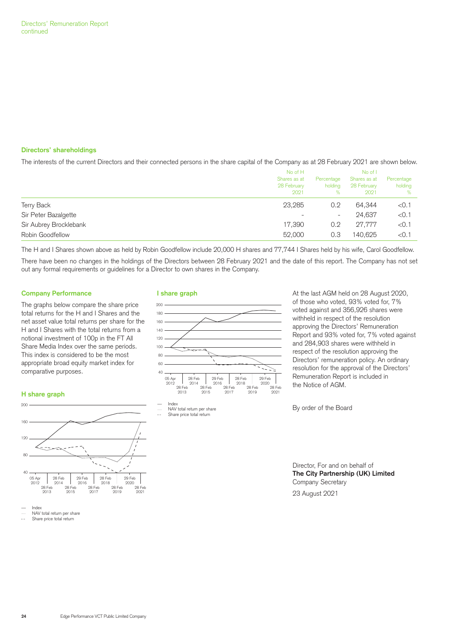#### **Directors' shareholdings**

The interests of the current Directors and their connected persons in the share capital of the Company as at 28 February 2021 are shown below.

|                        | No of H<br>Shares as at<br>28 February<br>2021 | Percentage<br>holding    | No of I<br>Shares as at<br>28 February<br>2021 | Percentage<br>holding<br>% |
|------------------------|------------------------------------------------|--------------------------|------------------------------------------------|----------------------------|
| Terry Back             | 23,285                                         | 0.2                      | 64.344                                         | $<$ 0.1                    |
| Sir Peter Bazalgette   |                                                | $\overline{\phantom{0}}$ | 24.637                                         | < 0.1                      |
| Sir Aubrey Brocklebank | 17.390                                         | 0.2                      | 27.777                                         | < 0.1                      |
| Robin Goodfellow       | 52,000                                         | 0.3                      | 140.625                                        | < 0.1                      |

The H and I Shares shown above as held by Robin Goodfellow include 20,000 H shares and 77,744 I Shares held by his wife, Carol Goodfellow.

There have been no changes in the holdings of the Directors between 28 February 2021 and the date of this report. The Company has not set out any formal requirements or guidelines for a Director to own shares in the Company.

#### **Company Performance**

The graphs below compare the share price total returns for the H and I Shares and the net asset value total returns per share for the H and I Shares with the total returns from a notional investment of 100p in the FT All Share Media Index over the same periods. This index is considered to be the most appropriate broad equity market index for comparative purposes.

#### **H share graph**



–– Index

....... NAV total return per share Share price total return



**I share graph <br>At the last AGM held on 28 August 2020,** of those who voted, 93% voted for, 7% voted against and 356,926 shares were withheld in respect of the resolution approving the Directors' Remuneration Report and 93% voted for, 7% voted against and 284,903 shares were withheld in respect of the resolution approving the Directors' remuneration policy. An ordinary resolution for the approval of the Directors' Remuneration Report is included in the Notice of AGM.

By order of the Board

Director, For and on behalf of **The City Partnership (UK) Limited**  Company Secretary 23 August 2021

<sup>.......</sup> NAV total return per share Share price total return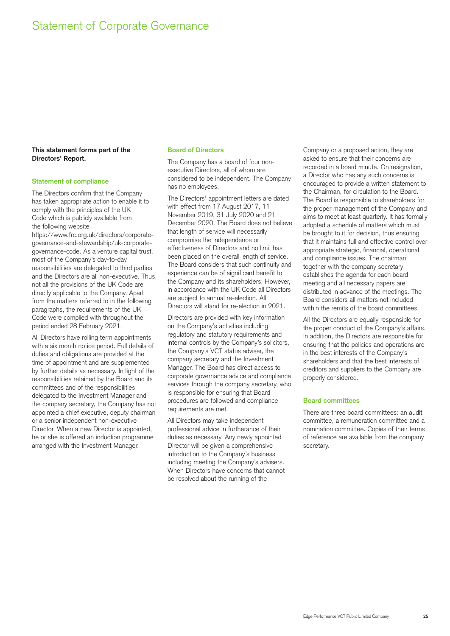#### **This statement forms part of the Directors' Report.**

#### **Statement of compliance**

The Directors confirm that the Company has taken appropriate action to enable it to comply with the principles of the UK Code which is publicly available from the following website

https://www.frc.org.uk/directors/corporategovernance-and-stewardship/uk-corporategovernance-code. As a venture capital trust, most of the Company's day-to-day responsibilities are delegated to third parties and the Directors are all non-executive. Thus, not all the provisions of the UK Code are directly applicable to the Company. Apart from the matters referred to in the following paragraphs, the requirements of the UK Code were complied with throughout the period ended 28 February 2021.

All Directors have rolling term appointments with a six month notice period. Full details of duties and obligations are provided at the time of appointment and are supplemented by further details as necessary. In light of the responsibilities retained by the Board and its committees and of the responsibilities delegated to the Investment Manager and the company secretary, the Company has not appointed a chief executive, deputy chairman or a senior independent non-executive Director. When a new Director is appointed, he or she is offered an induction programme arranged with the Investment Manager.

#### **Board of Directors**

The Company has a board of four nonexecutive Directors, all of whom are considered to be independent. The Company has no employees.

The Directors' appointment letters are dated with effect from 17 August 2017, 11 November 2019, 31 July 2020 and 21 December 2020. The Board does not believe that length of service will necessarily compromise the independence or effectiveness of Directors and no limit has been placed on the overall length of service. The Board considers that such continuity and experience can be of significant benefit to the Company and its shareholders. However, in accordance with the UK Code all Directors are subject to annual re-election. All Directors will stand for re-election in 2021.

Directors are provided with key information on the Company's activities including regulatory and statutory requirements and internal controls by the Company's solicitors, the Company's VCT status adviser, the company secretary and the Investment Manager. The Board has direct access to corporate governance advice and compliance services through the company secretary, who is responsible for ensuring that Board procedures are followed and compliance requirements are met.

All Directors may take independent professional advice in furtherance of their duties as necessary. Any newly appointed Director will be given a comprehensive introduction to the Company's business including meeting the Company's advisers. When Directors have concerns that cannot be resolved about the running of the

Company or a proposed action, they are asked to ensure that their concerns are recorded in a board minute. On resignation, a Director who has any such concerns is encouraged to provide a written statement to the Chairman, for circulation to the Board. The Board is responsible to shareholders for the proper management of the Company and aims to meet at least quarterly. It has formally adopted a schedule of matters which must be brought to it for decision, thus ensuring that it maintains full and effective control over appropriate strategic, financial, operational and compliance issues. The chairman together with the company secretary establishes the agenda for each board meeting and all necessary papers are distributed in advance of the meetings. The Board considers all matters not included within the remits of the board committees.

All the Directors are equally responsible for the proper conduct of the Company's affairs. In addition, the Directors are responsible for ensuring that the policies and operations are in the best interests of the Company's shareholders and that the best interests of creditors and suppliers to the Company are properly considered.

#### **Board committees**

There are three board committees: an audit committee, a remuneration committee and a nomination committee. Copies of their terms of reference are available from the company secretary.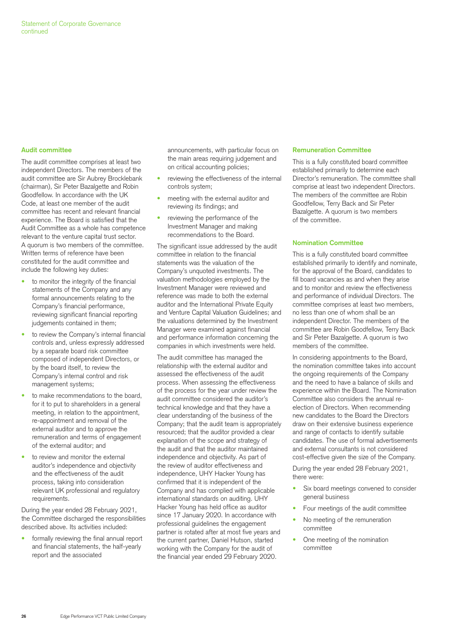#### **Audit committee**

The audit committee comprises at least two independent Directors. The members of the audit committee are Sir Aubrey Brocklebank (chairman), Sir Peter Bazalgette and Robin Goodfellow. In accordance with the UK Code, at least one member of the audit committee has recent and relevant financial experience. The Board is satisfied that the Audit Committee as a whole has competence relevant to the venture capital trust sector. A quorum is two members of the committee. Written terms of reference have been constituted for the audit committee and include the following key duties:

- to monitor the integrity of the financial statements of the Company and any formal announcements relating to the Company's financial performance, reviewing significant financial reporting judgements contained in them;
- to review the Company's internal financial controls and, unless expressly addressed by a separate board risk committee composed of independent Directors, or by the board itself, to review the Company's internal control and risk management systems;
- to make recommendations to the board, for it to put to shareholders in a general meeting, in relation to the appointment, re-appointment and removal of the external auditor and to approve the remuneration and terms of engagement of the external auditor; and
- to review and monitor the external auditor's independence and objectivity and the effectiveness of the audit process, taking into consideration relevant UK professional and regulatory requirements.

During the year ended 28 February 2021, the Committee discharged the responsibilities described above. Its activities included:

• formally reviewing the final annual report and financial statements, the half-yearly report and the associated

announcements, with particular focus on the main areas requiring judgement and on critical accounting policies;

- reviewing the effectiveness of the internal controls system;
- meeting with the external auditor and reviewing its findings; and
- reviewing the performance of the Investment Manager and making recommendations to the Board.

The significant issue addressed by the audit committee in relation to the financial statements was the valuation of the Company's unquoted investments. The valuation methodologies employed by the Investment Manager were reviewed and reference was made to both the external auditor and the International Private Equity and Venture Capital Valuation Guidelines; and the valuations determined by the Investment Manager were examined against financial and performance information concerning the companies in which investments were held.

The audit committee has managed the relationship with the external auditor and assessed the effectiveness of the audit process. When assessing the effectiveness of the process for the year under review the audit committee considered the auditor's technical knowledge and that they have a clear understanding of the business of the Company; that the audit team is appropriately resourced; that the auditor provided a clear explanation of the scope and strategy of the audit and that the auditor maintained independence and objectivity. As part of the review of auditor effectiveness and independence, UHY Hacker Young has confirmed that it is independent of the Company and has complied with applicable international standards on auditing. UHY Hacker Young has held office as auditor since 17 January 2020. In accordance with professional guidelines the engagement partner is rotated after at most five years and the current partner, Daniel Hutson, started working with the Company for the audit of the financial year ended 29 February 2020.

#### **Remuneration Committee**

This is a fully constituted board committee established primarily to determine each Director's remuneration. The committee shall comprise at least two independent Directors. The members of the committee are Robin Goodfellow, Terry Back and Sir Peter Bazalgette. A quorum is two members of the committee.

#### **Nomination Committee**

This is a fully constituted board committee established primarily to identify and nominate, for the approval of the Board, candidates to fill board vacancies as and when they arise and to monitor and review the effectiveness and performance of individual Directors. The committee comprises at least two members, no less than one of whom shall be an independent Director. The members of the committee are Robin Goodfellow, Terry Back and Sir Peter Bazalgette. A quorum is two members of the committee.

In considering appointments to the Board, the nomination committee takes into account the ongoing requirements of the Company and the need to have a balance of skills and experience within the Board. The Nomination Committee also considers the annual reelection of Directors. When recommending new candidates to the Board the Directors draw on their extensive business experience and range of contacts to identify suitable candidates. The use of formal advertisements and external consultants is not considered cost-effective given the size of the Company.

During the year ended 28 February 2021, there were:

- Six board meetings convened to consider general business
- Four meetings of the audit committee
- No meeting of the remuneration committee
- One meeting of the nomination committee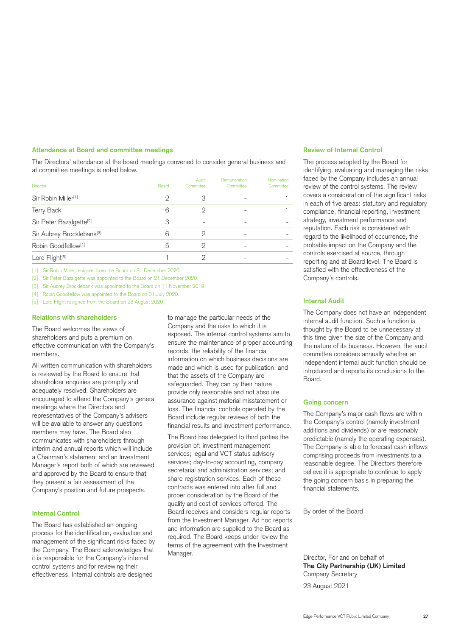#### **Attendance at Board and committee meetings**

The Directors' attendance at the board meetings convened to consider general business and at committee meetings is noted below.

| Board | Audit<br>Committee | Remuneration<br>Committee | Nomination<br>Committee |
|-------|--------------------|---------------------------|-------------------------|
| 2     | 3                  |                           |                         |
| 6     | 9                  |                           |                         |
| З     |                    |                           |                         |
| 6     | 2                  |                           |                         |
| 5     | 2                  |                           |                         |
|       | 2                  |                           |                         |
|       |                    |                           |                         |

[1] Sir Robin Miller resigned from the Board on 31 December 2020.

[2] Sir Peter Bazalgette was appointed to the Board on 21 December 2020.

[3] Sir Aubrey Brocklebank was appointed to the Board on 11 November 2019.

[4] Robin Goodfellow was appointed to the Board on 31 July 2020. [5] Lord Flight resigned from the Board on 28 August 2020.

**Relations with shareholders** 

The Board welcomes the views of shareholders and puts a premium on effective communication with the Company's members.

All written communication with shareholders is reviewed by the Board to ensure that shareholder enquiries are promptly and adequately resolved. Shareholders are encouraged to attend the Company's general meetings where the Directors and representatives of the Company's advisers will be available to answer any questions members may have. The Board also communicates with shareholders through interim and annual reports which will include a Chairman's statement and an Investment Manager's report both of which are reviewed and approved by the Board to ensure that they present a fair assessment of the Company's position and future prospects.

#### **Internal Control**

The Board has established an ongoing process for the identification, evaluation and management of the significant risks faced by the Company. The Board acknowledges that it is responsible for the Company's internal control systems and for reviewing their effectiveness. Internal controls are designed

to manage the particular needs of the Company and the risks to which it is exposed. The internal control systems aim to ensure the maintenance of proper accounting records, the reliability of the financial information on which business decisions are made and which is used for publication, and that the assets of the Company are safeguarded. They can by their nature provide only reasonable and not absolute assurance against material misstatement or loss. The financial controls operated by the Board include regular reviews of both the financial results and investment performance.

The Board has delegated to third parties the provision of: investment management services; legal and VCT status advisory services; day-to-day accounting, company secretarial and administration services; and share registration services. Each of these contracts was entered into after full and proper consideration by the Board of the quality and cost of services offered. The Board receives and considers regular reports from the Investment Manager. Ad hoc reports and information are supplied to the Board as required. The Board keeps under review the terms of the agreement with the Investment Manager.

#### **Review of Internal Control**

The process adopted by the Board for identifying, evaluating and managing the risks faced by the Company includes an annual review of the control systems. The review covers a consideration of the significant risks in each of five areas: statutory and regulatory compliance, financial reporting, investment strategy, investment performance and reputation. Each risk is considered with regard to the likelihood of occurrence, the probable impact on the Company and the controls exercised at source, through reporting and at Board level. The Board is satisfied with the effectiveness of the Company's controls.

#### **Internal Audit**

The Company does not have an independent internal audit function. Such a function is thought by the Board to be unnecessary at this time given the size of the Company and the nature of its business. However, the audit committee considers annually whether an independent internal audit function should be introduced and reports its conclusions to the Board.

#### **Going concern**

The Company's major cash flows are within the Company's control (namely investment additions and dividends) or are reasonably predictable (namely the operating expenses). The Company is able to forecast cash inflows comprising proceeds from investments to a reasonable degree. The Directors therefore believe it is appropriate to continue to apply the going concern basis in preparing the financial statements.

By order of the Board

Director, For and on behalf of **The City Partnership (UK) Limited**  Company Secretary 23 August 2021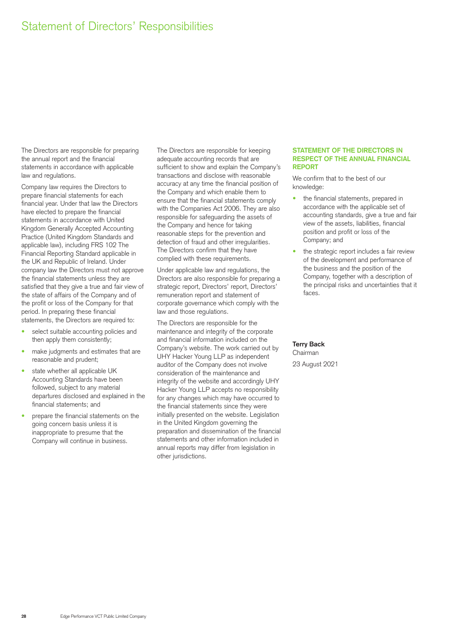The Directors are responsible for preparing the annual report and the financial statements in accordance with applicable law and regulations.

Company law requires the Directors to prepare financial statements for each financial year. Under that law the Directors have elected to prepare the financial statements in accordance with United Kingdom Generally Accepted Accounting Practice (United Kingdom Standards and applicable law), including FRS 102 The Financial Reporting Standard applicable in the UK and Republic of Ireland. Under company law the Directors must not approve the financial statements unless they are satisfied that they give a true and fair view of the state of affairs of the Company and of the profit or loss of the Company for that period. In preparing these financial statements, the Directors are required to:

select suitable accounting policies and then apply them consistently;

- make judgments and estimates that are reasonable and prudent;
- state whether all applicable UK Accounting Standards have been followed, subject to any material departures disclosed and explained in the financial statements; and
- prepare the financial statements on the going concern basis unless it is inappropriate to presume that the Company will continue in business.

The Directors are responsible for keeping adequate accounting records that are sufficient to show and explain the Company's transactions and disclose with reasonable accuracy at any time the financial position of the Company and which enable them to ensure that the financial statements comply with the Companies Act 2006. They are also responsible for safeguarding the assets of the Company and hence for taking reasonable steps for the prevention and detection of fraud and other irregularities. The Directors confirm that they have complied with these requirements.

Under applicable law and regulations, the Directors are also responsible for preparing a strategic report, Directors' report, Directors' remuneration report and statement of corporate governance which comply with the law and those regulations.

The Directors are responsible for the maintenance and integrity of the corporate and financial information included on the Company's website. The work carried out by UHY Hacker Young LLP as independent auditor of the Company does not involve consideration of the maintenance and integrity of the website and accordingly UHY Hacker Young LLP accepts no responsibility for any changes which may have occurred to the financial statements since they were initially presented on the website. Legislation in the United Kingdom governing the preparation and dissemination of the financial statements and other information included in annual reports may differ from legislation in other jurisdictions.

#### **STATEMENT OF THE DIRECTORS IN RESPECT OF THE ANNUAL FINANCIAL REPORT**

We confirm that to the best of our knowledge:

- the financial statements, prepared in accordance with the applicable set of accounting standards, give a true and fair view of the assets, liabilities, financial position and profit or loss of the Company; and
- the strategic report includes a fair review of the development and performance of the business and the position of the Company, together with a description of the principal risks and uncertainties that it faces.

**Terry Back**  Chairman 23 August 2021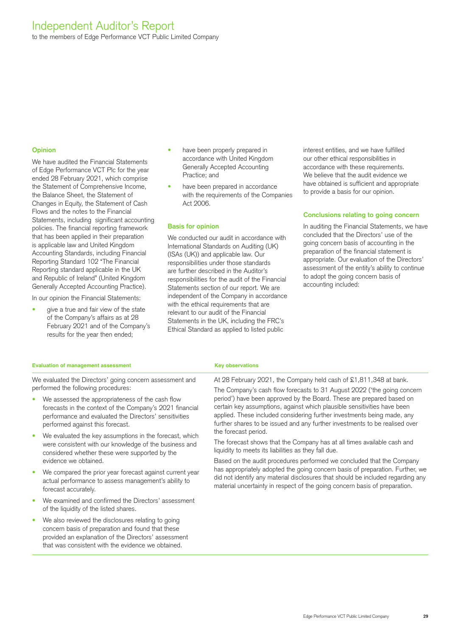### Independent Auditor's Report to the members of Edge Performance VCT Public Limited Company

#### **Opinion**

We have audited the Financial Statements of Edge Performance VCT Plc for the year ended 28 February 2021, which comprise the Statement of Comprehensive Income, the Balance Sheet, the Statement of Changes in Equity, the Statement of Cash Flows and the notes to the Financial Statements, including significant accounting policies. The financial reporting framework that has been applied in their preparation is applicable law and United Kingdom Accounting Standards, including Financial Reporting Standard 102 "The Financial Reporting standard applicable in the UK and Republic of Ireland" (United Kingdom Generally Accepted Accounting Practice).

In our opinion the Financial Statements:

give a true and fair view of the state of the Company's affairs as at 28 February 2021 and of the Company's results for the year then ended;

- have been properly prepared in accordance with United Kingdom Generally Accepted Accounting Practice; and
- have been prepared in accordance with the requirements of the Companies Act 2006.

#### **Basis for opinion**

We conducted our audit in accordance with International Standards on Auditing (UK) (ISAs (UK)) and applicable law. Our responsibilities under those standards are further described in the Auditor's responsibilities for the audit of the Financial Statements section of our report. We are independent of the Company in accordance with the ethical requirements that are relevant to our audit of the Financial Statements in the UK, including the FRC's Ethical Standard as applied to listed public

interest entities, and we have fulfilled our other ethical responsibilities in accordance with these requirements. We believe that the audit evidence we have obtained is sufficient and appropriate to provide a basis for our opinion.

#### **Conclusions relating to going concern**

In auditing the Financial Statements, we have concluded that the Directors' use of the going concern basis of accounting in the preparation of the financial statement is appropriate. Our evaluation of the Directors' assessment of the entity's ability to continue to adopt the going concern basis of accounting included:

|           | <b>Evaluation of management assessment</b>                                                                                                                                                                            | <b>Key observations</b>                                                                                                                                                                                                                                                                                     |
|-----------|-----------------------------------------------------------------------------------------------------------------------------------------------------------------------------------------------------------------------|-------------------------------------------------------------------------------------------------------------------------------------------------------------------------------------------------------------------------------------------------------------------------------------------------------------|
|           | We evaluated the Directors' going concern assessment and<br>performed the following procedures:                                                                                                                       | At 28 February 2021, the Company held cash of £1,811,348 at bank.<br>The Company's cash flow forecasts to 31 August 2022 ('the going concern                                                                                                                                                                |
| ۰         | We assessed the appropriateness of the cash flow<br>forecasts in the context of the Company's 2021 financial<br>performance and evaluated the Directors' sensitivities<br>performed against this forecast.            | period') have been approved by the Board. These are prepared based on<br>certain key assumptions, against which plausible sensitivities have been<br>applied. These included considering further investments being made, any<br>further shares to be issued and any further investments to be realised over |
|           | We evaluated the key assumptions in the forecast, which<br>were consistent with our knowledge of the business and<br>considered whether these were supported by the                                                   | the forecast period.<br>The forecast shows that the Company has at all times available cash and<br>liquidity to meets its liabilities as they fall due.                                                                                                                                                     |
|           | evidence we obtained.                                                                                                                                                                                                 | Based on the audit procedures performed we concluded that the Company                                                                                                                                                                                                                                       |
| ۰         | We compared the prior year forecast against current year<br>actual performance to assess management's ability to<br>forecast accurately.                                                                              | has appropriately adopted the going concern basis of preparation. Further, we<br>did not identify any material disclosures that should be included regarding any<br>material uncertainty in respect of the going concern basis of preparation.                                                              |
| $\bullet$ | We examined and confirmed the Directors' assessment<br>of the liquidity of the listed shares.                                                                                                                         |                                                                                                                                                                                                                                                                                                             |
|           | We also reviewed the disclosures relating to going<br>concern basis of preparation and found that these<br>provided an explanation of the Directors' assessment<br>that was consistent with the evidence we obtained. |                                                                                                                                                                                                                                                                                                             |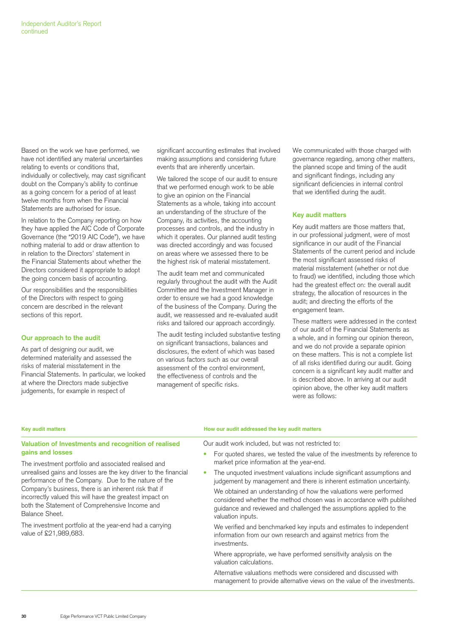Based on the work we have performed, we have not identified any material uncertainties relating to events or conditions that, individually or collectively, may cast significant doubt on the Company's ability to continue as a going concern for a period of at least twelve months from when the Financial Statements are authorised for issue.

In relation to the Company reporting on how they have applied the AIC Code of Corporate Governance (the "2019 AIC Code"), we have nothing material to add or draw attention to in relation to the Directors' statement in the Financial Statements about whether the Directors considered it appropriate to adopt the going concern basis of accounting.

Our responsibilities and the responsibilities of the Directors with respect to going concern are described in the relevant sections of this report.

#### **Our approach to the audit**

As part of designing our audit, we determined materiality and assessed the risks of material misstatement in the Financial Statements. In particular, we looked at where the Directors made subjective judgements, for example in respect of

significant accounting estimates that involved making assumptions and considering future events that are inherently uncertain.

We tailored the scope of our audit to ensure that we performed enough work to be able to give an opinion on the Financial Statements as a whole, taking into account an understanding of the structure of the Company, its activities, the accounting processes and controls, and the industry in which it operates. Our planned audit testing was directed accordingly and was focused on areas where we assessed there to be the highest risk of material misstatement.

The audit team met and communicated regularly throughout the audit with the Audit Committee and the Investment Manager in order to ensure we had a good knowledge of the business of the Company. During the audit, we reassessed and re-evaluated audit risks and tailored our approach accordingly.

The audit testing included substantive testing on significant transactions, balances and disclosures, the extent of which was based on various factors such as our overall assessment of the control environment, the effectiveness of controls and the management of specific risks.

We communicated with those charged with governance regarding, among other matters, the planned scope and timing of the audit and significant findings, including any significant deficiencies in internal control that we identified during the audit.

#### **Key audit matters**

Key audit matters are those matters that, in our professional judgment, were of most significance in our audit of the Financial Statements of the current period and include the most significant assessed risks of material misstatement (whether or not due to fraud) we identified, including those which had the greatest effect on: the overall audit strategy, the allocation of resources in the audit; and directing the efforts of the engagement team.

These matters were addressed in the context of our audit of the Financial Statements as a whole, and in forming our opinion thereon, and we do not provide a separate opinion on these matters. This is not a complete list of all risks identified during our audit. Going concern is a significant key audit matter and is described above. In arriving at our audit opinion above, the other key audit matters were as follows:

#### **Key audit matters How our audit addressed the key audit matters**

| Valuation of Investments and recognition of realised |  |
|------------------------------------------------------|--|
| gains and losses                                     |  |

The investment portfolio and associated realised and unrealised gains and losses are the key driver to the financial performance of the Company. Due to the nature of the Company's business, there is an inherent risk that if incorrectly valued this will have the greatest impact on both the Statement of Comprehensive Income and Balance Sheet.

The investment portfolio at the year-end had a carrying value of £21,989,683.

Our audit work included, but was not restricted to:

- For quoted shares, we tested the value of the investments by reference to market price information at the year-end.
- The unquoted investment valuations include significant assumptions and judgement by management and there is inherent estimation uncertainty.

We obtained an understanding of how the valuations were performed considered whether the method chosen was in accordance with published guidance and reviewed and challenged the assumptions applied to the valuation inputs.

We verified and benchmarked key inputs and estimates to independent information from our own research and against metrics from the investments.

Where appropriate, we have performed sensitivity analysis on the valuation calculations.

Alternative valuations methods were considered and discussed with management to provide alternative views on the value of the investments.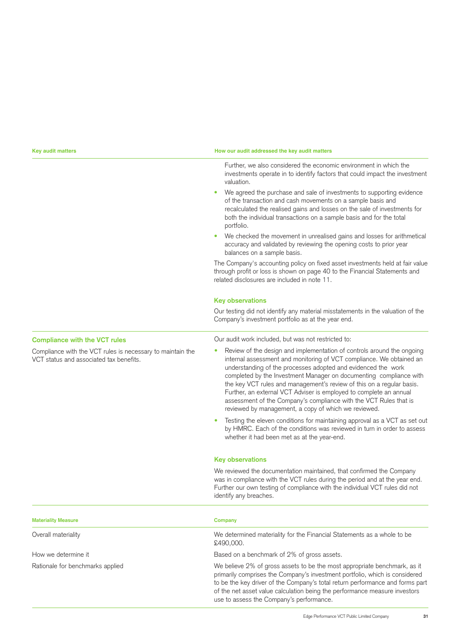#### **Key audit matters How our audit addressed the key audit matters**

Further, we also considered the economic environment in which the investments operate in to identify factors that could impact the investment valuation.

- We agreed the purchase and sale of investments to supporting evidence of the transaction and cash movements on a sample basis and recalculated the realised gains and losses on the sale of investments for both the individual transactions on a sample basis and for the total portfolio.
- We checked the movement in unrealised gains and losses for arithmetical accuracy and validated by reviewing the opening costs to prior year balances on a sample basis.

The Company's accounting policy on fixed asset investments held at fair value through profit or loss is shown on page 40 to the Financial Statements and related disclosures are included in note 11.

#### **Key observations**

Our testing did not identify any material misstatements in the valuation of the Company's investment portfolio as at the year end.

#### **Compliance with the VCT rules**

Compliance with the VCT rules is necessary to maintain the VCT status and associated tax benefits.

Our audit work included, but was not restricted to:

- Review of the design and implementation of controls around the ongoing internal assessment and monitoring of VCT compliance. We obtained an understanding of the processes adopted and evidenced the work completed by the Investment Manager on documenting compliance with the key VCT rules and management's review of this on a regular basis. Further, an external VCT Adviser is employed to complete an annual assessment of the Company's compliance with the VCT Rules that is reviewed by management, a copy of which we reviewed.
- Testing the eleven conditions for maintaining approval as a VCT as set out by HMRC. Each of the conditions was reviewed in turn in order to assess whether it had been met as at the year-end.

#### **Key observations**

We reviewed the documentation maintained, that confirmed the Company was in compliance with the VCT rules during the period and at the year end. Further our own testing of compliance with the individual VCT rules did not identify any breaches.

| <b>Materiality Measure</b>       | Company                                                                                                                                                                                                                                                                                                                                                             |
|----------------------------------|---------------------------------------------------------------------------------------------------------------------------------------------------------------------------------------------------------------------------------------------------------------------------------------------------------------------------------------------------------------------|
| Overall materiality              | We determined materiality for the Financial Statements as a whole to be<br>£490,000.                                                                                                                                                                                                                                                                                |
| How we determine it              | Based on a benchmark of 2% of gross assets.                                                                                                                                                                                                                                                                                                                         |
| Rationale for benchmarks applied | We believe 2% of gross assets to be the most appropriate benchmark, as it<br>primarily comprises the Company's investment portfolio, which is considered<br>to be the key driver of the Company's total return performance and forms part<br>of the net asset value calculation being the performance measure investors<br>use to assess the Company's performance. |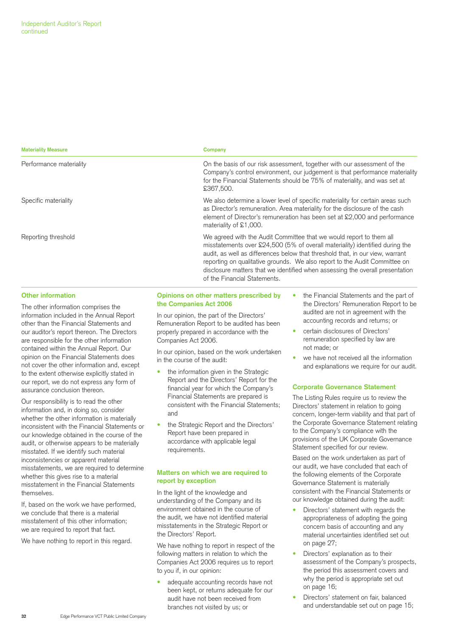| <b>Materiality Measure</b> | Company                                                                                                                                                                                                                                                                                                                                                                                                                              |
|----------------------------|--------------------------------------------------------------------------------------------------------------------------------------------------------------------------------------------------------------------------------------------------------------------------------------------------------------------------------------------------------------------------------------------------------------------------------------|
| Performance materiality    | On the basis of our risk assessment, together with our assessment of the<br>Company's control environment, our judgement is that performance materiality<br>for the Financial Statements should be 75% of materiality, and was set at<br>£367,500.                                                                                                                                                                                   |
| Specific materiality       | We also determine a lower level of specific materiality for certain areas such<br>as Director's remuneration. Area materiality for the disclosure of the cash<br>element of Director's remuneration has been set at \$2,000 and performance<br>materiality of £1,000.                                                                                                                                                                |
| Reporting threshold        | We agreed with the Audit Committee that we would report to them all<br>misstatements over \$24,500 (5% of overall materiality) identified during the<br>audit, as well as differences below that threshold that, in our view, warrant<br>reporting on qualitative grounds. We also report to the Audit Committee on<br>disclosure matters that we identified when assessing the overall presentation<br>of the Financial Statements. |

#### **Other information**

The other information comprises the information included in the Annual Report other than the Financial Statements and our auditor's report thereon. The Directors are responsible for the other information contained within the Annual Report. Our opinion on the Financial Statements does not cover the other information and, except to the extent otherwise explicitly stated in our report, we do not express any form of assurance conclusion thereon.

Our responsibility is to read the other information and, in doing so, consider whether the other information is materially inconsistent with the Financial Statements or our knowledge obtained in the course of the audit, or otherwise appears to be materially misstated. If we identify such material inconsistencies or apparent material misstatements, we are required to determine whether this gives rise to a material misstatement in the Financial Statements themselves.

If, based on the work we have performed, we conclude that there is a material misstatement of this other information; we are required to report that fact.

We have nothing to report in this regard.

#### **Opinions on other matters prescribed by the Companies Act 2006**

In our opinion, the part of the Directors' Remuneration Report to be audited has been properly prepared in accordance with the Companies Act 2006.

In our opinion, based on the work undertaken in the course of the audit:

- the information given in the Strategic Report and the Directors' Report for the financial year for which the Company's Financial Statements are prepared is consistent with the Financial Statements; and
- the Strategic Report and the Directors' Report have been prepared in accordance with applicable legal requirements.

#### **Matters on which we are required to report by exception**

In the light of the knowledge and understanding of the Company and its environment obtained in the course of the audit, we have not identified material misstatements in the Strategic Report or the Directors' Report.

We have nothing to report in respect of the following matters in relation to which the Companies Act 2006 requires us to report to you if, in our opinion:

adequate accounting records have not been kept, or returns adequate for our audit have not been received from branches not visited by us; or

- the Financial Statements and the part of the Directors' Remuneration Report to be audited are not in agreement with the accounting records and returns; or
- certain disclosures of Directors' remuneration specified by law are not made; or
- we have not received all the information and explanations we require for our audit.

#### **Corporate Governance Statement**

The Listing Rules require us to review the Directors' statement in relation to going concern, longer-term viability and that part of the Corporate Governance Statement relating to the Company's compliance with the provisions of the UK Corporate Governance Statement specified for our review.

Based on the work undertaken as part of our audit, we have concluded that each of the following elements of the Corporate Governance Statement is materially consistent with the Financial Statements or our knowledge obtained during the audit:

- Directors' statement with regards the appropriateness of adopting the going concern basis of accounting and any material uncertainties identified set out on page 27;
- Directors' explanation as to their assessment of the Company's prospects, the period this assessment covers and why the period is appropriate set out on page 16;
- Directors' statement on fair, balanced and understandable set out on page 15;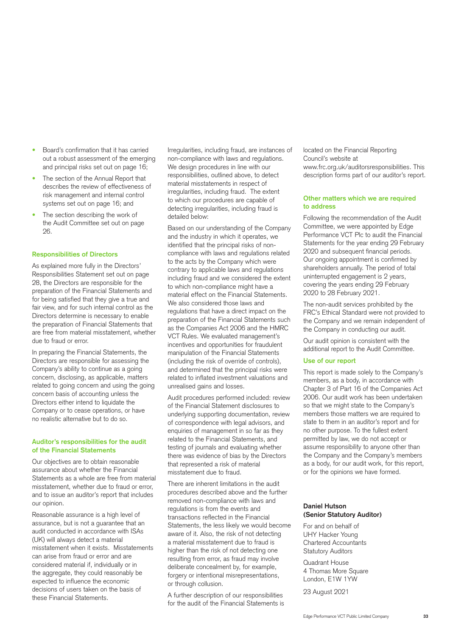- Board's confirmation that it has carried out a robust assessment of the emerging and principal risks set out on page 16;
- The section of the Annual Report that describes the review of effectiveness of risk management and internal control systems set out on page 16; and
- The section describing the work of the Audit Committee set out on page 26.

#### **Responsibilities of Directors**

As explained more fully in the Directors' Responsibilities Statement set out on page 28, the Directors are responsible for the preparation of the Financial Statements and for being satisfied that they give a true and fair view, and for such internal control as the Directors determine is necessary to enable the preparation of Financial Statements that are free from material misstatement, whether due to fraud or error.

In preparing the Financial Statements, the Directors are responsible for assessing the Company's ability to continue as a going concern, disclosing, as applicable, matters related to going concern and using the going concern basis of accounting unless the Directors either intend to liquidate the Company or to cease operations, or have no realistic alternative but to do so.

#### **Auditor's responsibilities for the audit of the Financial Statements**

Our objectives are to obtain reasonable assurance about whether the Financial Statements as a whole are free from material misstatement, whether due to fraud or error, and to issue an auditor's report that includes our opinion.

Reasonable assurance is a high level of assurance, but is not a guarantee that an audit conducted in accordance with ISAs (UK) will always detect a material misstatement when it exists. Misstatements can arise from fraud or error and are considered material if, individually or in the aggregate, they could reasonably be expected to influence the economic decisions of users taken on the basis of these Financial Statements.

Irregularities, including fraud, are instances of non-compliance with laws and regulations. We design procedures in line with our responsibilities, outlined above, to detect material misstatements in respect of irregularities, including fraud. The extent to which our procedures are capable of detecting irregularities, including fraud is detailed below:

Based on our understanding of the Company and the industry in which it operates, we identified that the principal risks of noncompliance with laws and regulations related to the acts by the Company which were contrary to applicable laws and regulations including fraud and we considered the extent to which non-compliance might have a material effect on the Financial Statements. We also considered those laws and regulations that have a direct impact on the preparation of the Financial Statements such as the Companies Act 2006 and the HMRC VCT Rules. We evaluated management's incentives and opportunities for fraudulent manipulation of the Financial Statements (including the risk of override of controls), and determined that the principal risks were related to inflated investment valuations and unrealised gains and losses.

Audit procedures performed included: review of the Financial Statement disclosures to underlying supporting documentation, review of correspondence with legal advisors, and enquiries of management in so far as they related to the Financial Statements, and testing of journals and evaluating whether there was evidence of bias by the Directors that represented a risk of material misstatement due to fraud.

There are inherent limitations in the audit procedures described above and the further removed non-compliance with laws and regulations is from the events and transactions reflected in the Financial Statements, the less likely we would become aware of it. Also, the risk of not detecting a material misstatement due to fraud is higher than the risk of not detecting one resulting from error, as fraud may involve deliberate concealment by, for example, forgery or intentional misrepresentations, or through collusion.

A further description of our responsibilities for the audit of the Financial Statements is located on the Financial Reporting Council's website at www.frc.org.uk/auditorsresponsibilities. This description forms part of our auditor's report.

#### **Other matters which we are required to address**

Following the recommendation of the Audit Committee, we were appointed by Edge Performance VCT Plc to audit the Financial Statements for the year ending 29 February 2020 and subsequent financial periods. Our ongoing appointment is confirmed by shareholders annually. The period of total uninterrupted engagement is 2 years, covering the years ending 29 February 2020 to 28 February 2021.

The non-audit services prohibited by the FRC's Ethical Standard were not provided to the Company and we remain independent of the Company in conducting our audit.

Our audit opinion is consistent with the additional report to the Audit Committee.

#### **Use of our report**

This report is made solely to the Company's members, as a body, in accordance with Chapter 3 of Part 16 of the Companies Act 2006. Our audit work has been undertaken so that we might state to the Company's members those matters we are required to state to them in an auditor's report and for no other purpose. To the fullest extent permitted by law, we do not accept or assume responsibility to anyone other than the Company and the Company's members as a body, for our audit work, for this report, or for the opinions we have formed.

#### **Daniel Hutson (Senior Statutory Auditor)**

For and on behalf of UHY Hacker Young Chartered Accountants Statutory Auditors

Quadrant House 4 Thomas More Square London, E1W 1YW

23 August 2021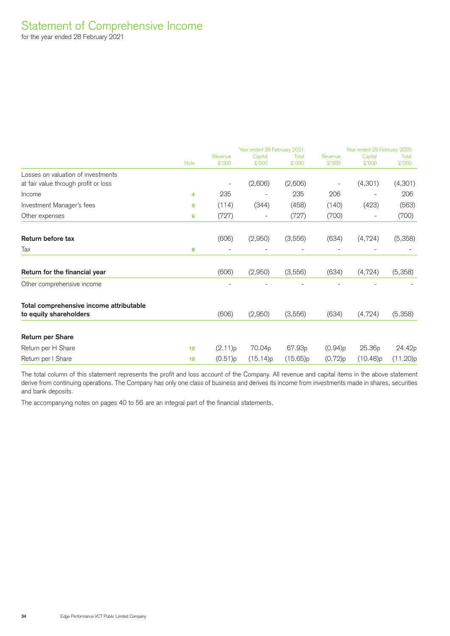| <b>Note</b> | Revenue<br>\$'000 | Capital<br>\$'000 | Total<br>\$'000 | Revenue<br>\$'000           | Capital<br>\$'000 | Total<br>\$'000             |
|-------------|-------------------|-------------------|-----------------|-----------------------------|-------------------|-----------------------------|
|             |                   |                   |                 |                             |                   |                             |
|             |                   | (2,606)           | (2,606)         | $\overline{\phantom{a}}$    | (4,301)           | (4,301)                     |
| 4           | 235               |                   | 235             | 206                         |                   | 206                         |
| 5           | (114)             | (344)             | (458)           | (140)                       | (423)             | (563)                       |
| 6           | (727)             | $\qquad \qquad -$ | (727)           | (700)                       |                   | (700)                       |
|             | (606)             | (2,950)           | (3,556)         | (634)                       | (4, 724)          | (5,358)                     |
| 8           |                   |                   |                 |                             |                   |                             |
|             | (606)             | (2,950)           | (3,556)         | (634)                       | (4, 724)          | (5,358)                     |
|             |                   |                   |                 |                             |                   |                             |
|             |                   |                   |                 |                             |                   |                             |
|             | (606)             | (2,950)           | (3,556)         | (634)                       | (4, 724)          | (5,358)                     |
|             |                   |                   |                 |                             |                   |                             |
| 10          | (2.11)p           | 70.04p            | 67.93p          | (0.94)p                     | 25.36p            | 24.42p                      |
| 10          | (0.51)p           | (15.14)p          | (15.65)p        | (0.72)p                     | (10.48)p          | (11.20)p                    |
|             |                   |                   |                 | Year ended 28 February 2021 |                   | Year ended 29 February 2020 |

The total column of this statement represents the profit and loss account of the Company. All revenue and capital items in the above statement derive from continuing operations. The Company has only one class of business and derives its income from investments made in shares, securities and bank deposits.

The accompanying notes on pages 40 to 56 are an integral part of the financial statements.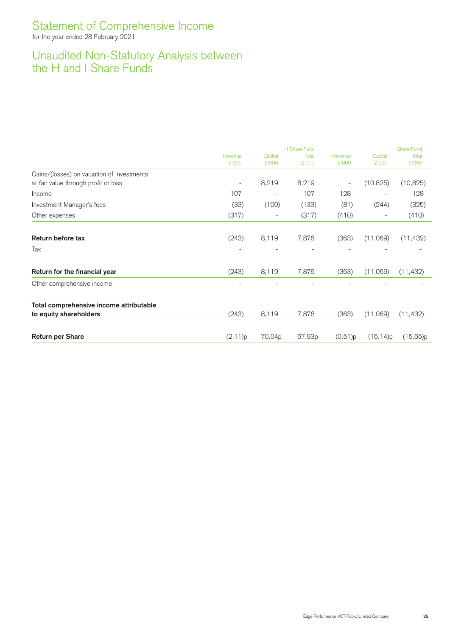## Statement of Comprehensive Income

for the year ended 28 February 2021

### Unaudited Non-Statutory Analysis between the H and I Share Funds

|                                            |         | H Share Fund      |        |                          | I Share Fund             |           |  |
|--------------------------------------------|---------|-------------------|--------|--------------------------|--------------------------|-----------|--|
|                                            | Revenue | Capital           | Total  | Revenue                  | Capital                  | Total     |  |
|                                            | \$'000  | \$'000            | \$'000 | \$'000                   | \$'000                   | \$'000    |  |
| Gains/(losses) on valuation of investments |         |                   |        |                          |                          |           |  |
| at fair value through profit or loss       | ٠       | 8,219             | 8,219  | $\overline{\phantom{0}}$ | (10, 825)                | (10, 825) |  |
| Income                                     | 107     |                   | 107    | 128                      | -                        | 128       |  |
| Investment Manager's fees                  | (33)    | (100)             | (133)  | (81)                     | (244)                    | (325)     |  |
| Other expenses                             | (317)   | $\qquad \qquad -$ | (317)  | (410)                    | $\overline{\phantom{a}}$ | (410)     |  |
|                                            |         |                   |        |                          |                          |           |  |
| Return before tax                          | (243)   | 8,119             | 7,876  | (363)                    | (11,069)                 | (11, 432) |  |
| Tax                                        | ٠       |                   |        |                          |                          |           |  |
| Return for the financial year              | (243)   | 8,119             | 7,876  | (363)                    | (11,069)                 | (11, 432) |  |
| Other comprehensive income                 | ۰       |                   |        |                          |                          |           |  |
| Total comprehensive income attributable    |         |                   |        |                          |                          |           |  |
| to equity shareholders                     | (243)   | 8,119             | 7,876  | (363)                    | (11,069)                 | (11, 432) |  |
|                                            |         |                   |        |                          |                          |           |  |
| <b>Return per Share</b>                    | (2.11)p | 70.04p            | 67.93p | (0.51)p                  | (15.14)p                 | (15.65)p  |  |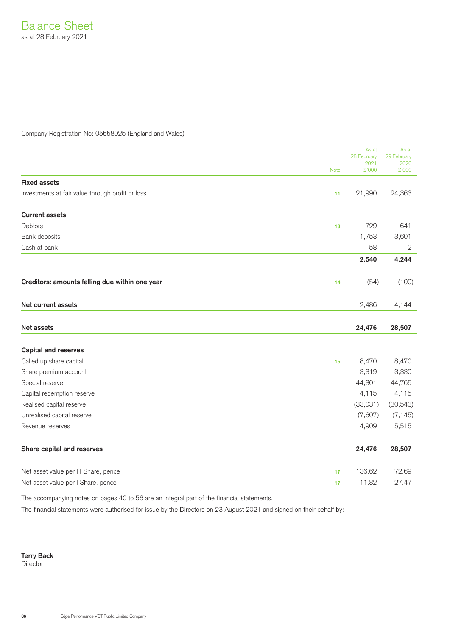Company Registration No: 05558025 (England and Wales)

|                                                  |             | As at<br>28 February | As at<br>29 February |
|--------------------------------------------------|-------------|----------------------|----------------------|
|                                                  |             | 2021                 | 2020                 |
|                                                  | <b>Note</b> | \$'000               | £'000                |
| <b>Fixed assets</b>                              |             |                      |                      |
| Investments at fair value through profit or loss | 11          | 21,990               | 24,363               |
| <b>Current assets</b>                            |             |                      |                      |
| Debtors                                          | 13          | 729                  | 641                  |
| Bank deposits                                    |             | 1,753                | 3,601                |
| Cash at bank                                     |             | 58                   | $\mathbf{2}$         |
|                                                  |             | 2,540                | 4,244                |
| Creditors: amounts falling due within one year   | 14          | (54)                 | (100)                |
| Net current assets                               |             | 2,486                | 4,144                |
| Net assets                                       |             | 24,476               | 28,507               |
| <b>Capital and reserves</b>                      |             |                      |                      |
| Called up share capital                          | 15          | 8,470                | 8,470                |
| Share premium account                            |             | 3,319                | 3,330                |
| Special reserve                                  |             | 44,301               | 44,765               |
| Capital redemption reserve                       |             | 4,115                | 4,115                |
| Realised capital reserve                         |             | (33,031)             | (30, 543)            |
| Unrealised capital reserve                       |             | (7,607)              | (7, 145)             |
| Revenue reserves                                 |             | 4,909                | 5,515                |
| Share capital and reserves                       |             | 24,476               | 28,507               |
| Net asset value per H Share, pence               | 17          | 136.62               | 72.69                |
| Net asset value per I Share, pence               | 17          | 11.82                | 27.47                |

The accompanying notes on pages 40 to 56 are an integral part of the financial statements.

The financial statements were authorised for issue by the Directors on 23 August 2021 and signed on their behalf by:

**Terry Back**  Director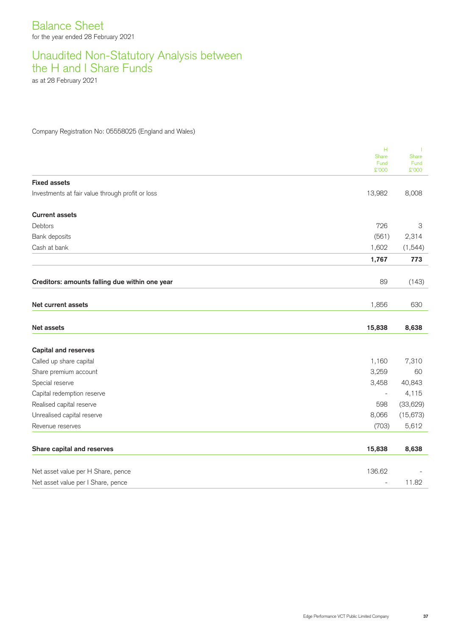# Unaudited Non-Statutory Analysis between the H and I Share Funds

as at 28 February 2021

Company Registration No: 05558025 (England and Wales)

|                                                  | H<br>Share               | Share          |
|--------------------------------------------------|--------------------------|----------------|
|                                                  | Fund<br>£'000            | Fund<br>\$'000 |
| <b>Fixed assets</b>                              |                          |                |
| Investments at fair value through profit or loss | 13,982                   | 8,008          |
| <b>Current assets</b>                            |                          |                |
| Debtors                                          | 726                      | 3              |
| Bank deposits                                    | (561)                    | 2,314          |
| Cash at bank                                     | 1,602                    | (1, 544)       |
|                                                  | 1,767                    | 773            |
| Creditors: amounts falling due within one year   | 89                       | (143)          |
| Net current assets                               | 1,856                    | 630            |
| Net assets                                       | 15,838                   | 8,638          |
|                                                  |                          |                |
| <b>Capital and reserves</b>                      |                          |                |
| Called up share capital                          | 1,160                    | 7,310          |
| Share premium account                            | 3,259                    | 60             |
| Special reserve                                  | 3,458                    | 40,843         |
| Capital redemption reserve                       |                          | 4,115          |
| Realised capital reserve                         | 598                      | (33,629)       |
| Unrealised capital reserve                       | 8,066                    | (15, 673)      |
| Revenue reserves                                 | (703)                    | 5,612          |
| Share capital and reserves                       | 15,838                   | 8,638          |
| Net asset value per H Share, pence               | 136.62                   |                |
| Net asset value per I Share, pence               | $\overline{\phantom{a}}$ | 11.82          |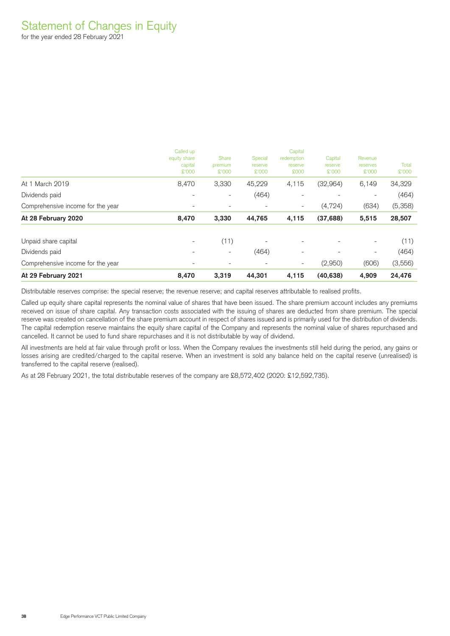|                   | $\overline{\phantom{m}}$                   |                                     | $\overline{\phantom{0}}$                       |                                        |                                          | 34,329<br>(464)                        |
|-------------------|--------------------------------------------|-------------------------------------|------------------------------------------------|----------------------------------------|------------------------------------------|----------------------------------------|
| $\qquad \qquad -$ | $\overline{\phantom{m}}$                   | $\qquad \qquad \blacksquare$        | -                                              | (4, 724)                               | (634)                                    | (5,358)                                |
| 8,470             | 3,330                                      | 44,765                              | 4,115                                          | (37, 688)                              | 5,515                                    | 28,507                                 |
|                   | (11)                                       |                                     |                                                |                                        |                                          | (11)                                   |
|                   | $\overline{\phantom{a}}$                   | (464)                               |                                                |                                        | $\overline{\phantom{0}}$                 | (464)                                  |
|                   |                                            |                                     |                                                |                                        |                                          |                                        |
| -                 | ٠                                          | $\qquad \qquad -$                   | -                                              | (2,950)                                | (606)                                    | (3,556)                                |
|                   | equity share<br>capital<br>\$'000<br>8,470 | Share<br>premium<br>\$'000<br>3,330 | Special<br>reserve<br>000's<br>45,229<br>(464) | redemption<br>reserve<br>£000<br>4,115 | Capital<br>reserve<br>\$'000<br>(32,964) | Revenue<br>reserves<br>\$'000<br>6,149 |

Distributable reserves comprise: the special reserve; the revenue reserve; and capital reserves attributable to realised profits.

Called up equity share capital represents the nominal value of shares that have been issued. The share premium account includes any premiums received on issue of share capital. Any transaction costs associated with the issuing of shares are deducted from share premium. The special reserve was created on cancellation of the share premium account in respect of shares issued and is primarily used for the distribution of dividends. The capital redemption reserve maintains the equity share capital of the Company and represents the nominal value of shares repurchased and cancelled. It cannot be used to fund share repurchases and it is not distributable by way of dividend.

All investments are held at fair value through profit or loss. When the Company revalues the investments still held during the period, any gains or losses arising are credited/charged to the capital reserve. When an investment is sold any balance held on the capital reserve (unrealised) is transferred to the capital reserve (realised).

As at 28 February 2021, the total distributable reserves of the company are £8,572,402 (2020: £12,592,735).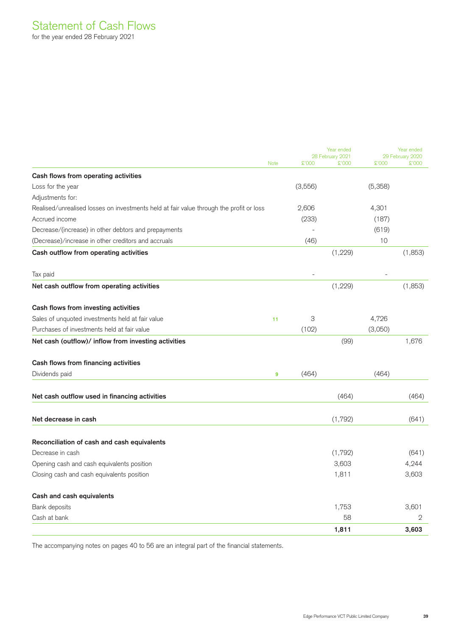|                                                                                         |             |         | Year ended<br>28 February 2021 |         | Year ended<br>29 February 2020 |  |
|-----------------------------------------------------------------------------------------|-------------|---------|--------------------------------|---------|--------------------------------|--|
|                                                                                         | <b>Note</b> | \$'000  | \$'000                         | £'000   | \$'000                         |  |
| Cash flows from operating activities                                                    |             |         |                                |         |                                |  |
| Loss for the year                                                                       |             | (3,556) |                                | (5,358) |                                |  |
| Adjustments for:                                                                        |             |         |                                |         |                                |  |
| Realised/unrealised losses on investments held at fair value through the profit or loss |             | 2,606   |                                | 4,301   |                                |  |
| Accrued income                                                                          |             | (233)   |                                | (187)   |                                |  |
| Decrease/(increase) in other debtors and prepayments                                    |             |         |                                | (619)   |                                |  |
| (Decrease)/increase in other creditors and accruals                                     |             | (46)    |                                | 10      |                                |  |
| Cash outflow from operating activities                                                  |             |         | (1, 229)                       |         | (1,853)                        |  |
| Tax paid                                                                                |             |         |                                |         |                                |  |
| Net cash outflow from operating activities                                              |             |         | (1, 229)                       |         | (1,853)                        |  |
| Cash flows from investing activities                                                    |             |         |                                |         |                                |  |
| Sales of unquoted investments held at fair value                                        | 11          | 3       |                                | 4,726   |                                |  |
| Purchases of investments held at fair value                                             |             | (102)   |                                | (3,050) |                                |  |
| Net cash (outflow)/ inflow from investing activities                                    |             |         | (99)                           |         | 1,676                          |  |
| Cash flows from financing activities                                                    |             |         |                                |         |                                |  |
| Dividends paid                                                                          | 9           | (464)   |                                | (464)   |                                |  |
| Net cash outflow used in financing activities                                           |             |         | (464)                          |         | (464)                          |  |
| Net decrease in cash                                                                    |             |         | (1, 792)                       |         | (641)                          |  |
| Reconciliation of cash and cash equivalents                                             |             |         |                                |         |                                |  |
| Decrease in cash                                                                        |             |         | (1, 792)                       |         | (641)                          |  |
| Opening cash and cash equivalents position                                              |             |         | 3,603                          |         | 4,244                          |  |
| Closing cash and cash equivalents position                                              |             |         | 1,811                          |         | 3,603                          |  |
| Cash and cash equivalents                                                               |             |         |                                |         |                                |  |
| Bank deposits                                                                           |             |         | 1,753                          |         | 3,601                          |  |
| Cash at bank                                                                            |             |         | 58                             |         | $\mathbf{2}$                   |  |
|                                                                                         |             |         | 1,811                          |         | 3,603                          |  |

The accompanying notes on pages 40 to 56 are an integral part of the financial statements.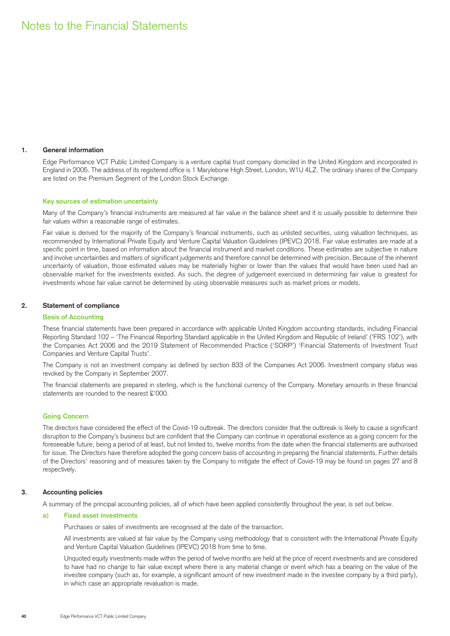#### **1. General information**

Edge Performance VCT Public Limited Company is a venture capital trust company domiciled in the United Kingdom and incorporated in England in 2005. The address of its registered office is 1 Marylebone High Street, London, W1U 4LZ. The ordinary shares of the Company are listed on the Premium Segment of the London Stock Exchange.

#### **Key sources of estimation uncertainty**

Many of the Company's financial instruments are measured at fair value in the balance sheet and it is usually possible to determine their fair values within a reasonable range of estimates.

Fair value is derived for the majority of the Company's financial instruments, such as unlisted securities, using valuation techniques, as recommended by International Private Equity and Venture Capital Valuation Guidelines (IPEVC) 2018. Fair value estimates are made at a specific point in time, based on information about the financial instrument and market conditions. These estimates are subjective in nature and involve uncertainties and matters of significant judgements and therefore cannot be determined with precision. Because of the inherent uncertainty of valuation, those estimated values may be materially higher or lower than the values that would have been used had an observable market for the investments existed. As such, the degree of judgement exercised in determining fair value is greatest for investments whose fair value cannot be determined by using observable measures such as market prices or models.

#### **2. Statement of compliance**

#### **Basis of Accounting**

These financial statements have been prepared in accordance with applicable United Kingdom accounting standards, including Financial Reporting Standard 102 – 'The Financial Reporting Standard applicable in the United Kingdom and Republic of Ireland' ('FRS 102'), with the Companies Act 2006 and the 2019 Statement of Recommended Practice ('SORP') 'Financial Statements of Investment Trust Companies and Venture Capital Trusts'.

The Company is not an investment company as defined by section 833 of the Companies Act 2006. Investment company status was revoked by the Company in September 2007.

The financial statements are prepared in sterling, which is the functional currency of the Company. Monetary amounts in these financial statements are rounded to the nearest £'000.

#### **Going Concern**

The directors have considered the effect of the Covid-19 outbreak. The directors consider that the outbreak is likely to cause a significant disruption to the Company's business but are confident that the Company can continue in operational existence as a going concern for the foreseeable future, being a period of at least, but not limited to, twelve months from the date when the financial statements are authorised for issue. The Directors have therefore adopted the going concern basis of accounting in preparing the financial statements. Further details of the Directors' reasoning and of measures taken by the Company to mitigate the effect of Covid-19 may be found on pages 27 and 8 respectively.

#### **3. Accounting policies**

A summary of the principal accounting policies, all of which have been applied consistently throughout the year, is set out below.

#### **a) Fixed asset investments**

Purchases or sales of investments are recognised at the date of the transaction.

All investments are valued at fair value by the Company using methodology that is consistent with the International Private Equity and Venture Capital Valuation Guidelines (IPEVC) 2018 from time to time.

Unquoted equity investments made within the period of twelve months are held at the price of recent investments and are considered to have had no change to fair value except where there is any material change or event which has a bearing on the value of the investee company (such as, for example, a significant amount of new investment made in the investee company by a third party), in which case an appropriate revaluation is made.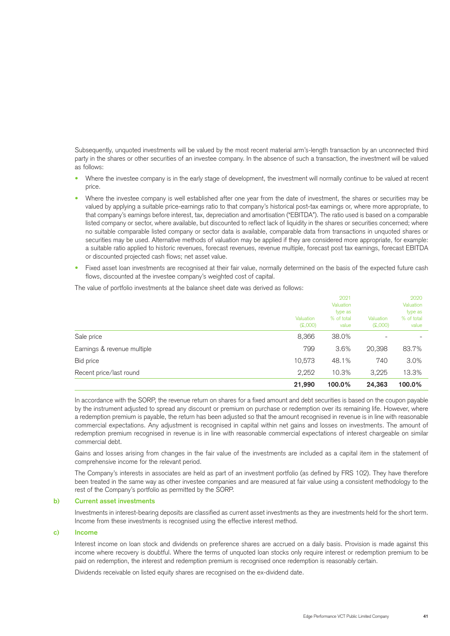Subsequently, unquoted investments will be valued by the most recent material arm's-length transaction by an unconnected third party in the shares or other securities of an investee company. In the absence of such a transaction, the investment will be valued as follows:

- Where the investee company is in the early stage of development, the investment will normally continue to be valued at recent price.
- Where the investee company is well established after one year from the date of investment, the shares or securities may be valued by applying a suitable price-earnings ratio to that company's historical post-tax earnings or, where more appropriate, to that company's earnings before interest, tax, depreciation and amortisation ("EBITDA"). The ratio used is based on a comparable listed company or sector, where available, but discounted to reflect lack of liquidity in the shares or securities concerned; where no suitable comparable listed company or sector data is available, comparable data from transactions in unquoted shares or securities may be used. Alternative methods of valuation may be applied if they are considered more appropriate, for example: a suitable ratio applied to historic revenues, forecast revenues, revenue multiple, forecast post tax earnings, forecast EBITDA or discounted projected cash flows; net asset value.
- Fixed asset loan investments are recognised at their fair value, normally determined on the basis of the expected future cash flows, discounted at the investee company's weighted cost of capital.

|                             | 21,990               | 100.0%                                              | 24,363               | 100.0%                                              |
|-----------------------------|----------------------|-----------------------------------------------------|----------------------|-----------------------------------------------------|
| Recent price/last round     | 2,252                | 10.3%                                               | 3,225                | 13.3%                                               |
| Bid price                   | 10.573               | 48.1%                                               | 740                  | 3.0%                                                |
| Earnings & revenue multiple | 799                  | 3.6%                                                | 20,398               | 83.7%                                               |
| Sale price                  | 8,366                | 38.0%                                               | -                    |                                                     |
|                             | Valuation<br>(E,000) | 2021<br>Valuation<br>type as<br>% of total<br>value | Valuation<br>(E,000) | 2020<br>Valuation<br>type as<br>% of total<br>value |

The value of portfolio investments at the balance sheet date was derived as follows:

In accordance with the SORP, the revenue return on shares for a fixed amount and debt securities is based on the coupon payable by the instrument adjusted to spread any discount or premium on purchase or redemption over its remaining life. However, where a redemption premium is payable, the return has been adjusted so that the amount recognised in revenue is in line with reasonable commercial expectations. Any adjustment is recognised in capital within net gains and losses on investments. The amount of redemption premium recognised in revenue is in line with reasonable commercial expectations of interest chargeable on similar commercial debt.

Gains and losses arising from changes in the fair value of the investments are included as a capital item in the statement of comprehensive income for the relevant period.

The Company's interests in associates are held as part of an investment portfolio (as defined by FRS 102). They have therefore been treated in the same way as other investee companies and are measured at fair value using a consistent methodology to the rest of the Company's portfolio as permitted by the SORP.

#### **b) Current asset investments**

Investments in interest-bearing deposits are classified as current asset investments as they are investments held for the short term. Income from these investments is recognised using the effective interest method.

#### **c) Income**

Interest income on loan stock and dividends on preference shares are accrued on a daily basis. Provision is made against this income where recovery is doubtful. Where the terms of unquoted loan stocks only require interest or redemption premium to be paid on redemption, the interest and redemption premium is recognised once redemption is reasonably certain.

Dividends receivable on listed equity shares are recognised on the ex-dividend date.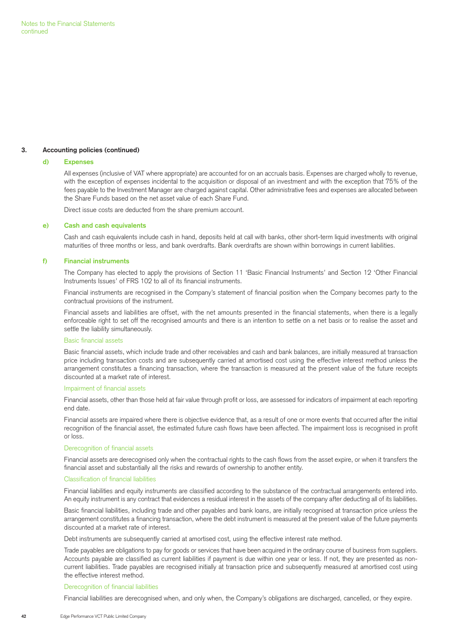#### **3. Accounting policies (continued)**

#### **d) Expenses**

All expenses (inclusive of VAT where appropriate) are accounted for on an accruals basis. Expenses are charged wholly to revenue, with the exception of expenses incidental to the acquisition or disposal of an investment and with the exception that 75% of the fees payable to the Investment Manager are charged against capital. Other administrative fees and expenses are allocated between the Share Funds based on the net asset value of each Share Fund.

Direct issue costs are deducted from the share premium account.

#### **e) Cash and cash equivalents**

Cash and cash equivalents include cash in hand, deposits held at call with banks, other short-term liquid investments with original maturities of three months or less, and bank overdrafts. Bank overdrafts are shown within borrowings in current liabilities.

#### **f) Financial instruments**

The Company has elected to apply the provisions of Section 11 'Basic Financial Instruments' and Section 12 'Other Financial Instruments Issues' of FRS 102 to all of its financial instruments.

Financial instruments are recognised in the Company's statement of financial position when the Company becomes party to the contractual provisions of the instrument.

Financial assets and liabilities are offset, with the net amounts presented in the financial statements, when there is a legally enforceable right to set off the recognised amounts and there is an intention to settle on a net basis or to realise the asset and settle the liability simultaneously.

#### Basic financial assets

Basic financial assets, which include trade and other receivables and cash and bank balances, are initially measured at transaction price including transaction costs and are subsequently carried at amortised cost using the effective interest method unless the arrangement constitutes a financing transaction, where the transaction is measured at the present value of the future receipts discounted at a market rate of interest.

#### Impairment of financial assets

Financial assets, other than those held at fair value through profit or loss, are assessed for indicators of impairment at each reporting end date.

Financial assets are impaired where there is objective evidence that, as a result of one or more events that occurred after the initial recognition of the financial asset, the estimated future cash flows have been affected. The impairment loss is recognised in profit or loss.

#### Derecognition of financial assets

Financial assets are derecognised only when the contractual rights to the cash flows from the asset expire, or when it transfers the financial asset and substantially all the risks and rewards of ownership to another entity.

#### Classification of financial liabilities

Financial liabilities and equity instruments are classified according to the substance of the contractual arrangements entered into. An equity instrument is any contract that evidences a residual interest in the assets of the company after deducting all of its liabilities.

Basic financial liabilities, including trade and other payables and bank loans, are initially recognised at transaction price unless the arrangement constitutes a financing transaction, where the debt instrument is measured at the present value of the future payments discounted at a market rate of interest.

Debt instruments are subsequently carried at amortised cost, using the effective interest rate method.

Trade payables are obligations to pay for goods or services that have been acquired in the ordinary course of business from suppliers. Accounts payable are classified as current liabilities if payment is due within one year or less. If not, they are presented as noncurrent liabilities. Trade payables are recognised initially at transaction price and subsequently measured at amortised cost using the effective interest method.

#### Derecognition of financial liabilities

Financial liabilities are derecognised when, and only when, the Company's obligations are discharged, cancelled, or they expire.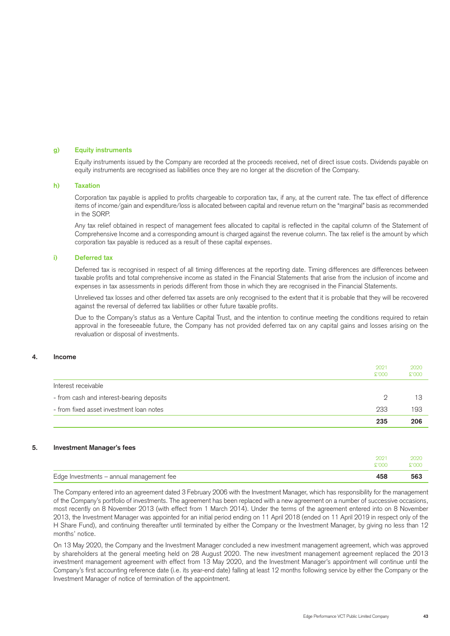#### **g) Equity instruments**

Equity instruments issued by the Company are recorded at the proceeds received, net of direct issue costs. Dividends payable on equity instruments are recognised as liabilities once they are no longer at the discretion of the Company.

#### **h) Taxation**

Corporation tax payable is applied to profits chargeable to corporation tax, if any, at the current rate. The tax effect of difference items of income/gain and expenditure/loss is allocated between capital and revenue return on the "marginal" basis as recommended in the SORP.

Any tax relief obtained in respect of management fees allocated to capital is reflected in the capital column of the Statement of Comprehensive Income and a corresponding amount is charged against the revenue column. The tax relief is the amount by which corporation tax payable is reduced as a result of these capital expenses.

#### **i) Deferred tax**

Deferred tax is recognised in respect of all timing differences at the reporting date. Timing differences are differences between taxable profits and total comprehensive income as stated in the Financial Statements that arise from the inclusion of income and expenses in tax assessments in periods different from those in which they are recognised in the Financial Statements.

Unrelieved tax losses and other deferred tax assets are only recognised to the extent that it is probable that they will be recovered against the reversal of deferred tax liabilities or other future taxable profits.

Due to the Company's status as a Venture Capital Trust, and the intention to continue meeting the conditions required to retain approval in the foreseeable future, the Company has not provided deferred tax on any capital gains and losses arising on the revaluation or disposal of investments.

#### **4. Income**

|                                           | 235            | 206                   |
|-------------------------------------------|----------------|-----------------------|
| - from fixed asset investment loan notes  | 233            | 193                   |
| - from cash and interest-bearing deposits | Ω              | 13                    |
| Interest receivable                       |                |                       |
|                                           | 2021<br>\$'000 | 2020<br>$\Omega$ '000 |

#### **5. Investment Manager's fees**

| Edge Investments – annual management fee | 458 | 563    |
|------------------------------------------|-----|--------|
|                                          |     | \$'000 |
|                                          |     | 2020   |

The Company entered into an agreement dated 3 February 2006 with the Investment Manager, which has responsibility for the management of the Company's portfolio of investments. The agreement has been replaced with a new agreement on a number of successive occasions, most recently on 8 November 2013 (with effect from 1 March 2014). Under the terms of the agreement entered into on 8 November 2013, the Investment Manager was appointed for an initial period ending on 11 April 2018 (ended on 11 April 2019 in respect only of the H Share Fund), and continuing thereafter until terminated by either the Company or the Investment Manager, by giving no less than 12 months' notice.

On 13 May 2020, the Company and the Investment Manager concluded a new investment management agreement, which was approved by shareholders at the general meeting held on 28 August 2020. The new investment management agreement replaced the 2013 investment management agreement with effect from 13 May 2020, and the Investment Manager's appointment will continue until the Company's first accounting reference date (i.e. its year-end date) falling at least 12 months following service by either the Company or the Investment Manager of notice of termination of the appointment.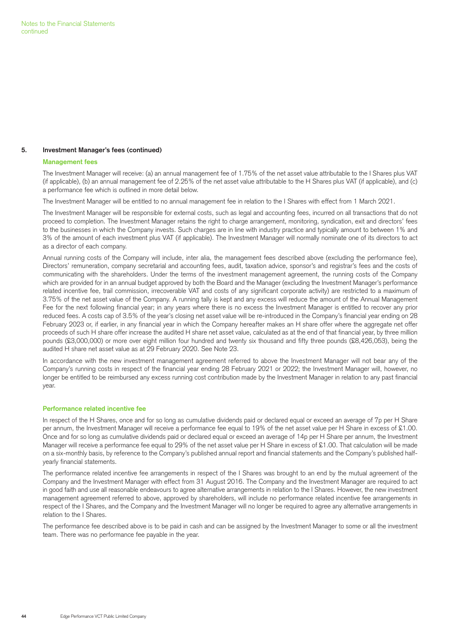#### **5. Investment Manager's fees (continued)**

#### **Management fees**

The Investment Manager will receive: (a) an annual management fee of 1.75% of the net asset value attributable to the I Shares plus VAT (if applicable), (b) an annual management fee of 2.25% of the net asset value attributable to the H Shares plus VAT (if applicable), and (c) a performance fee which is outlined in more detail below.

The Investment Manager will be entitled to no annual management fee in relation to the I Shares with effect from 1 March 2021.

The Investment Manager will be responsible for external costs, such as legal and accounting fees, incurred on all transactions that do not proceed to completion. The Investment Manager retains the right to charge arrangement, monitoring, syndication, exit and directors' fees to the businesses in which the Company invests. Such charges are in line with industry practice and typically amount to between 1% and 3% of the amount of each investment plus VAT (if applicable). The Investment Manager will normally nominate one of its directors to act as a director of each company.

Annual running costs of the Company will include, inter alia, the management fees described above (excluding the performance fee), Directors' remuneration, company secretarial and accounting fees, audit, taxation advice, sponsor's and registrar's fees and the costs of communicating with the shareholders. Under the terms of the investment management agreement, the running costs of the Company which are provided for in an annual budget approved by both the Board and the Manager (excluding the Investment Manager's performance related incentive fee, trail commission, irrecoverable VAT and costs of any significant corporate activity) are restricted to a maximum of 3.75% of the net asset value of the Company. A running tally is kept and any excess will reduce the amount of the Annual Management Fee for the next following financial year; in any years where there is no excess the Investment Manager is entitled to recover any prior reduced fees. A costs cap of 3.5% of the year's closing net asset value will be re-introduced in the Company's financial year ending on 28 February 2023 or, if earlier, in any financial year in which the Company hereafter makes an H share offer where the aggregate net offer proceeds of such H share offer increase the audited H share net asset value, calculated as at the end of that financial year, by three million pounds (£3,000,000) or more over eight million four hundred and twenty six thousand and fifty three pounds (£8,426,053), being the audited H share net asset value as at 29 February 2020. See Note 23.

In accordance with the new investment management agreement referred to above the Investment Manager will not bear any of the Company's running costs in respect of the financial year ending 28 February 2021 or 2022; the Investment Manager will, however, no longer be entitled to be reimbursed any excess running cost contribution made by the Investment Manager in relation to any past financial year.

#### **Performance related incentive fee**

In respect of the H Shares, once and for so long as cumulative dividends paid or declared equal or exceed an average of 7p per H Share per annum, the Investment Manager will receive a performance fee equal to 19% of the net asset value per H Share in excess of £1.00. Once and for so long as cumulative dividends paid or declared equal or exceed an average of 14p per H Share per annum, the Investment Manager will receive a performance fee equal to 29% of the net asset value per H Share in excess of £1.00. That calculation will be made on a six-monthly basis, by reference to the Company's published annual report and financial statements and the Company's published halfyearly financial statements.

The performance related incentive fee arrangements in respect of the I Shares was brought to an end by the mutual agreement of the Company and the Investment Manager with effect from 31 August 2016. The Company and the Investment Manager are required to act in good faith and use all reasonable endeavours to agree alternative arrangements in relation to the I Shares. However, the new investment management agreement referred to above, approved by shareholders, will include no performance related incentive fee arrangements in respect of the I Shares, and the Company and the Investment Manager will no longer be required to agree any alternative arrangements in relation to the I Shares.

The performance fee described above is to be paid in cash and can be assigned by the Investment Manager to some or all the investment team. There was no performance fee payable in the year.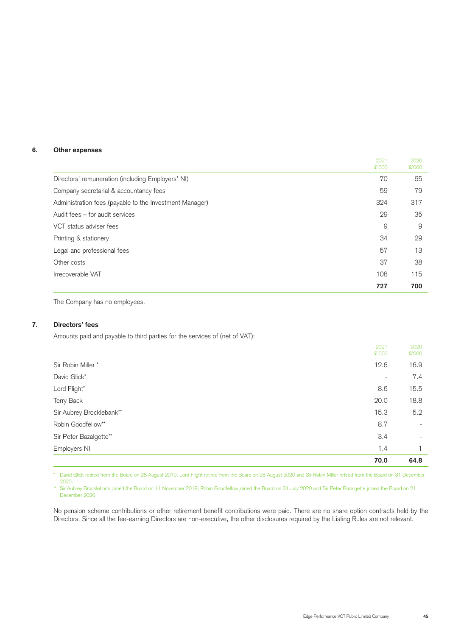#### **6. Other expenses**

|                                                         | 727            | 700            |
|---------------------------------------------------------|----------------|----------------|
| Irrecoverable VAT                                       | 108            | 115            |
| Other costs                                             | 37             | 38             |
| Legal and professional fees                             | 57             | 13             |
| Printing & stationery                                   | 34             | 29             |
| VCT status adviser fees                                 | 9              | 9              |
| Audit fees - for audit services                         | 29             | 35             |
| Administration fees (payable to the Investment Manager) | 324            | 317            |
| Company secretarial & accountancy fees                  | 59             | 79             |
| Directors' remuneration (including Employers' NI)       | 70             | 65             |
|                                                         | 2021<br>\$'000 | 2020<br>\$'000 |

The Company has no employees.

#### **7. Directors' fees**

Amounts paid and payable to third parties for the services of (net of VAT):

|                          | 70.0                     | 64.8                     |
|--------------------------|--------------------------|--------------------------|
| Employers NI             | 1.4                      |                          |
| Sir Peter Bazalgette**   | 3.4                      | $\overline{\phantom{0}}$ |
| Robin Goodfellow**       | 8.7                      | $\overline{\phantom{a}}$ |
| Sir Aubrey Brocklebank** | 15.3                     | 5.2                      |
| Terry Back               | 20.0                     | 18.8                     |
| Lord Flight*             | 8.6                      | 15.5                     |
| David Glick*             | $\overline{\phantom{a}}$ | 7.4                      |
| Sir Robin Miller*        | 12.6                     | 16.9                     |
|                          | 2021<br>\$'000           | 2020<br>\$'000           |

\* David Glick retired from the Board on 28 August 2019, Lord Flight retired from the Board on 28 August 2020 and Sir Robin Miller retired from the Board on 31 December 2020.

\*\* Sir Aubrey Brocklebank joined the Board on 11 November 2019, Robin Goodfellow joined the Board on 31 July 2020 and Sir Peter Bazalgette joined the Board on 21 December 2020.

No pension scheme contributions or other retirement benefit contributions were paid. There are no share option contracts held by the Directors. Since all the fee-earning Directors are non-executive, the other disclosures required by the Listing Rules are not relevant.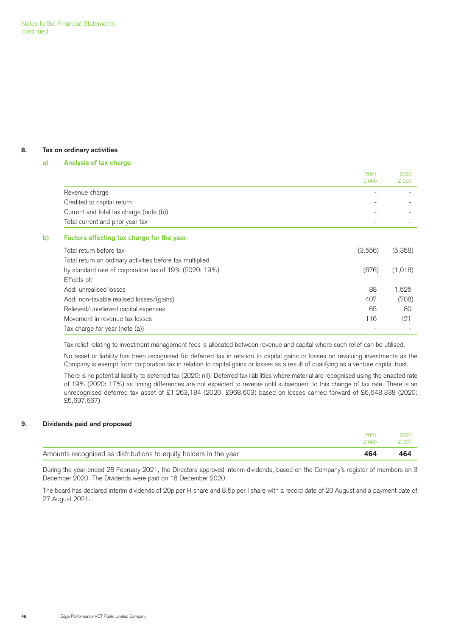#### **8. Tax on ordinary activities**

#### **a) Analysis of tax charge**

|                                                           | 2021<br>\$'000  | 2020<br>£'000 |
|-----------------------------------------------------------|-----------------|---------------|
| Revenue charge                                            | $\qquad \qquad$ |               |
| Credited to capital return                                |                 |               |
| Current and total tax charge (note (b))                   |                 |               |
| Total current and prior year tax                          |                 |               |
| Factors affecting tax charge for the year                 |                 |               |
| Total return before tax                                   | (3,556)         | (5,358)       |
| Total return on ordinary activities before tax multiplied |                 |               |
| by standard rate of corporation tax of 19% (2020: 19%)    | (676)           | (1,018)       |
| Effects of:                                               |                 |               |
| Add: unrealised losses                                    | 88              | 1,525         |
| Add: non-taxable realised losses/(gains)                  | 407             | (708)         |
| Relieved/unrelieved capital expenses                      | 65              | 80            |
| Movement in revenue tax losses                            | 116             | 121           |
| Tax charge for year (note (a))                            |                 |               |

Tax relief relating to investment management fees is allocated between revenue and capital where such relief can be utilised.

No asset or liability has been recognised for deferred tax in relation to capital gains or losses on revaluing investments as the Company is exempt from corporation tax in relation to capital gains or losses as a result of qualifying as a venture capital trust.

There is no potential liability to deferred tax (2020: nil). Deferred tax liabilities where material are recognised using the enacted rate of 19% (2020: 17%) as timing differences are not expected to reverse until subsequent to this change of tax rate. There is an unrecognised deferred tax asset of £1,263,184 (2020: £968,603) based on losses carried forward of £6,648,338 (2020: £5,697,667).

#### **9. Dividends paid and proposed**

| Amounts recognised as distributions to equity holders in the year | 464   | 464   |
|-------------------------------------------------------------------|-------|-------|
|                                                                   | S'000 | 2'000 |
|                                                                   | 2021  | 2020  |

During the year ended 28 February 2021, the Directors approved interim dividends, based on the Company's register of members on 3 December 2020. The Dividends were paid on 18 December 2020.

The board has declared interim dividends of 20p per H share and 8.5p per I share with a record date of 20 August and a payment date of 27 August 2021.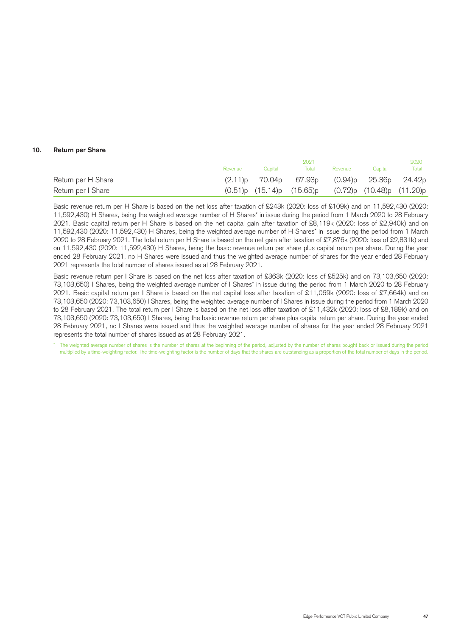#### **10. Return per Share**

|         |         | 2021  |         |         | 2020                                                                                                                       |
|---------|---------|-------|---------|---------|----------------------------------------------------------------------------------------------------------------------------|
| Revenue | Capital | Total | Revenue | Capital | Total                                                                                                                      |
|         |         |       |         |         |                                                                                                                            |
|         |         |       |         |         |                                                                                                                            |
|         |         |       |         |         | $(2.11)$ p 70.04p 67.93p $(0.94)$ p 25.36p 24.42p<br>$(0.51)$ p $(15.14)$ p $(15.65)$ p $(0.72)$ p $(10.48)$ p $(11.20)$ p |

Basic revenue return per H Share is based on the net loss after taxation of £243k (2020: loss of £109k) and on 11,592,430 (2020: 11,592,430) H Shares, being the weighted average number of H Shares\* in issue during the period from 1 March 2020 to 28 February 2021. Basic capital return per H Share is based on the net capital gain after taxation of £8,119k (2020: loss of £2,940k) and on 11,592,430 (2020: 11,592,430) H Shares, being the weighted average number of H Shares\* in issue during the period from 1 March 2020 to 28 February 2021. The total return per H Share is based on the net gain after taxation of £7,876k (2020: loss of £2,831k) and on 11,592,430 (2020: 11,592,430) H Shares, being the basic revenue return per share plus capital return per share. During the year ended 28 February 2021, no H Shares were issued and thus the weighted average number of shares for the year ended 28 February 2021 represents the total number of shares issued as at 28 February 2021.

Basic revenue return per I Share is based on the net loss after taxation of £363k (2020: loss of £525k) and on 73,103,650 (2020: 73,103,650) I Shares, being the weighted average number of I Shares\* in issue during the period from 1 March 2020 to 28 February 2021. Basic capital return per I Share is based on the net capital loss after taxation of £11,069k (2020: loss of £7,664k) and on 73,103,650 (2020: 73,103,650) I Shares, being the weighted average number of I Shares in issue during the period from 1 March 2020 to 28 February 2021. The total return per I Share is based on the net loss after taxation of £11,432k (2020: loss of £8,189k) and on 73,103,650 (2020: 73,103,650) I Shares, being the basic revenue return per share plus capital return per share. During the year ended 28 February 2021, no I Shares were issued and thus the weighted average number of shares for the year ended 28 February 2021 represents the total number of shares issued as at 28 February 2021.

The weighted average number of shares is the number of shares at the beginning of the period, adjusted by the number of shares bought back or issued during the period multiplied by a time-weighting factor. The time-weighting factor is the number of days that the shares are outstanding as a proportion of the total number of days in the period.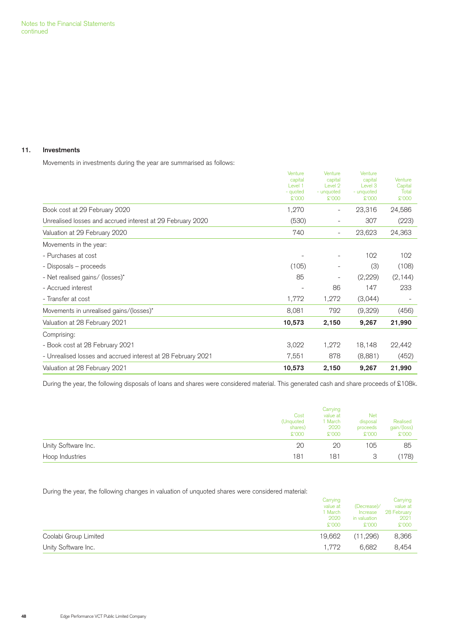#### **11. Investments**

Movements in investments during the year are summarised as follows:

|                                                              | Venture<br>capital<br>Level 1<br>- quoted<br>\$'000 | Venture<br>capital<br>Level <sub>2</sub><br>- unquoted<br>\$'000 | Venture<br>capital<br>Level <sub>3</sub><br>- unguoted<br>\$'000 | Venture<br>Capital<br>Total<br>\$'000 |
|--------------------------------------------------------------|-----------------------------------------------------|------------------------------------------------------------------|------------------------------------------------------------------|---------------------------------------|
| Book cost at 29 February 2020                                | 1,270                                               |                                                                  | 23,316                                                           | 24,586                                |
| Unrealised losses and accrued interest at 29 February 2020   | (530)                                               |                                                                  | 307                                                              | (223)                                 |
| Valuation at 29 February 2020                                | 740                                                 | $\overline{\phantom{a}}$                                         | 23,623                                                           | 24,363                                |
| Movements in the year:                                       |                                                     |                                                                  |                                                                  |                                       |
| - Purchases at cost                                          |                                                     |                                                                  | 102                                                              | 102                                   |
| - Disposals - proceeds                                       | (105)                                               | $\overline{\phantom{a}}$                                         | (3)                                                              | (108)                                 |
| - Net realised gains/ (losses)*                              | 85                                                  |                                                                  | (2, 229)                                                         | (2, 144)                              |
| - Accrued interest                                           |                                                     | 86                                                               | 147                                                              | 233                                   |
| - Transfer at cost                                           | 1,772                                               | 1,272                                                            | (3,044)                                                          |                                       |
| Movements in unrealised gains/(losses)*                      | 8,081                                               | 792                                                              | (9,329)                                                          | (456)                                 |
| Valuation at 28 February 2021                                | 10,573                                              | 2,150                                                            | 9,267                                                            | 21,990                                |
| Comprising:                                                  |                                                     |                                                                  |                                                                  |                                       |
| - Book cost at 28 February 2021                              | 3,022                                               | 1,272                                                            | 18,148                                                           | 22,442                                |
| - Unrealised losses and accrued interest at 28 February 2021 | 7,551                                               | 878                                                              | (8,881)                                                          | (452)                                 |
| Valuation at 28 February 2021                                | 10,573                                              | 2,150                                                            | 9,267                                                            | 21,990                                |

During the year, the following disposals of loans and shares were considered material. This generated cash and share proceeds of £108k.

|                     | Cost<br>(Unquoted<br>shares)<br>\$'000 | Carrying<br>value at<br>March<br>2020<br>\$'000 | <b>Net</b><br>disposal<br>proceeds<br>\$'000 | Realised<br>gain/(loss)<br>£'000 |
|---------------------|----------------------------------------|-------------------------------------------------|----------------------------------------------|----------------------------------|
| Unity Software Inc. | 20                                     | 20                                              | 105                                          | 85                               |
| Hoop Industries     | 181                                    | 181                                             | 3                                            | (178)                            |

During the year, the following changes in valuation of unquoted shares were considered material:

|                       | Carrying |              | Carrying    |
|-----------------------|----------|--------------|-------------|
|                       | value at | (Decrease)   | value at    |
|                       | 1 March  | Increase     | 28 February |
|                       | 2020     | in valuation | 2021        |
|                       | \$'000   | \$'000       | £'000       |
| Coolabi Group Limited | 19,662   | (11, 296)    | 8,366       |
| Unity Software Inc.   | 1.772    | 6,682        | 8,454       |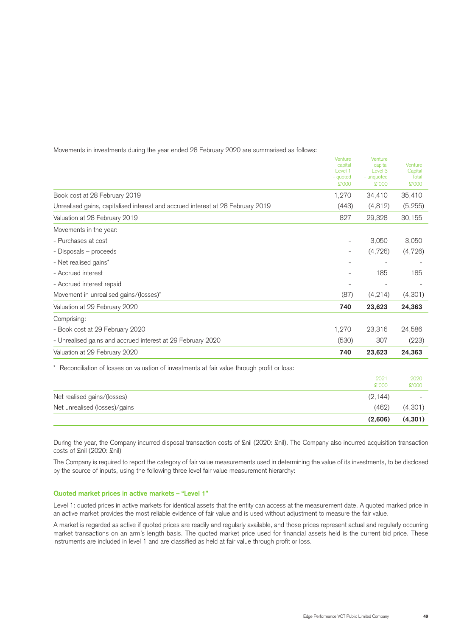|                                                                                            | Venture<br>capital<br>Level 1<br>- quoted<br>\$'000 | Venture<br>capital<br>Level <sub>3</sub><br>- unquoted<br>£'000 | Venture<br>Capital<br>Total<br>\$'000 |
|--------------------------------------------------------------------------------------------|-----------------------------------------------------|-----------------------------------------------------------------|---------------------------------------|
| Book cost at 28 February 2019                                                              | 1,270                                               | 34,410                                                          | 35,410                                |
| Unrealised gains, capitalised interest and accrued interest at 28 February 2019            | (443)                                               | (4, 812)                                                        | (5,255)                               |
| Valuation at 28 February 2019                                                              | 827                                                 | 29,328                                                          | 30,155                                |
| Movements in the year:                                                                     |                                                     |                                                                 |                                       |
| - Purchases at cost                                                                        | $\qquad \qquad -$                                   | 3,050                                                           | 3,050                                 |
| - Disposals - proceeds                                                                     | $\overline{a}$                                      | (4,726)                                                         | (4,726)                               |
| - Net realised gains*                                                                      |                                                     |                                                                 |                                       |
| - Accrued interest                                                                         |                                                     | 185                                                             | 185                                   |
| - Accrued interest repaid                                                                  |                                                     |                                                                 |                                       |
| Movement in unrealised gains/(losses)*                                                     | (87)                                                | (4,214)                                                         | (4,301)                               |
| Valuation at 29 February 2020                                                              | 740                                                 | 23,623                                                          | 24,363                                |
| Comprising:                                                                                |                                                     |                                                                 |                                       |
| - Book cost at 29 February 2020                                                            | 1,270                                               | 23,316                                                          | 24,586                                |
| - Unrealised gains and accrued interest at 29 February 2020                                | (530)                                               | 307                                                             | (223)                                 |
| Valuation at 29 February 2020                                                              | 740                                                 | 23,623                                                          | 24,363                                |
| Reconciliation of losses on valuation of investments at fair value through profit or loss: |                                                     |                                                                 |                                       |
|                                                                                            |                                                     | 2021<br>£'000                                                   | 2020<br>\$'000                        |
| Net realised gains/(losses)                                                                |                                                     | (2, 144)                                                        |                                       |
| Net unrealised (losses)/gains                                                              |                                                     | (462)                                                           | (4, 301)                              |

During the year, the Company incurred disposal transaction costs of £nil (2020: £nil). The Company also incurred acquisition transaction costs of £nil (2020: £nil)

**(2,606) (4,301)** 

The Company is required to report the category of fair value measurements used in determining the value of its investments, to be disclosed by the source of inputs, using the following three level fair value measurement hierarchy:

#### **Quoted market prices in active markets – "Level 1"**

Level 1: quoted prices in active markets for identical assets that the entity can access at the measurement date. A quoted marked price in an active market provides the most reliable evidence of fair value and is used without adjustment to measure the fair value.

A market is regarded as active if quoted prices are readily and regularly available, and those prices represent actual and regularly occurring market transactions on an arm's length basis. The quoted market price used for financial assets held is the current bid price. These instruments are included in level 1 and are classified as held at fair value through profit or loss.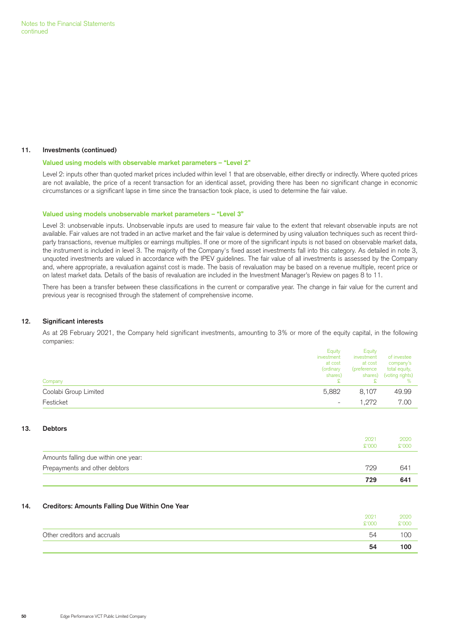#### **11. Investments (continued)**

#### **Valued using models with observable market parameters – "Level 2"**

Level 2: inputs other than quoted market prices included within level 1 that are observable, either directly or indirectly. Where quoted prices are not available, the price of a recent transaction for an identical asset, providing there has been no significant change in economic circumstances or a significant lapse in time since the transaction took place, is used to determine the fair value.

#### **Valued using models unobservable market parameters – "Level 3"**

Level 3: unobservable inputs. Unobservable inputs are used to measure fair value to the extent that relevant observable inputs are not available. Fair values are not traded in an active market and the fair value is determined by using valuation techniques such as recent thirdparty transactions, revenue multiples or earnings multiples. If one or more of the significant inputs is not based on observable market data, the instrument is included in level 3. The majority of the Company's fixed asset investments fall into this category. As detailed in note 3, unquoted investments are valued in accordance with the IPEV guidelines. The fair value of all investments is assessed by the Company and, where appropriate, a revaluation against cost is made. The basis of revaluation may be based on a revenue multiple, recent price or on latest market data. Details of the basis of revaluation are included in the Investment Manager's Review on pages 8 to 11.

There has been a transfer between these classifications in the current or comparative year. The change in fair value for the current and previous year is recognised through the statement of comprehensive income.

#### **12. Significant interests**

As at 28 February 2021, the Company held significant investments, amounting to 3% or more of the equity capital, in the following companies:

|                       | Equity                   | Equity      |                 |
|-----------------------|--------------------------|-------------|-----------------|
|                       | investment               | investment  | of investee     |
|                       | at cost                  | at cost     | company's       |
|                       | (ordinary                | (preference | total equity,   |
|                       | shares)                  | shares)     | (voting rights) |
| Company               |                          |             |                 |
| Coolabi Group Limited | 5,882                    | 8.107       | 49.99           |
| Festicket             | $\overline{\phantom{a}}$ | 1.272       | 7.00            |

#### **13. Debtors**

|                                      | 729                   | 641            |
|--------------------------------------|-----------------------|----------------|
| Prepayments and other debtors        | 729                   | 641            |
| Amounts falling due within one year: |                       |                |
|                                      | 2021<br>$\Omega$ '000 | 2020<br>\$'000 |

#### **14. Creditors: Amounts Falling Due Within One Year**

|                              | 54                         | 100            |
|------------------------------|----------------------------|----------------|
| Other creditors and accruals | 54                         | OC             |
|                              | 202 <sub>1</sub><br>\$'000 | 2020<br>\$'000 |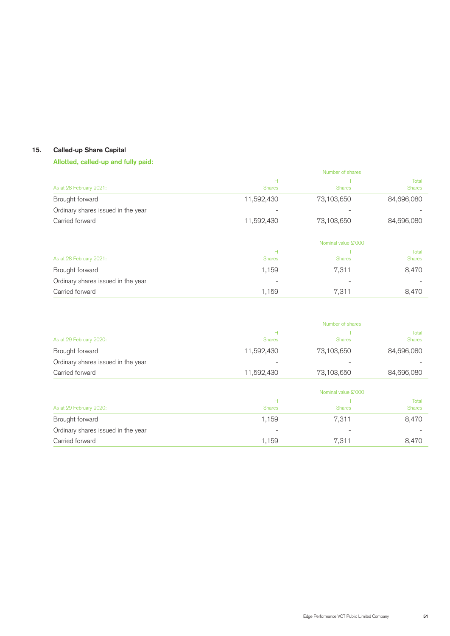#### **15. Called-up Share Capital**

#### **Allotted, called-up and fully paid:**

|                                    | Number of shares   |               |                        |
|------------------------------------|--------------------|---------------|------------------------|
| As at 28 February 2021:            | н<br><b>Shares</b> | <b>Shares</b> | Total<br><b>Shares</b> |
| Brought forward                    | 11.592.430         | 73,103,650    | 84,696,080             |
| Ordinary shares issued in the year |                    |               |                        |
| Carried forward                    | 11.592.430         | 73,103,650    | 84,696,080             |

|                                    |               | Nominal value £'000 |               |
|------------------------------------|---------------|---------------------|---------------|
|                                    | н             |                     | Total         |
| As at 28 February 2021:            | <b>Shares</b> | <b>Shares</b>       | <b>Shares</b> |
| Brought forward                    | 1.159         | 7.311               | 8,470         |
| Ordinary shares issued in the year |               |                     |               |
| Carried forward                    | 1,159         | 7.311               | 8,470         |

|                                    |                    | Number of shares    |                        |
|------------------------------------|--------------------|---------------------|------------------------|
| As at 29 February 2020:            | н<br><b>Shares</b> | <b>Shares</b>       | Total<br><b>Shares</b> |
| Brought forward                    | 11,592,430         | 73,103,650          | 84,696,080             |
| Ordinary shares issued in the year |                    |                     |                        |
| Carried forward                    | 11,592,430         | 73,103,650          | 84,696,080             |
|                                    |                    | Nominal value £'000 |                        |
| As at 29 February 2020:            | н<br><b>Shares</b> | <b>Shares</b>       | Total<br><b>Shares</b> |
| Brought forward                    | 1,159              | 7,311               | 8,470                  |
| Ordinary shares issued in the year |                    |                     |                        |
| Carried forward                    | 1,159              | 7,311               | 8,470                  |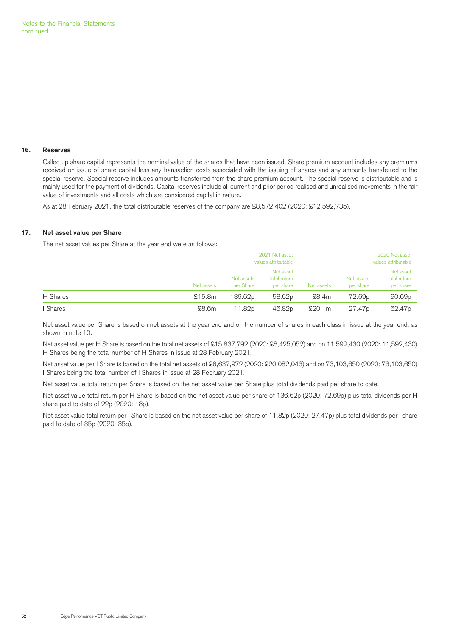#### **16. Reserves**

Called up share capital represents the nominal value of the shares that have been issued. Share premium account includes any premiums received on issue of share capital less any transaction costs associated with the issuing of shares and any amounts transferred to the special reserve. Special reserve includes amounts transferred from the share premium account. The special reserve is distributable and is mainly used for the payment of dividends. Capital reserves include all current and prior period realised and unrealised movements in the fair value of investments and all costs which are considered capital in nature.

As at 28 February 2021, the total distributable reserves of the company are £8,572,402 (2020: £12,592,735).

#### **17. Net asset value per Share**

The net asset values per Share at the year end were as follows:

|          |            |                         | 2021 Net asset<br>values attributable  |            |                         | 2020 Net asset<br>values attributable  |
|----------|------------|-------------------------|----------------------------------------|------------|-------------------------|----------------------------------------|
|          | Net assets | Net assets<br>per Share | Net asset<br>total return<br>per share | Net assets | Net assets<br>per share | Net asset<br>total return<br>per share |
| H Shares | \$15.8m    | 136.62 <sub>p</sub>     | 158.62p                                | \$8.4m     | 72.69 <sub>p</sub>      | 90.69 <sub>p</sub>                     |
| I Shares | \$8.6m     | 11.82p                  | 46.82p                                 | \$20.1m    | 27.47 <sub>p</sub>      | 62.47 <sub>p</sub>                     |

Net asset value per Share is based on net assets at the year end and on the number of shares in each class in issue at the year end, as shown in note 10.

Net asset value per H Share is based on the total net assets of £15,837,792 (2020: £8,425,052) and on 11,592,430 (2020: 11,592,430) H Shares being the total number of H Shares in issue at 28 February 2021.

Net asset value per I Share is based on the total net assets of £8,637,972 (2020: £20,082,043) and on 73,103,650 (2020: 73,103,650) I Shares being the total number of I Shares in issue at 28 February 2021.

Net asset value total return per Share is based on the net asset value per Share plus total dividends paid per share to date.

Net asset value total return per H Share is based on the net asset value per share of 136.62p (2020: 72.69p) plus total dividends per H share paid to date of 22p (2020: 18p).

Net asset value total return per I Share is based on the net asset value per share of 11.82p (2020: 27.47p) plus total dividends per I share paid to date of 35p (2020: 35p).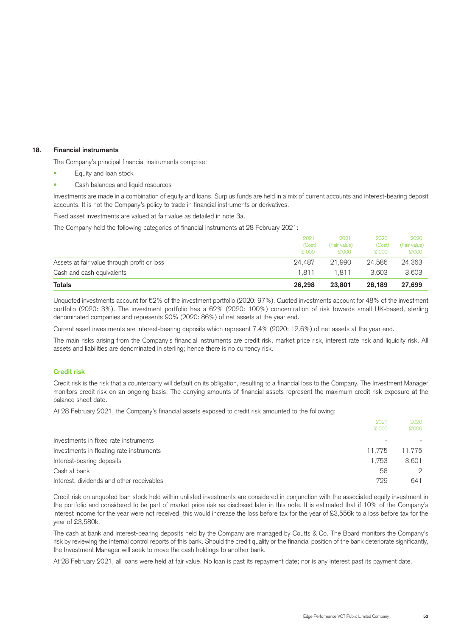#### **18. Financial instruments**

The Company's principal financial instruments comprise:

- Equity and loan stock
- Cash balances and liquid resources

Investments are made in a combination of equity and loans. Surplus funds are held in a mix of current accounts and interest-bearing deposit accounts. It is not the Company's policy to trade in financial instruments or derivatives.

Fixed asset investments are valued at fair value as detailed in note 3a.

The Company held the following categories of financial instruments at 28 February 2021:

|                                             | 2021<br>(Cost)<br>\$'000 | 2021<br>(Fair value)<br>\$'000 | 2020<br>(Cost)<br>\$'000 | 2020<br>(Fair value)<br>\$'000 |
|---------------------------------------------|--------------------------|--------------------------------|--------------------------|--------------------------------|
| Assets at fair value through profit or loss | 24.487                   | 21.990                         | 24.586                   | 24,363                         |
| Cash and cash equivalents                   | 1.811                    | 1.811                          | 3.603                    | 3.603                          |
| <b>Totals</b>                               | 26.298                   | 23,801                         | 28.189                   | 27,699                         |

Unquoted investments account for 52% of the investment portfolio (2020: 97%). Quoted investments account for 48% of the investment portfolio (2020: 3%). The investment portfolio has a 62% (2020: 100%) concentration of risk towards small UK-based, sterling denominated companies and represents 90% (2020: 86%) of net assets at the year end.

Current asset investments are interest-bearing deposits which represent 7.4% (2020: 12.6%) of net assets at the year end.

The main risks arising from the Company's financial instruments are credit risk, market price risk, interest rate risk and liquidity risk. All assets and liabilities are denominated in sterling; hence there is no currency risk.

#### **Credit risk**

Credit risk is the risk that a counterparty will default on its obligation, resulting to a financial loss to the Company. The Investment Manager monitors credit risk on an ongoing basis. The carrying amounts of financial assets represent the maximum credit risk exposure at the balance sheet date.

At 28 February 2021, the Company's financial assets exposed to credit risk amounted to the following:

|                                           | -2021  | 2020   |  |
|-------------------------------------------|--------|--------|--|
|                                           | \$'000 | \$'000 |  |
| Investments in fixed rate instruments     |        |        |  |
| Investments in floating rate instruments  | 11.775 | 11,775 |  |
| Interest-bearing deposits                 | 1.753  | 3,601  |  |
| Cash at bank                              | 58     |        |  |
| Interest, dividends and other receivables | 729    | 641    |  |

Credit risk on unquoted loan stock held within unlisted investments are considered in conjunction with the associated equity investment in the portfolio and considered to be part of market price risk as disclosed later in this note. It is estimated that if 10% of the Company's interest income for the year were not received, this would increase the loss before tax for the year of £3,556k to a loss before tax for the year of £3,580k.

The cash at bank and interest-bearing deposits held by the Company are managed by Coutts & Co. The Board monitors the Company's risk by reviewing the internal control reports of this bank. Should the credit quality or the financial position of the bank deteriorate significantly, the Investment Manager will seek to move the cash holdings to another bank.

At 28 February 2021, all loans were held at fair value. No loan is past its repayment date; nor is any interest past its payment date.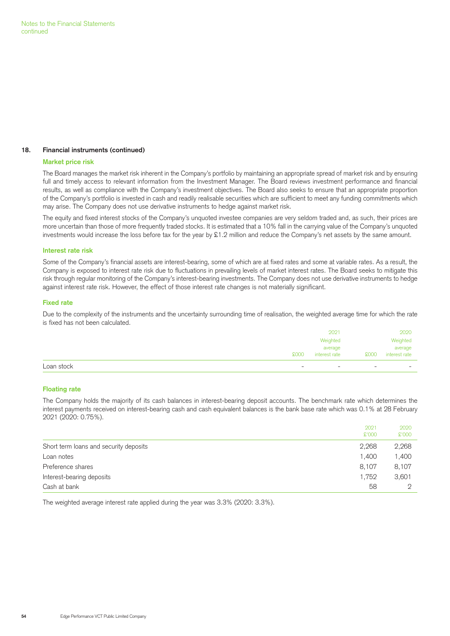#### **18. Financial instruments (continued)**

#### **Market price risk**

The Board manages the market risk inherent in the Company's portfolio by maintaining an appropriate spread of market risk and by ensuring full and timely access to relevant information from the Investment Manager. The Board reviews investment performance and financial results, as well as compliance with the Company's investment objectives. The Board also seeks to ensure that an appropriate proportion of the Company's portfolio is invested in cash and readily realisable securities which are sufficient to meet any funding commitments which may arise. The Company does not use derivative instruments to hedge against market risk.

The equity and fixed interest stocks of the Company's unquoted investee companies are very seldom traded and, as such, their prices are more uncertain than those of more frequently traded stocks. It is estimated that a 10% fall in the carrying value of the Company's unquoted investments would increase the loss before tax for the year by £1.2 million and reduce the Company's net assets by the same amount.

#### **Interest rate risk**

Some of the Company's financial assets are interest-bearing, some of which are at fixed rates and some at variable rates. As a result, the Company is exposed to interest rate risk due to fluctuations in prevailing levels of market interest rates. The Board seeks to mitigate this risk through regular monitoring of the Company's interest-bearing investments. The Company does not use derivative instruments to hedge against interest rate risk. However, the effect of those interest rate changes is not materially significant.

#### **Fixed rate**

Due to the complexity of the instruments and the uncertainty surrounding time of realisation, the weighted average time for which the rate is fixed has not been calculated.

| Loan stock | $\overline{\phantom{0}}$ | $\overline{\phantom{0}}$             | $\overline{\phantom{0}}$ | $\overline{\phantom{0}}$             |
|------------|--------------------------|--------------------------------------|--------------------------|--------------------------------------|
|            | £000                     | Weighted<br>average<br>interest rate | £000                     | Weighted<br>average<br>interest rate |
|            |                          | 2021                                 |                          | 2020                                 |

#### **Floating rate**

The Company holds the majority of its cash balances in interest-bearing deposit accounts. The benchmark rate which determines the interest payments received on interest-bearing cash and cash equivalent balances is the bank base rate which was 0.1% at 28 February 2021 (2020: 0.75%).

|                                        | 2021   | 2020   |
|----------------------------------------|--------|--------|
|                                        | \$'000 | \$'000 |
| Short term loans and security deposits | 2,268  | 2,268  |
| Loan notes                             | 1,400  | 1,400  |
| Preference shares                      | 8.107  | 8,107  |
| Interest-bearing deposits              | 1.752  | 3,601  |
| Cash at bank                           | 58     |        |

The weighted average interest rate applied during the year was 3.3% (2020: 3.3%).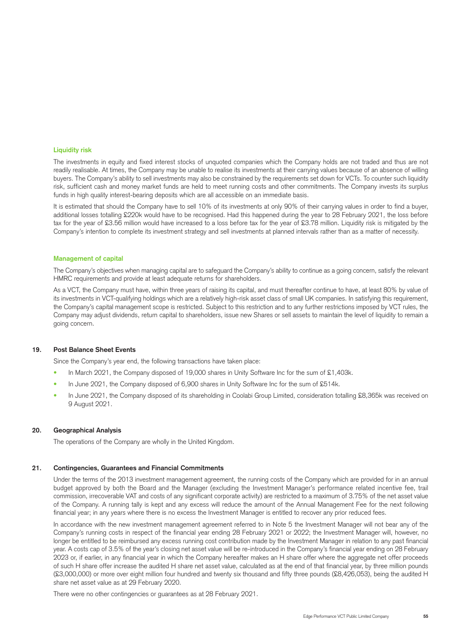#### **Liquidity risk**

The investments in equity and fixed interest stocks of unquoted companies which the Company holds are not traded and thus are not readily realisable. At times, the Company may be unable to realise its investments at their carrying values because of an absence of willing buyers. The Company's ability to sell investments may also be constrained by the requirements set down for VCTs. To counter such liquidity risk, sufficient cash and money market funds are held to meet running costs and other commitments. The Company invests its surplus funds in high quality interest-bearing deposits which are all accessible on an immediate basis.

It is estimated that should the Company have to sell 10% of its investments at only 90% of their carrying values in order to find a buyer, additional losses totalling £220k would have to be recognised. Had this happened during the year to 28 February 2021, the loss before tax for the year of £3.56 million would have increased to a loss before tax for the year of £3.78 million. Liquidity risk is mitigated by the Company's intention to complete its investment strategy and sell investments at planned intervals rather than as a matter of necessity.

#### **Management of capital**

The Company's objectives when managing capital are to safeguard the Company's ability to continue as a going concern, satisfy the relevant HMRC requirements and provide at least adequate returns for shareholders.

As a VCT, the Company must have, within three years of raising its capital, and must thereafter continue to have, at least 80% by value of its investments in VCT-qualifying holdings which are a relatively high-risk asset class of small UK companies. In satisfying this requirement, the Company's capital management scope is restricted. Subject to this restriction and to any further restrictions imposed by VCT rules, the Company may adjust dividends, return capital to shareholders, issue new Shares or sell assets to maintain the level of liquidity to remain a going concern.

#### **19. Post Balance Sheet Events**

Since the Company's year end, the following transactions have taken place:

- In March 2021, the Company disposed of 19,000 shares in Unity Software Inc for the sum of £1,403k.
- In June 2021, the Company disposed of 6,900 shares in Unity Software Inc for the sum of £514k.
- In June 2021, the Company disposed of its shareholding in Coolabi Group Limited, consideration totalling £8,365k was received on 9 August 2021.

#### **20. Geographical Analysis**

The operations of the Company are wholly in the United Kingdom.

#### **21. Contingencies, Guarantees and Financial Commitments**

Under the terms of the 2013 investment management agreement, the running costs of the Company which are provided for in an annual budget approved by both the Board and the Manager (excluding the Investment Manager's performance related incentive fee, trail commission, irrecoverable VAT and costs of any significant corporate activity) are restricted to a maximum of 3.75% of the net asset value of the Company. A running tally is kept and any excess will reduce the amount of the Annual Management Fee for the next following financial year; in any years where there is no excess the Investment Manager is entitled to recover any prior reduced fees.

In accordance with the new investment management agreement referred to in Note 5 the Investment Manager will not bear any of the Company's running costs in respect of the financial year ending 28 February 2021 or 2022; the Investment Manager will, however, no longer be entitled to be reimbursed any excess running cost contribution made by the Investment Manager in relation to any past financial year. A costs cap of 3.5% of the year's closing net asset value will be re-introduced in the Company's financial year ending on 28 February 2023 or, if earlier, in any financial year in which the Company hereafter makes an H share offer where the aggregate net offer proceeds of such H share offer increase the audited H share net asset value, calculated as at the end of that financial year, by three million pounds (£3,000,000) or more over eight million four hundred and twenty six thousand and fifty three pounds (£8,426,053), being the audited H share net asset value as at 29 February 2020.

There were no other contingencies or guarantees as at 28 February 2021.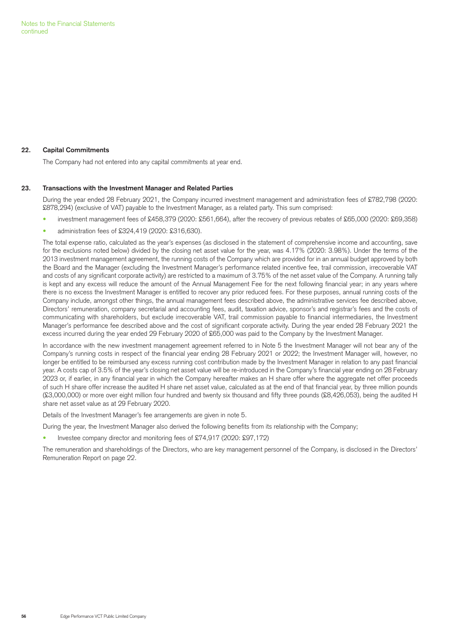#### **22. Capital Commitments**

The Company had not entered into any capital commitments at year end.

#### **23. Transactions with the Investment Manager and Related Parties**

During the year ended 28 February 2021, the Company incurred investment management and administration fees of £782,798 (2020: £878,294) (exclusive of VAT) payable to the Investment Manager, as a related party. This sum comprised:

- investment management fees of £458,379 (2020: £561,664), after the recovery of previous rebates of £65,000 (2020: £69,358)
- administration fees of £324,419 (2020: £316,630).

The total expense ratio, calculated as the year's expenses (as disclosed in the statement of comprehensive income and accounting, save for the exclusions noted below) divided by the closing net asset value for the year, was 4.17% (2020: 3.98%). Under the terms of the 2013 investment management agreement, the running costs of the Company which are provided for in an annual budget approved by both the Board and the Manager (excluding the Investment Manager's performance related incentive fee, trail commission, irrecoverable VAT and costs of any significant corporate activity) are restricted to a maximum of 3.75% of the net asset value of the Company. A running tally is kept and any excess will reduce the amount of the Annual Management Fee for the next following financial year; in any years where there is no excess the Investment Manager is entitled to recover any prior reduced fees. For these purposes, annual running costs of the Company include, amongst other things, the annual management fees described above, the administrative services fee described above, Directors' remuneration, company secretarial and accounting fees, audit, taxation advice, sponsor's and registrar's fees and the costs of communicating with shareholders, but exclude irrecoverable VAT, trail commission payable to financial intermediaries, the Investment Manager's performance fee described above and the cost of significant corporate activity. During the year ended 28 February 2021 the excess incurred during the year ended 29 February 2020 of £65,000 was paid to the Company by the Investment Manager.

In accordance with the new investment management agreement referred to in Note 5 the Investment Manager will not bear any of the Company's running costs in respect of the financial year ending 28 February 2021 or 2022; the Investment Manager will, however, no longer be entitled to be reimbursed any excess running cost contribution made by the Investment Manager in relation to any past financial year. A costs cap of 3.5% of the year's closing net asset value will be re-introduced in the Company's financial year ending on 28 February 2023 or, if earlier, in any financial year in which the Company hereafter makes an H share offer where the aggregate net offer proceeds of such H share offer increase the audited H share net asset value, calculated as at the end of that financial year, by three million pounds (£3,000,000) or more over eight million four hundred and twenty six thousand and fifty three pounds (£8,426,053), being the audited H share net asset value as at 29 February 2020.

Details of the Investment Manager's fee arrangements are given in note 5.

During the year, the Investment Manager also derived the following benefits from its relationship with the Company;

• Investee company director and monitoring fees of £74,917 (2020: £97,172)

The remuneration and shareholdings of the Directors, who are key management personnel of the Company, is disclosed in the Directors' Remuneration Report on page 22.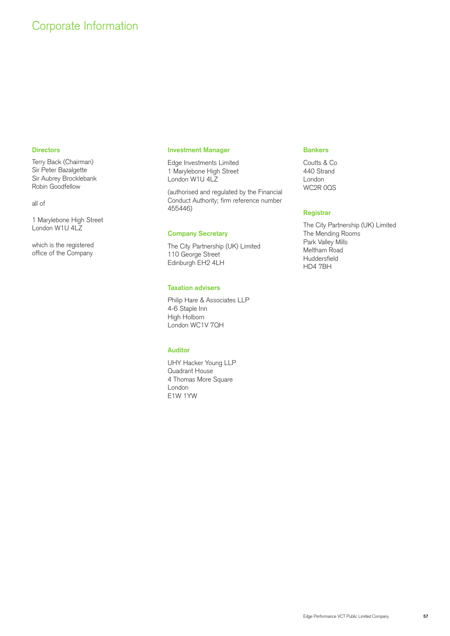## Corporate Information

#### **Directors**

Terry Back (Chairman) Sir Peter Bazalgette Sir Aubrey Brocklebank Robin Goodfellow

#### all of

1 Marylebone High Street London W1U 4LZ

which is the registered office of the Company

#### **Investment Manager**

Edge Investments Limited 1 Marylebone High Street London W1U 4LZ

(authorised and regulated by the Financial Conduct Authority; firm reference number 455446)

#### **Company Secretary**

The City Partnership (UK) Limited 110 George Street Edinburgh EH2 4LH

#### **Taxation advisers**

Philip Hare & Associates LLP 4-6 Staple Inn High Holborn London WC1V 7QH

#### **Auditor**

UHY Hacker Young LLP Quadrant House 4 Thomas More Square London E1W 1YW

#### **Bankers**

Coutts & Co 440 Strand London WC2R 0QS

#### **Registrar**

The City Partnership (UK) Limited The Mending Rooms Park Valley Mills Meltham Road Huddersfield HD4 7BH